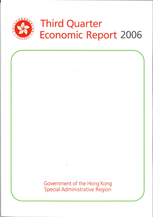

# **Third Quarter Economic Report 2006**

Government of the Hong Kong Special Administrative Region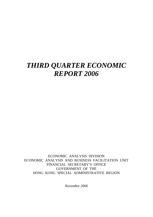# *THIRD QUARTER ECONOMIC REPORT 2006*

ECONOMIC ANALYSIS DIVISION ECONOMIC ANALYSIS AND BUSINESS FACILITATION UNIT FINANCIAL SECRETARY'S OFFICE GOVERNMENT OF THE HONG KONG SPECIAL ADMINISTRATIVE REGION

*November 2006*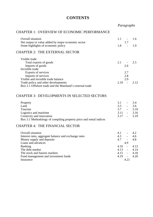# **CONTENTS**

*Paragraphs*

# CHAPTER 1: OVERVIEW OF ECONOMIC PERFORMANCE

| <b>Overall situation</b>                                                                 | 1.1<br>1.7 | 1.6 |
|------------------------------------------------------------------------------------------|------------|-----|
| Net output or value added by major economic sector<br>Some highlights of economic policy | 1.8        | 1.9 |
| <b>CHAPTER 2: THE EXTERNAL SECTOR</b>                                                    |            |     |
| Visible trade                                                                            |            |     |
| Total exports of goods                                                                   | 2.1        | 2.5 |
| Imports of goods                                                                         | 2.6        |     |
| Invisible trade                                                                          |            |     |
| Exports of services                                                                      | 2.7        |     |
| Imports of services                                                                      | 2.8        |     |
| Visible and invisible trade balance                                                      | 2.9        |     |
| Trade policy and other developments                                                      | 2.10       | 212 |
| Box 2.1 Offshore trade and the Mainland's external trade                                 |            |     |

#### CHAPTER 3: DEVELOPMENTS IN SELECTED SECTORS

| Property                                                           | 31            | $-34$         |
|--------------------------------------------------------------------|---------------|---------------|
| Land                                                               | 3.5           | -3.6          |
| Tourism                                                            | 37            | $-3.10$       |
| Logistics and maritime                                             | $3.11 - 3.16$ |               |
| Creativity and innovation                                          |               | $3.17 - 3.19$ |
| Box 3.1 Methodology of compiling property price and rental indices |               |               |

#### CHAPTER 4: THE FINANCIAL SECTOR

| <b>Overall situation</b>                             | 4.1  |                          | 42            |
|------------------------------------------------------|------|--------------------------|---------------|
| Interest rates, aggregate balance and exchange rates | 4.3  | $\overline{\phantom{a}}$ | 4.6           |
| Money supply and deposits                            | 4.7  | $\overline{\phantom{a}}$ | 4.8           |
| Loans and advances                                   |      | 4.9                      |               |
| <b>Banking</b>                                       | 4.10 | $\sim$                   | 4.12          |
| The debt market                                      |      |                          | $4.13 - 4.14$ |
| The stock and futures markets                        |      |                          | $4.15 - 4.18$ |
| Fund management and investment funds                 |      |                          | $4.19 - 4.20$ |
| Insurance                                            |      | 4.21                     |               |
|                                                      |      |                          |               |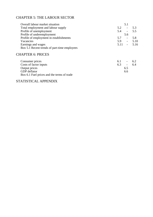# CHAPTER 5: THE LABOUR SECTOR

| Overall labour market situation              | 5.1           |         |
|----------------------------------------------|---------------|---------|
| Total employment and labour supply           | 5.2           | 5.3     |
| Profile of unemployment                      | 5.4<br>$\sim$ | 5.5     |
| Profile of underemployment                   | 5.6           |         |
| Profile of employment in establishments      | 5.7<br>$-$    | 5.8     |
| Vacancies                                    | 5.9<br>$\sim$ | 5.10    |
| Earnings and wages                           | 5.11          | $-5.16$ |
| Box 5.1 Recent trends of part-time employees |               |         |
|                                              |               |         |

#### CHAPTER 6: PRICES

| Consumer prices                            | 6. L | $\overline{\phantom{0}}$ | -6.2 |
|--------------------------------------------|------|--------------------------|------|
| Costs of factor inputs                     | 6.3  | $\overline{\phantom{a}}$ | 6.4  |
| Output prices                              |      | 6.5                      |      |
| <b>GDP</b> deflator                        |      | 6.6                      |      |
| Box 6.1 Fuel prices and the terms of trade |      |                          |      |

# STATISTICAL APPENDIX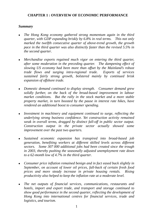# **CHAPTER 1 : OVERVIEW OF ECONOMIC PERFORMANCE**

# *Summary*

- <sup>z</sup>*The Hong Kong economy gathered strong momentum again in the third quarter, with GDP expanding briskly by 6.8% in real terms. This not only marked the twelfth consecutive quarter of above-trend growth, the growth pace in the third quarter was also distinctly faster than the revised 5.5% in the second quarter.*
- <sup>z</sup>*Merchandise exports regained much vigor on entering the third quarter, after some moderation in the preceding quarter. The dampening effect of slowing US economy had been more than offset by the Mainland's robust trade flows and surging intra-regional trade. Exports of services sustained fairly strong growth, bolstered mainly by continued brisk expansion of offshore trade.*
- <sup>z</sup>*Domestic demand continued to display strength. Consumer demand grew solidly further, on the back of the broad-based improvement in labour market conditions. But the rally in the stock market and a more stable property market, in turn boosted by the pause in interest rate hikes, have rendered an additional boost to consumer spending.*
- <sup>z</sup>*Investment in machinery and equipment continued to surge, reflecting the underlying strong business confidence. Yet construction activity remained weak in overall terms, dragged by distinct fall-off in public sector output. Construction output in the private sector actually showed some improvement over the past two quarters.*
- <sup>z</sup>*Sustained economic expansion has transpired into broad-based job generation, benefiting workers at different skilled levels across different sectors. Some 307 000 additional jobs had been created since the trough in 2003, thereby pushing the seasonally adjusted unemployment rate down to a 62-month low of 4.7% in the third quarter.*
- <sup>z</sup>*Consumer price inflation remained benign and in fact eased back slightly in September, on account of lower oil prices, fall-back of certain fresh food prices and more steady increase in private housing rentals. Rising productivity also helped to keep the inflation rate at a moderate level.*
- *The net outputs of financial services, communications, restaurants and hotels, import and export trade, and transport and storage continued to show good performance in the second quarter, reflecting the development of Hong Kong into international centres for financial services, trade and logistics, and tourism.*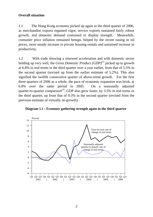# **Overall situation**

1.1 The Hong Kong economy picked up again in the third quarter of 2006, as merchandise exports regained vigor, service exports sustained fairly robust growth, and domestic demand continued to display strength. Meanwhile, consumer price inflation remained benign, helped by the recent easing in oil prices, more steady increase in private housing rentals and sustained increase in productivity.

1.2 With trade showing a renewed acceleration and with domestic sector holding up very well, the *Gross Domestic Product* (*GDP*)<sup>(1)</sup> picked up to growth at 6.8% in real terms in the third quarter over a year earlier, from that of 5.5% in the second quarter (revised up from the earlier estimate of 5.2%). This also signified the twelfth consecutive quarter of above-trend growth. For the first three quarters of 2006 as a whole, the pace of economic expansion was brisk, at 6.8% over the same period in 2005. On a seasonally adjusted quarter-to-quarter comparison<sup>(2)</sup>, GDP also grew faster, by 3.5% in real terms in the third quarter, up from that of 0.3% in the second quarter (revised from the previous estimate of virtually no growth).



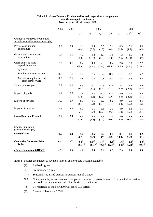#### **Table 1.1 : Gross Domestic Product and its main expenditure components and the main price indicators (year-on-year rate of change (%))**

|                                                                        | 2005<br>2004<br>2005 |                 |                                     |                                       | 2006                                             |                                       |                                     |                                                  |                                              |
|------------------------------------------------------------------------|----------------------|-----------------|-------------------------------------|---------------------------------------|--------------------------------------------------|---------------------------------------|-------------------------------------|--------------------------------------------------|----------------------------------------------|
|                                                                        |                      |                 | Q1                                  | Q2                                    | Q <sub>3</sub>                                   | Q <sub>4</sub>                        | Q1                                  | $\Omega^*$                                       | $Q_2^+$                                      |
| Change in real terms of GDP and<br>its main expenditure components (%) |                      |                 |                                     |                                       |                                                  |                                       |                                     |                                                  |                                              |
| Private consumption<br>expenditure                                     | 7.3                  | 3.4             | 4.1<br>(0.4)                        | 2.4<br>(0.5)                          | 3.6<br>(1.3)                                     | 3.4<br>(0.9)                          | 4.5<br>(1.6)                        | 5.1<br>(1.2)                                     | 4.4<br>(0.5)                                 |
| Government consumption<br>expenditure                                  | 0.7                  | $-3.1$          | $-4.6$<br>$(-2.6)$                  | $-2.3$<br>$(-0.7)$                    | $-1.6$<br>(0.3)                                  | $-3.8$<br>$(-1.0)$                    | 1.2<br>(2.6)                        | $-1.5$<br>$(-3.1)$                               | $-1.0$<br>(0.7)                              |
| Gross domestic fixed<br>capital formation                              | 3.0                  | 4.1             | 0.4<br>(N.A.)                       | 4.9<br>(N.A.)                         | 2.8<br>(N.A.)                                    | 8.4<br>(N.A.)                         | 7.6<br>(N.A.)                       | 5.0<br>(N.A.)                                    | 12.7<br>(N.A.)                               |
| of which:                                                              |                      |                 |                                     |                                       |                                                  |                                       |                                     |                                                  |                                              |
| Building and construction                                              | $-11.7$              | $-6.1$          | $-1.0$                              | $-7.5$                                | $-5.2$                                           | $-10.7$                               | $-11.1$                             | $-3.7$                                           | $-5.7$                                       |
| Machinery, equipment and<br>computer software                          | 11.0                 | 10.6            | 0.8                                 | 10.7                                  | 7.1                                              | 24.0                                  | 23.3                                | 12.8                                             | 22.4                                         |
| Total exports of goods                                                 | 15.3                 | 11.2            | 8.9<br>(0.1)                        | 11.1<br>(6.0)                         | 12.8<br>(3.1)                                    | 11.4<br>(2.2)                         | 14.4<br>(2.2)                       | 6.4<br>$(-1.1)$                                  | 8.9<br>(6.4)                                 |
| Imports of goods                                                       | 14.1                 | 8.6             | 3.8<br>(1.9)                        | 7.0<br>(5.1)                          | 11.0<br>(2.2)                                    | 12.0<br>(2.6)                         | 14.0<br>(3.3)                       | 6.7<br>$(-1.6)$                                  | 8.5<br>(4.7)                                 |
| Exports of services                                                    | 17.9                 | 8.7             | 8.7<br>(0.4)                        | 9.1<br>(2.4)                          | 8.9<br>(4.3)                                     | 8.2<br>(1.1)                          | 8.9<br>(0.8)                        | 9.0<br>(2.2)                                     | 8.6<br>(4.3)                                 |
| Imports of services                                                    | 14.6                 | 2.9             | 6.0<br>$(-2.1)$                     | $-0.1$<br>(3.7)                       | 3.5<br>(0.7)                                     | 2.3<br>$(-0.3)$                       | 4.9<br>(1.0)                        | 8.3<br>(6.8)                                     | 5.5<br>$(-2.1)$                              |
| <b>Gross Domestic Product</b>                                          | 8.6                  | 7.3             | 6.0<br>(1.6)                        | 7.2<br>(2.8)                          | 8.2<br>(2.2)                                     | 7.5<br>(0.6)                          | 8.0<br>(2.2)                        | 5.5<br>(0.3)                                     | 6.8<br>(3.5)                                 |
| Change in the main<br>price indicators $(\frac{\%}{\%})$               |                      |                 |                                     |                                       |                                                  |                                       |                                     |                                                  |                                              |
| <b>GDP</b> deflator                                                    | $-3.6$               | $-0.2$          | $-1.4$<br>(0.1)                     | $-0.6$<br>(0.2)                       | 0.2<br>$(*)$                                     | 0.7<br>(0.5)                          | $-0.1$<br>$(-0.9)$                  | $-0.1$<br>(0.2)                                  | $-0.2$<br>(0.1)                              |
| <b>Composite Consumer Price</b><br><b>Index</b>                        | $-0.4$               | $1.0^\circledR$ | $0.4^\circ$<br>$(0.1)$ <sup>@</sup> | $0.8^\circ$<br>$(0.3)^{\circledcirc}$ | $1.4^\circledR$<br>$(\mathbf{0.3})^\circledcirc$ | $1.3^\circ$<br>$(0.5)^{\circledcirc}$ | $1.6^\circ$<br>$(0.4)$ <sup>@</sup> | $2.0^\circ$<br>$\left(0.8\right)^{\circledcirc}$ | $2.3^\circ$<br>$(\mathbf{0.6})^\circledcirc$ |
| <i>Change in nominal GDP</i> $(\%)$                                    | 4.7                  | 7.0             | 4.6                                 | 6.6                                   | 8.4                                              | 8.2                                   | 7.9                                 | 5.4                                              | 6.6                                          |

Notes : Figures are subject to revision later on as more data become available.

- (#) Revised figures.
- (+) Preliminary figures.
- ( ) Seasonally adjusted quarter-to-quarter rate of change.
- N.A. Not applicable, as no clear seasonal pattern is found in gross domestic fixed capital formation, due to the presence of considerable short-term fluctuations.
	- (@) By reference to the new 2004/05-based CPI series.
	- (\*) Change of less than 0.05%.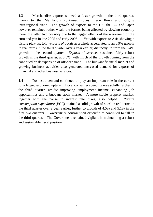1.3 Merchandise exports showed a faster growth in the third quarter, thanks to the Mainland's continued robust trade flows and surging intra-regional trade. The growth of exports to the US, the EU and Japan however remained rather weak, the former being affected by slowing economy there, the latter two possibly due to the lagged effects of the weakening of the euro and yen in late 2005 and early 2006. Yet with exports to Asia showing a visible pick-up, *total exports of goods* as a whole accelerated to an 8.9% growth in real terms in the third quarter over a year earlier, distinctly up from the 6.4% growth in the second quarter. *Exports of services* sustained fairly robust growth in the third quarter, at 8.6%, with much of the growth coming from the continued brisk expansion of offshore trade. The buoyant financial market and growing business activities also generated increased demand for exports of financial and other business services.

1.4 Domestic demand continued to play an important role in the current full-fledged economic upturn. Local consumer spending rose solidly further in the third quarter, amidst improving employment income, expanding job opportunities and a buoyant stock market. A more stable property market, together with the pause in interest rate hikes, also helped. *Private consumption expenditure (PCE)* attained a solid growth of 4.4% in real terms in the third quarter over a year earlier, further to growth of 4.5% and 5.1% in the first two quarters. *Government consumption expenditure* continued to fall in the third quarter. The Government remained vigilant in maintaining a robust and sustainable fiscal position.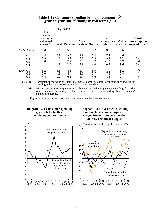|      |                                  |                                                                                  | <b>Of</b>                | which:                   |                          |                          |                                     |                           |                                                                      |
|------|----------------------------------|----------------------------------------------------------------------------------|--------------------------|--------------------------|--------------------------|--------------------------|-------------------------------------|---------------------------|----------------------------------------------------------------------|
|      |                                  | Total<br>consumer<br>spending in<br>the domestic<br>$\text{market}^{\text{(a)}}$ | Food                     | Durables durables        | Non-                     | Services                 | Residents'<br>expenditure<br>abroad | Visitor                   | <b>Private</b><br>consumption<br>spending expenditure <sup>(b)</sup> |
|      | 2005 Annual                      | 4.3                                                                              | 3.8                      | 6.7                      | 6.3                      | 3.2                      | $-0.6$                              | 9.5                       | 3.4                                                                  |
|      | Q <sub>1</sub><br>Q2<br>Q3<br>Q4 | 4.4<br>3.9<br>4.6<br>4.1                                                         | 2.8<br>4.0<br>3.2<br>4.8 | 9.5<br>8.2<br>7.2<br>2.6 | 9.1<br>6.3<br>5.0<br>5.1 | 2.2<br>2.3<br>4.2<br>4.0 | 7.7<br>$-9.1$<br>$-1.5$<br>0.9      | 11.6<br>8.2<br>8.7<br>9.6 | 4.1<br>2.4<br>3.6<br>3.4                                             |
| 2006 | Q <sub>1</sub>                   | 5.2<br>5.0<br>4.4                                                                | 5.5<br>4.8<br>2.7        | 4.1<br>4.4<br>6.1        | 3.4<br>3.3<br>3.7        | 5.9<br>5.7<br>4.6        | 1.0<br>7.3<br>1.3                   | 8.2<br>5.4<br>0.7         | 4.5<br>5.1<br>4.4                                                    |

#### **Table 1.2 : Consumer spending by major component(a) (year-on-year rate of change in real terms (%))**

Notes : (a) Consumer spending in the domestic market comprises both local consumer and visitor spending, which are not separable from the survey data.

 (b) Private consumption expenditure is obtained by deducting visitor spending from the total consumer spending in the domestic market, and adding back residents' expenditure abroad.

Figures are subject to revision later on as more data become available.

#### **Diagram 1.2 : Consumer spending grew solidly further, amidst upbeat sentiment**





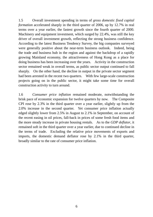1.5 Overall investment spending in terms of *gross domestic fixed capital formation* accelerated sharply in the third quarter of 2006, up by 12.7% in real terms over a year earlier, the fastest growth since the fourth quarter of 2000. Machinery and equipment investment, which surged by 22.4%, was still the key driver of overall investment growth, reflecting the strong business confidence. According to the latest Business Tendency Survey, the big companies surveyed were generally positive about the near-term business outlook. Indeed, being the trade and business hub in the region and against the backdrop of a rapidly growing Mainland economy, the attractiveness of Hong Kong as a place for doing business has been increasing over the years. Activity in the construction sector remained weak in overall terms, as public sector output continued to fall sharply. On the other hand, the decline in output in the private sector segment had been arrested in the recent two quarters. With few large-scale construction projects going on in the public sector, it might take some time for overall construction activity to turn around.

1.6 *Consumer price inflation* remained moderate, notwithstanding the brisk pace of economic expansion for twelve quarters by now. The Composite CPI rose by 2.3% in the third quarter over a year earlier, slightly up from the 2.0% increase in the second quarter. Yet consumer price inflation actually edged slightly lower from 2.5% in August to 2.1% in September, on account of the recent easing in oil prices, fall-back in prices of some fresh food items and the more steady increase in private housing rentals. As to the *GDP deflator*, it remained soft in the third quarter over a year earlier, due to continued decline in the terms of trade. Excluding the relative price movements of exports and imports, the domestic demand deflator rose by 2.1% in the third quarter, broadly similar to the rate of consumer price inflation.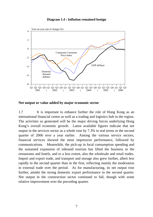#### **Diagram 1.4 : Inflation remained benign**



**Net output or value added by major economic sector** 

1.7 It is important to enhance further the role of Hong Kong as an international financial centre as well as a trading and logistics hub in the region. The activities so generated will be the major driving forces underlying Hong Kong's overall economic growth. Latest available figures indicate that net output in the services sector as a whole rose by 7.3% in real terms in the second quarter of 2006 over a year earlier. Among the various service sectors, financial services showed the most impressive performance, followed by communications. Meanwhile, the pick-up in local consumption spending and the sustained expansion of inbound tourism has lifted the business in the restaurants and hotels, and to a less extent, also the wholesale and retail trades. Import and export trade, and transport and storage also grew further, albeit less rapidly in the second quarter than in the first, reflecting mainly the moderation in external trade over the period. As for manufacturing, its net output rose further, amidst the strong domestic export performance in the second quarter. Net output in the construction sector continued to fall, though with some relative improvement over the preceding quarter.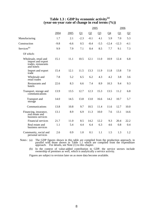#### **Table 1.3 : GDP by economic activity(a) (year-on-year rate of change in real terms (%))**

|                                                                                 |        |        | 2005   |        |        |         | 2006    |          |  |
|---------------------------------------------------------------------------------|--------|--------|--------|--------|--------|---------|---------|----------|--|
|                                                                                 | 2004   | 2005   | Q1     | Q2     | $Q_3$  | $Q_4$   | Q1      | $\Omega$ |  |
| Manufacturing                                                                   | 1.7    | 2.1    | $-2.3$ | $-0.1$ | 4.1    | 5.9     | 7.0     | 5.3      |  |
| Construction                                                                    | $-9.8$ | $-6.6$ | 0.5    | $-8.4$ | $-5.5$ | $-12.4$ | $-12.3$ | $-4.1$   |  |
| Services <sup>(b)</sup>                                                         | 9.9    | 7.9    | 7.1    | 8.4    | 8.5    | 7.7     | 9.1     | 7.3      |  |
| Of which:                                                                       |        |        |        |        |        |         |         |          |  |
| Wholesale, retail and<br>import and export<br>trades, restaurants<br>and hotels | 15.1   | 11.1   | 10.5   | 12.1   | 11.0   | 10.9    | 12.4    | 6.8      |  |
| Import and export<br>trade                                                      | 15.4   | 12.1   | 11.5   | 13.3   | 11.9   | 11.8    | 13.8    | 7.0      |  |
| Wholesale and<br>retail trades                                                  | 7.8    | 5.2    | 6.5    | 6.2    | 4.3    | 4.2     | 3.8     | 3.6      |  |
| Restaurants and<br>hotels                                                       | 22.6   | 8.3    | 6.6    | 7.4    | 8.9    | 10.3    | 9.4     | 9.3      |  |
| Transport, storage and<br>communications                                        | 13.9   | 13.5   | 12.7   | 12.3   | 15.3   | 13.5    | 11.2    | 6.8      |  |
| <b>Transport</b> and<br>storage                                                 | 14.0   | 14.5   | 13.8   | 13.0   | 16.6   | 14.2    | 10.7    | 5.7      |  |
| Communications                                                                  | 13.8   | 10.8   | 9.7    | 10.5   | 11.4   | 11.6    | 12.7    | 10.0     |  |
| Financing, insurance,<br>real estate and<br>business services                   | 13.1   | 8.9    | 6.9    | 11.3   | 10.0   | 7.6     | 13.1    | 14.6     |  |
| Financial services                                                              | 21.7   | 11.0   | 8.5    | 14.2   | 12.2   | 9.3     | 20.4    | 22.2     |  |
| Real estate and<br>business services                                            | 1.1    | 5.4    | 4.4    | 6.4    | 6.3    | 4.6     | 0.8     | 0.4      |  |
| Community, social and<br>personal services                                      | 2.6    | 0.9    | 1.0    | 0.1    | 1.1    | 1.5     | 1.3     | 1.2      |  |

Notes: (a) The GDP figures shown in this table are compiled from the production approach, in parallel with those shown in Table 1.1 which are compiled from the expenditure approach. For details, see Note (1) to this chapte

 (b) In the context of value-added contribution to GDP, the service sectors include ownership of premises as well, which is analytically a service activity.

Figures are subject to revision later on as more data become available.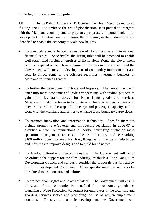# **Some highlights of economic policy**

1.8 In his Policy Address on 11 October, the Chief Executive indicated if Hong Kong is to embrace the era of globalisation, it is pivotal to integrate with the Mainland economy and to play an appropriately important role in its development. To attain such a mission, the following strategic directions are identified to enable the economy to scale new heights:

- To consolidate and enhance the position of Hong Kong as an international financial centre. Specifically, the listing rules will be amended to enable well-established foreign enterprises to list in Hong Kong; the Government is fully prepared to launch new renminbi business in Hong Kong; and the Government will study the development of commodity futures market and seek to attract some of the offshore securities investment business of Mainland insurance agencies.
- To further the development of trade and logistics. The Government will enter into more economic and trade arrangements with trading partners to gain more favourable access for Hong Kong goods and services. Measures will also be taken to facilitate river trade, to expand air services network as well as the airport's air cargo and passenger capacity, and to work with the Mainland authorities to enhance cross-boundary cargo flows.
- To promote innovation and information technology. Specific measures include promoting e-Government, introducing legislation in 2006-07 to establish a new Communications Authority, consulting public on radio spectrum management to ensure better utilisation, and earmarking \$100 million over five years for Hong Kong Design Centre to help trades and industries to improve designs and to build brand names.
- To develop cultural and creative industries. The Government will better co-ordinate the support for the film industry, establish a Hong Kong Film Development Council and seriously consider the proposals put forward by the Film Development Committee. Other specific measures will also be introduced to promote arts and culture.
- To protect labour rights and to attract talent. The Government will ensure all strata of the community be benefited from economic growth, by launching a Wage Protection Movement for employees in the cleansing and guarding services sectors and promoting the use of written employment contracts. To sustain economic development, the Government will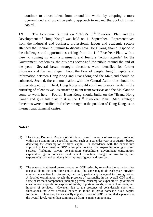continue to attract talent from around the world, by adopting a more open-minded and proactive policy approach to expand the pool of human capital.

1.9 The Economic Summit on "China's 11<sup>th</sup> Five-Year Plan and the Development of Hong Kong" was held on 11 September. Representatives from the industrial and business, professional, labour and academic sectors attended the Economic Summit to discuss how Hong Kong should respond to the challenges and opportunities arising from the  $11<sup>th</sup>$  Five-Year Plan, with a view to coming up with a pragmatic and feasible "action agenda" for the Government, academics, the business sector and the public around the end of the year. Several broad strategic directions were identified for further discussions at the next stage. First, the flow of people, freight, capital and information between Hong Kong and Guangdong and the Mainland should be enhanced. Second, the communication with the Central Authorities should be further stepped up. Third, Hong Kong should continue to work harder in the nurturing of talent as well as attracting talent from overseas and the Mainland to come to work here. Fourth, Hong Kong should build on the "Brand Hong Kong" and give full play to it in the  $11<sup>th</sup>$  Five-Year Plan. Also, strategic directions were identified to further strengthen the position of Hong Kong as an international financial centre.

# **Notes :**

- (1) The Gross Domestic Product (GDP) is an overall measure of net output produced within an economy in a specified period, such as a calendar year or a quarter, before deducting the consumption of fixed capital. In accordance with the expenditure approach to its estimation, GDP is compiled as total final expenditures on goods and services (including private consumption expenditure, government consumption expenditure, gross domestic fixed capital formation, changes in inventories, and exports of goods and services), less imports of goods and services.
- (2) The seasonally adjusted quarter-to-quarter GDP series, by removing the variations that occur at about the same time and in about the same magnitude each year, provides another perspective for discerning the trend, particularly in regard to turning points. A detailed examination reveals the presence of seasonality in the overall GDP and in some of its main components, including private consumption expenditure, government consumption expenditure, exports of goods, imports of goods, exports of services, and imports of services. However, due to the presence of considerable short-term fluctuations, no clear seasonal pattern is found in gross domestic fixed capital formation. Therefore, the seasonally adjusted series of GDP is compiled separately at the overall level, rather than summing up from its main components.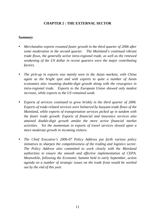# **CHAPTER 2 : THE EXTERNAL SECTOR**

#### *Summary*

- *Merchandise exports resumed faster growth in the third quarter of 2006 after some moderation in the second quarter. The Mainland's continued vibrant trade flows, the generally active intra-regional trade, as well as the renewed weakening of the US dollar in recent quarters were the major contributing factors.*
- *The pick-up in exports was mainly seen in the Asian markets, with China again as the bright spot and with exports to quite a number of Asian economies also resuming double-digit growth along with the resurgence in intra-regional trade. Exports to the European Union showed only modest increase, while exports to the US remained weak.*
- *Exports of services continued to grow briskly in the third quarter of 2006. Exports of trade-related services were bolstered by buoyant trade flows of the Mainland, while exports of transportation services picked up in tandem with the faster trade growth. Exports of financial and insurance services also attained double-digit growth amidst the more active financial market activities. Yet the momentum in exports of travel services slowed upon a more moderate growth in incoming visitors.*
- *The Chief Executive's 2006-07 Policy Address put forth various policy initiatives to sharpen the competitiveness of the trading and logistics sector. The Policy Address also committed to work closely with the Mainland authorities to ensure the smooth and effective implementation of CEPA. Meanwhile, following the Economic Summit held in early September, action agenda on a number of strategic issues on the trade front would be worked out by the end of this year.*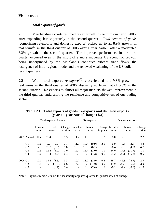# **Visible trade**

# *Total exports of goods*

2.1 Merchandise exports resumed faster growth in the third quarter of 2006, after expanding less vigorously in the second quarter. *Total exports of goods*  (comprising re-exports and domestic exports) picked up to an 8.9% growth in real terms(1) in the third quarter of 2006 over a year earlier, after a moderated 6.3% growth in the second quarter. The improved performance in the third quarter occurred even in the midst of a more moderate US economic growth, being underpinned by the Mainland's continued vibrant trade flows, the resurgence of intra-regional trade, and the renewed weakening of the US dollar in recent quarters.

2.2 Within total exports, *re-exports*(2) re-accelerated to a 9.8% growth in real terms in the third quarter of 2006, distinctly up from that of 5.3% in the second quarter. Re-exports to almost all major markets showed improvement in the third quarter, underscoring the resilience and competitiveness of our trading sector.

| Total exports of goods |                   |      |                  |                     | Re-exports        |      |                  |                              |        | Domestic exports |                  |                     |  |
|------------------------|-------------------|------|------------------|---------------------|-------------------|------|------------------|------------------------------|--------|------------------|------------------|---------------------|--|
|                        | In value<br>terms |      | In real<br>terms | Change<br>in prices | In value<br>terms |      | In real<br>terms | Change In value<br>in prices | terms  |                  | In real<br>terms | Change<br>in prices |  |
| 2005 Annual            | 11.4              | 11.4 |                  | 1.3                 | 11.7              | 11.6 |                  | 1.2                          | 8.0    | 7.6              |                  | 2.2                 |  |
| Q <sub>1</sub>         | 10.6              | 9.2  | (0.2)            | 2.1                 | 11.7              | 10.4 | (0.9)            | 2.0                          | $-6.9$ |                  | $-9.5$ $(-11.3)$ | 4.8                 |  |
| Q2                     | 12.5              | 11.7 | (6.0)            | 1.8                 | 13.8              | 13.0 | (6.1)            | 1.6                          | $-6.4$ | $-8.3$           | (4.0)            | 4.7                 |  |
| Q <sub>3</sub>         | 12.5              | 12.8 | (3.0)            | 1.0                 | 12.4              | 12.7 | (2.0)            | 1.0                          | 14.0   | 14.3             | (21.7)           | 1.1                 |  |
| Q4                     | 10.0              | 11.4 | (2.2)            | 0.4                 | 9.0               | 10.3 | (1.3)            | 0.5                          | 25.2   | 28.1             | (15.3)           | $-0.5$              |  |
| 2006 Q1                | 12.1              | 14.6 | (2.5)            | $-0.3$              | 10.7              | 13.2 | (2.9)            | $-0.2$                       | 38.7   | 42.3             | $(-2.7)$         | $-2.9$              |  |
| Q2                     | 5.4               | 6.3  | $(-1.4)$         | 0.6                 | 4.6               | 5.3  | $(-1.0)$         | 0.9                          | 19.9   | 23.9             | $(-6.9)$         | $-3.9$              |  |
| Q <sub>3</sub>         | 8.4               | 8.9  | (6.4)            | 1.4                 | 9.4               | 9.8  | (7.4)            | 1.5                          | $-6.1$ | $-4.2$           | $(-8.9)$         | $-1.3$              |  |

**Table 2.1 : Total exports of goods, re-exports and domestic exports (year-on-year rate of change (%))** 

Note : Figures in brackets are the seasonally adjusted quarter-to-quarter rates of change.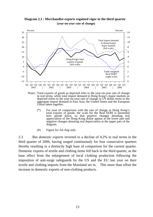

**Diagram 2.1 : Merchandise exports regained vigor in the third quarter (year-on-year rate of change)**

Notes : Total exports of goods as depicted refer to the year-on-year rate of change in real terms, while total import demand in Hong Kong's major markets as depicted refers to the year-on-year rate of change in US dollar terms in the aggregate import demand in East Asia, the United States and the European

- $(*)$  For ease of comparison with the rate of change in Hong Kong's total exports of goods, the scale for the Real EERI is presented here upside down, so that positive changes denoting real appreciation of the Hong Kong dollar appear at the lower part and negative changes denoting real depreciation at the upper part of the diagram.
- (#) Figure for Jul-Aug only.

2.3 But *domestic exports* reverted to a decline of 4.2% in real terms in the third quarter of 2006, having surged continuously for four consecutive quarters thereby resulting in a distinctly high base of comparison for the current quarter. Domestic exports of textile and clothing items fell back in the third quarter, as the base effect from the enlargement of local clothing production following the imposition of anti-surge safeguards by the US and the EU last year on their textile and clothing imports from the Mainland set in. This more than offset the increase in domestic exports of non-clothing products.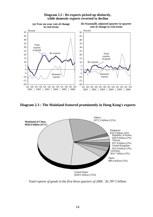

**Diagram 2.2 : Re-exports picked up distinctly, while domestic exports reverted to decline**

**Diagram 2.3 : The Mainland featured prominently in Hong Kong's exports**



*Total exports of goods in the first three quarters of 2006 : \$1,787.5 billion*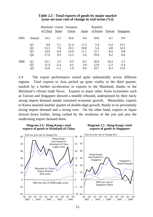|      |                | Mainland United<br>of China | <b>States</b> | European<br>Union | Japan | Republic<br>of Korea | Taiwan | <b>Singapore</b> |
|------|----------------|-----------------------------|---------------|-------------------|-------|----------------------|--------|------------------|
| 2005 | Annual         | 14.2                        | 5.5           | 16.6              | 9.6   | 10.8                 | 4.1    | 9.0              |
|      | Q1             | 9.9                         | 5.1           | 21.4              | 11.5  | 5.4                  | $-5.4$ | 15.7             |
|      | Q2             | 13.3                        | 7.6           | 19.3              | 10.8  | 5.4                  | 4.8    | 14.5             |
|      | Q <sub>3</sub> | 14.9                        | 8.4           | 14.9              | 11.1  | 12.7                 | 8.4    | 0.8              |
|      | Q4             | 17.9                        | 0.9           | 12.5              | 5.6   | 19.0                 | 8.2    | 6.6              |
| 2006 | Q <sub>1</sub> | 23.1                        | 3.5           | 9.5               | 8.2   | 20.9                 | 10.4   | 2.3              |
|      | Q <sub>2</sub> | 11.4                        | $-2.4$        | 4.1               | 3.0   | 12.0                 | $-5.3$ | $-5.4$           |
|      | Q3             | 15.8                        | $-1.1$        | 1.9               | 0.6   | 10.7                 | 8.3    | 12.8             |

#### **Table 2.2 : Total exports of goods by major market (year-on-year rate of change in real terms (%))**

2.4 The export performance varied quite substantially across different regions. Total exports to Asia picked up quite visibly in the third quarter, marked by a further acceleration in exports to the Mainland, thanks to the Mainland's vibrant trade flows. Exports to many other Asian economies such as Taiwan and Singapore showed a notable rebound, underpinned by their fairly strong import demand amidst sustained economic growth. Meanwhile, exports to Korea attained another quarter of double-digit growth, thanks to its persistently strong import demand and a strong won. On the other hand, exports to Japan slowed down further, being curbed by the weakness of the yen and also the moderating import demand there.

#### **Diagram 2.4 : Hong Kong's total exports of goods to Mainland of China**

#### **Diagram 2.5 : Hong Kong's total exports of goods to Singapore**

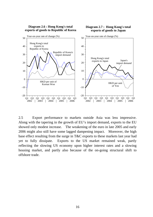

2.5 Export performance to markets outside Asia was less impressive. Along with the tapering in the growth of EU's import demand, exports to the EU showed only modest increase. The weakening of the euro in late 2005 and early 2006 might also still have some lagged dampening impact. Moreover, the high base effect resulting from the surge in T&C exports to these markets last year had yet to fully dissipate. Exports to the US market remained weak, partly reflecting the slowing US economy upon higher interest rates and a slowing housing market, and partly also because of the on-going structural shift to offshore trade.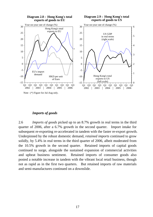

Note : (\*) Figure for Jul-Aug only.

#### *Imports of goods*

2.6 *Imports of goods* picked up to an 8.7% growth in real terms in the third quarter of 2006, after a 6.7% growth in the second quarter. Import intake for subsequent re-exporting re-accelerated in tandem with the faster re-export growth. Underpinned by the robust domestic demand, *retained imports* continued to grow solidly, by 5.4% in real terms in the third quarter of 2006, albeit moderated from the 10.5% growth in the second quarter. Retained imports of capital goods continued to surge, alongside the sustained expansion of commercial activities and upbeat business sentiment. Retained imports of consumer goods also posted a notable increase in tandem with the vibrant local retail business, though not as rapid as in the first two quarters. But retained imports of raw materials and semi-manufactures continued on a downslide.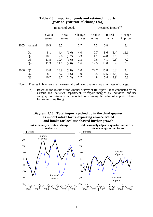|      |                |                   |      | Imports of goods |                     | Retained imports <sup>(a)</sup> |        |                  |                     |  |  |
|------|----------------|-------------------|------|------------------|---------------------|---------------------------------|--------|------------------|---------------------|--|--|
|      |                | In value<br>terms |      | In real<br>terms | Change<br>in prices | In value<br>terms               |        | In real<br>terms | Change<br>in prices |  |  |
| 2005 | Annual         | 10.3              | 8.5  |                  | 2.7                 | 7.3                             | 0.8    |                  | 8.4                 |  |  |
|      | Q <sub>1</sub> | 8.1               | 4.4  | (1.6)            | 4.0                 | $-0.7$                          | $-8.6$ | (3.4)            | 11.1                |  |  |
|      | Q <sub>2</sub> | 10.1              | 7.6  | (5.2)            | 3.3                 | 1.1                             | $-4.8$ | (2.6)            | 9.6                 |  |  |
|      | Q <sub>3</sub> | 11.5              | 10.4 | (1.6)            | 2.3                 | 9.6                             | 4.1    | (0.6)            | 7.2                 |  |  |
|      | Q4             | 11.3              | 11.0 | (2.6)            | 1.6                 | 19.5                            | 13.0   | (6.4)            | 5.3                 |  |  |
| 2006 | Q <sub>1</sub> | 13.8              | 13.9 | (3.8)            | 1.0                 | 22.7                            | 15.8   | (6.3)            | 4.4                 |  |  |
|      | Q2             | 8.1               | 6.7  | $(-1.5)$         | 1.9                 | 18.5                            | 10.5   | $(-2.8)$         | 4.7                 |  |  |
|      | Q <sub>3</sub> | 10.7              | 8.7  | (4.3)            | 2.7                 | 14.8                            | 5.4    | $(-3.9)$         | 5.8                 |  |  |

#### **Table 2.3 : Imports of goods and retained imports (year-on-year rate of change (%))**

Notes : Figures in brackets are the seasonally adjusted quarter-to-quarter rates of change.

 (a) Based on the results of the Annual Survey of Re-export Trade conducted by the Census and Statistics Department, re-export margins by individual end-use category are estimated and adopted for deriving the value of imports retained for use in Hong Kong.

#### **Diagram 2.10 : Total imports picked up in the third quarter, as import intake for re-exporting re-accelerated and intake for local use showed further growth**

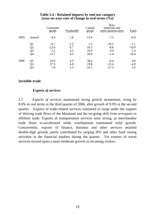|      |        | Consumer<br>goods | Foodstuffs | Capital<br>$\overline{goods}$ | Raw<br>materials and<br>semi-manufactures | Fuels   |
|------|--------|-------------------|------------|-------------------------------|-------------------------------------------|---------|
| 2005 | Annual | $-4.9$            | 1.8        | 15.8                          | $-7.5$                                    | $-6.0$  |
|      | Q1     | $-6.7$            | $-1.5$     | 1.5                           | $-19.5$                                   | $-1.1$  |
|      | Q2     | $-22.6$           | 0.7        | 16.3                          | $-8.8$                                    | $-10.9$ |
|      | Q3     | $-1.2$            | 3.3        | 10.9                          | 0.9                                       | $-1.4$  |
|      | Q4     | 13.7              | 4.5        | 34.9                          | $-1.4$                                    | $-10.4$ |
| 2006 | Q1     | 16.9              | 4.3        | 38.4                          | $-6.4$                                    | 4.0     |
|      | Q2     | 37.3              | 4.8        | 19.8                          | $-13.4$                                   | $-4.9$  |
|      | Q3     | 7.8               | 2.3        | 32.5                          | $-27.5$                                   | 3.5     |

### **Table 2.4 : Retained imports by end-use category (year-on-year rate of change in real terms (%))**

# **Invisible trade**

# *Exports of services*

2.7 *Exports of services* maintained strong growth momentum, rising by 8.6% in real terms in the third quarter of 2006, after growth of 9.0% in the second quarter. Exports of trade-related services continued to surge under the support of thriving trade flows of the Mainland and the on-going shift from re-exports to offshore trade. Exports of transportation services were strong, as merchandise trade flows re-accelerated while transhipment maintained solid growth. Concurrently, exports of finance, business and other services attained double-digit growth, partly contributed by surging IPO and other fund raising activities in the financial markets during the quarter. Yet exports of travel services slowed upon a more moderate growth in incoming visitors.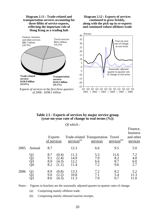

#### **Table 2.5 : Exports of services by major service group (year-on-year rate of change in real terms (%))**

*Of which :*

|      |                      | <b>Exports</b><br>of services                                | $s$ ervices <sup>(a)</sup>   | Trade-related Transportation Travel<br>services | $s$ ervices <sup>(b)</sup> | Finance,<br>business<br>and other<br>services |
|------|----------------------|--------------------------------------------------------------|------------------------------|-------------------------------------------------|----------------------------|-----------------------------------------------|
| 2005 | Annual               | 8.7                                                          | 12.3                         | 6.6                                             | 9.5                        | 5.0                                           |
|      | Q1<br>Q2<br>Q3<br>Q4 | 8.7<br>(0.4)<br>9.1<br>(2.4)<br>8.9<br>(4.3)<br>8.2<br>(1.1) | 11.3<br>14.9<br>12.2<br>11.4 | 5.3<br>7.0<br>6.6<br>7.2                        | 11.6<br>8.2<br>8.7<br>9.6  | 7.2<br>4.0<br>6.0<br>2.7                      |
| 2006 |                      | (0.8)<br>8.9<br>9.0<br>(2.2)<br>(4.3)<br>8.6                 | 13.3<br>10.8<br>11.3         | 7.2<br>7.1<br>7.0                               | 8.2<br>5.4<br>0.7          | 5.2<br>11.3<br>11.0                           |

Notes : Figures in brackets are the seasonally adjusted quarter-to-quarter rates of change.

(a) Comprising mainly offshore trade.

(b) Comprising mainly inbound tourism receipts.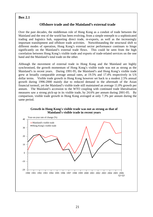# **Box 2.1**

# **Offshore trade and the Mainland's external trade**

Over the past decades, the middleman role of Hong Kong as a conduit of trade between the Mainland and the rest of the world has been evolving, from a simple entrepôt to a sophisticated trading and logistics hub, supporting direct trade, re-exports, as well as the increasingly important transhipment and offshore trade activities. Notwithstanding the structural shift to different modes of operation, Hong Kong's external sector performance continues to hinge significantly on the Mainland's external trade flows. This could be seen from the high correlation between Hong Kong's visible trade and exports of trade-related services on the one hand and the Mainland's total trade on the other.

Although the movement of external trade in Hong Kong and the Mainland are highly synchronised, the growth momentum of Hong Kong's visible trade was not as strong as the Mainland's in recent years. During 1991-95, the Mainland's and Hong Kong's visible trade grew at broadly comparable average annual rates, at 19.5% and 17.4% respectively in US dollar terms. Visible trade growth in Hong Kong however set back to a modest 2.5% annual growth during 1996-2000 mainly due to reduced demand in the aftermath of the Asian financial turmoil, yet the Mainland's visible trade still maintained an average 11.0% growth per annum. The Mainland's accession to the WTO coupling with continued trade liberalisation measures saw a strong pick-up in its visible trade, by 24.6% per annum during 2001-05. By comparison, visible trade growth in Hong Kong averaged at only 7.3% per annum during the same period.



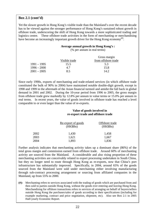# **Box 2.1 (cont'd)**

Yet the slower growth in Hong Kong's visible trade than the Mainland's over the recent decade has to be viewed against the stronger performance of Hong Kong's sustained robust growth in offshore trade, underscoring the shift of Hong Kong towards a more sophisticated trading and logistics centre. These offshore trade activities in the form of merchanting or merchandising have become an increasingly important growth driver for the Hong Kong economy<sup>(#)</sup>.

#### **Average annual growth in Hong Kong's :**

(% per annum in real terms)

|               | Gross margin        |
|---------------|---------------------|
| Visible trade | from offshore trade |
| 15.5          | 5.3                 |
| 4.7           | 15.8                |
| 8.5           | 14.2.               |
|               |                     |

Since early 1990s, exports of merchanting and trade-related services (in which offshore trade constituted the bulk of 90% in 2004) have maintained notable double-digit growth, except in 1998 and 1999 in the aftermath of the Asian financial turmoil and amidst the fall back in global demand in 2001 and 2002. During the 10-year period from 1996 to 2005, the gross margin from offshore trade grew markedly by 12.8% per annum in value terms or 15.0% per annum in real terms. In recent years, the value of goods involved in offshore trade has reached a level comparable to or even larger than the value of re-exports.

#### **Value of goods involved in re-export trade and offshore trade**

|      | Re-export of goods<br>(HK\$Bn) | Offshore trade<br>(HK\$Bn) |  |
|------|--------------------------------|----------------------------|--|
| 2002 | 1,430                          | 1,458                      |  |
| 2003 | 1,621                          | 1,667                      |  |
| 2004 | 1,893                          | 1,836                      |  |

Further analysis indicates that merchanting activity takes up a dominant share (86%) of the total gross margin and commission earned from offshore trade. Around 60% of merchanting activity are sourced from the Mainland. A considerable and also rising proportion of these merchanting activities are conceivably related to export processing undertaken in South China, but they no longer need to route through Hong Kong as re-exports, now that China's port infrastructure has substantially improved. Specifically, in 2004, around 65% of the goods sourced from the Mainland were sold under merchanting either involving manufacturing through sub-contract processing arrangement or sourcing from affiliated companies in the Mainland, up from 55% in 2000.

**(#):** Merchanting refers to services associated with the trading of goods which are purchased from and then sold to parties outside Hong Kong, without the goods ever entering and leaving Hong Kong. Merchandising for offshore transactions refers to services of arranging on behalf of buyers/sellers outside Hong Kong the purchases/sales of goods according to their specifications (including for example marketing, contract and price negotiation, shipment, etc). Also see Box 2.1 in 2005 Half-yearly Economic Report.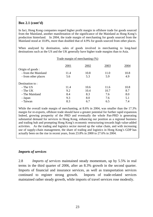# **Box 2.1 (cont'd)**

In fact, Hong Kong companies reaped higher profit margin in offshore trade for goods sourced from the Mainland, another manifestation of the significance of the Mainland as Hong Kong's production hinterland. In 2004, the trade margin of merchanting for goods sourced from the Mainland stood at 10.8%, more than doubled that of 4.9% for goods sourced from other places.

When analysed by destination, sales of goods involved in merchanting to long-haul destinations such as the US and the UK generally have higher trade margins than to Asia.

| Trade margin of merchanting (%) |      |      |      |             |  |  |
|---------------------------------|------|------|------|-------------|--|--|
| Origin of goods :               | 2001 | 2002 | 2003 | 2004        |  |  |
| - from the Mainland             | 11.4 | 10.8 | 11.0 | 10.8<br>4.9 |  |  |
| - from other places             | 5.6  | 5.3  | 5.9  |             |  |  |
| Destination to:                 |      |      |      |             |  |  |
| - The US                        | 11.4 | 10.6 | 11.6 | 10.8        |  |  |
| - The UK                        | 9.2  | 10.4 | 10.7 | 8.7         |  |  |
| - The Mainland                  | 8.4  | 8.3  | 7.6  | 8.0         |  |  |
| - Japan                         | 9.3  | 8.0  | 7.6  | 5.1         |  |  |
| - Taiwan                        | 8.3  | 6.7  | 6.5  | 7.4         |  |  |

While the overall trade margin of merchanting, at 8.6% in 2004, was smaller than the 17.3% margin for re-exports, offshore trade should have a greater potential for further rapid expansion. Indeed, growing prosperity of the PRD and eventually the whole Pan-PRD is generating substantial demand for services in Hong Kong, enhancing our position as a regional business and trading hub and prompting Hong Kong's economic restructuring towards high value-added activities. As the trading and logistics sector moved up the value chain, and with increasing use of supply-chain management, the share of trading and logistics in Hong Kong's GDP has actually been on the rise in recent years, from 23.8% in 2000 to 27.6% in 2004.

# *Imports of services*

2.8 *Imports of services* maintained steady momentum, up by 5.5% in real terms in the third quarter of 2006, after an 8.3% growth in the second quarter. Imports of financial and insurance services, as well as transportation services continued to register strong growth. Imports of trade-related services maintained rather steady growth, while imports of travel services rose modestly.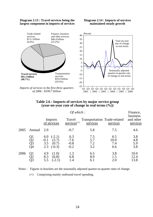#### **Diagram 2.13 : Travel services being the largest component in imports of services**

#### **Diagram 2.14 : Imports of services maintained steady growth**



*Imports of services in the first three quarters of 2006 : \$199.7 billion*



#### **Table 2.6 : Imports of services by major service group (year-on-year rate of change in real terms (%))**

|      |                      |                                                                       | Finance,                          |                                          |                           |                                   |  |  |
|------|----------------------|-----------------------------------------------------------------------|-----------------------------------|------------------------------------------|---------------------------|-----------------------------------|--|--|
|      |                      | Imports<br>of services                                                | Travel<br>$s$ ervices $(+)$       | Transportation Trade-related<br>services | services                  | business<br>and other<br>services |  |  |
| 2005 | Annual               | 2.9                                                                   | $-0.7$                            | 5.8                                      | 7.5                       | 4.6                               |  |  |
|      | Q1<br>Q2<br>Q3<br>Q4 | $(-2.1)$<br>6.0<br>$-0.1$<br>(3.7)<br>3.5<br>(0.7)<br>2.3<br>$(-0.3)$ | 6.3<br>$-7.6$<br>$-0.8$<br>$-0.2$ | 7.5<br>5.7<br>7.2<br>3.2                 | 6.5<br>10.0<br>7.4<br>6.6 | 3.8<br>4.8<br>5.9<br>3.8          |  |  |
| 2006 | Q1<br>Q2<br>Q3       | (1.0)<br>4.9<br>8.3<br>(6.8)<br>5.5<br>$-2.$                          | 1.3<br>6.8<br>1.4                 | 6.5<br>8.9<br>6.1                        | 3.8<br>1.5<br>2.0         | 10.0<br>12.4<br>13.8              |  |  |

Notes : Figures in brackets are the seasonally adjusted quarter-to-quarter rates of change.

(+) Comprising mainly outbound travel spending.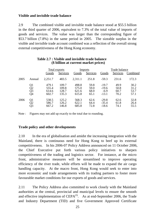# **Visible and invisible trade balance**

2.9 The combined visible and invisible trade balance stood at \$55.5 billion in the third quarter of 2006, equivalent to 7.3% of the total value of imports of goods and services. The value was larger than the corresponding figure of \$53.7 billion (7.8%) in the same period in 2005. The sizeable surplus in the visible and invisible trade account combined was a reflection of the overall strong external competitiveness of the Hong Kong economy.

|      |                      | Total exports                    |                                  | Imports                          |                              | Trade balance                           |                              |                              |
|------|----------------------|----------------------------------|----------------------------------|----------------------------------|------------------------------|-----------------------------------------|------------------------------|------------------------------|
|      |                      | Goods                            | <b>Services</b>                  | Goods                            | Services                     | Goods                                   | Services                     | Combined                     |
| 2005 | Annual               | 2,251.7                          | 483.5                            | 2,311.1                          | 251.8                        | $-59.3$                                 | 231.6                        | 172.3                        |
|      | Q1<br>Q2<br>Q3<br>Q4 | 479.1<br>555.4<br>614.6<br>602.7 | 109.7<br>109.8<br>128.7<br>135.3 | 498.8<br>575.0<br>621.6<br>615.8 | 59.8<br>59.0<br>68.0<br>65.1 | $-19.7$<br>$-19.6$<br>$-6.9$<br>$-13.1$ | 49.9<br>50.8<br>60.7<br>70.2 | 30.2<br>31.2<br>53.7<br>57.1 |
| 2006 | Q1<br>Q2<br>Ō3       | 538.5<br>586.7<br>667.2          | 125.2<br>126.2<br>146.8          | 568.3<br>622.1<br>685.8          | 62.6<br>64.4<br>72.8         | $-29.8$<br>$-35.4$<br>$-18.6$           | 62.6<br>61.8<br>74.1         | 32.8<br>26.4<br>55.5         |

#### **Table 2.7 : Visible and invisible trade balance (\$ billion at current market prices)**

Note : Figures may not add up exactly to the total due to rounding.

# **Trade policy and other developments**

2.10 In the era of globalisation and amidst the increasing integration with the Mainland, there is continuous need for Hong Kong to beef up its external competitiveness. In his 2006-07 Policy Address announced on 11 October 2006, the Chief Executive put forth various policy initiatives to sharpen competitiveness of the trading and logistics sector. For instance, at the micro front, administrative measures will be streamlined to improve operating efficiency of the river trade, while efforts will be made to expand the air cargo handling capacity. At the macro front, Hong Kong would seek to enter into more economic and trade arrangements with its trading partners to foster more favourable market conditions for our exports of goods and services.

2.11 The Policy Address also committed to work closely with the Mainland authorities at the central, provincial and municipal levels to ensure the smooth and effective implementation of  $CEPA^{(3)}$ . As at end-September 2006, the Trade and Industry Department (TID) and five Government Approved Certificate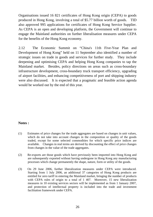Organisations issued 16 821 certificates of Hong Kong origin (CEPA) to goods produced in Hong Kong, involving a total of \$5.77 billion worth of goods. TID also approved 995 applications for certificates of Hong Kong Service Supplier. As CEPA is an open and developing platform, the Government will continue to engage the Mainland authorities on further liberalisation measures under CEPA for the benefits of the Hong Kong economy.

2.12 The Economic Summit on "China's 11th Five-Year Plan and Development of Hong Kong" held on 11 September also identified a number of strategic issues on trade in goods and services for further study. They include deepening and optimising CEPA and helping Hong Kong companies to tap the Mainland market. Besides, policy directions on areas such as cross-boundary infrastructure development, cross-boundary truck transport efficiency, upgrading of airport facilities, and enhancing competitiveness of port and shipping industry were also discussed. It is expected that a pragmatic and feasible action agenda would be worked out by the end of this year.

# **Notes :**

- (1) Estimates of price changes for the trade aggregates are based on changes in unit values, which do not take into account changes in the composition or quality of the goods traded, except for some selected commodities for which specific price indices are available. Changes in real terms are derived by discounting the effect of price changes from changes in the value of the trade aggregates.
- (2) Re-exports are those goods which have previously been imported into Hong Kong and are subsequently exported without having undergone in Hong Kong any manufacturing processes which change permanently the shape, nature, form or utility of the goods.
- (3) On 29 June 2006, further liberalization measures under CEPA were introduced. Starting from 1 July 2006, an additional 37 categories of Hong Kong products are entitled for zero tariff in entering the Mainland market, bringing the number of products with CEPA rules of origin to a total of 1 407. Moreover, 15 new liberalization measures in 10 existing services sectors will be implemented as from 1 January 2007, and protection of intellectual property is included into the trade and investment facilitation framework under CEPA.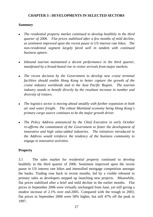# **CHAPTER 3 : DEVELOPMENTS IN SELECTED SECTORS**

# *Summary*

- <sup>z</sup>*The residential property market continued to develop healthily in the third quarter of 2006. Flat prices stabilised after a few months of mild decline, as sentiment improved upon the recent pause in US interest rate hikes. The non-residential segment largely fared well in tandem with continued business upturn.*
- Inbound tourism maintained a decent performance in the third quarter, *manifested by a broad-based rise in visitor arrivals from major markets.*
- <sup>z</sup>*The recent decision by the Government to develop new cruise terminal facilities should enable Hong Kong to better capture the growth of the cruise industry worldwide and in the Asia Pacific Region. The tourism industry stands to benefit directly by the resultant increase in number and diversity of visitors.*
- The logistics sector is moving ahead steadily with further expansion in both *air and water freight. The robust Mainland economy being Hong Kong's primary cargo source continues to be the major growth driver.*
- *The Policy Address announced by the Chief Executive in early October re-affirms the commitment of the Government to foster the development of innovative and high value-added industries. The initiatives introduced in the Address would reinforce the tendency of the business community to engage in innovative activities.*

# **Property**

3.1 The sales market for *residential property* continued to develop healthily in the third quarter of 2006. Sentiment improved upon the recent pause in US interest rate hikes and intensified mortgage competition amongst the banks. Trading rose back in recent months, led by a visible rebound in primary sales as developers stepped up launching new projects. Meanwhile, flat prices stabilised after a brief and mild decline in the earlier months. Flat prices in September 2006 were virtually unchanged from June, yet still giving a modest increase of 2.1% over end-2005. Compared with the trough in 2003, flat prices in September 2006 were 58% higher, but still 47% off the peak in 1997.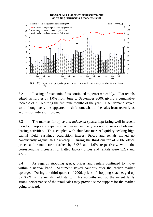#### **Diagram 3.1 : Flat prices stablised recently as trading returned to a moderate level**



3.2 Leasing of residential flats continued to perform steadily. Flat rentals edged up further by 1.0% from June to September 2006, giving a cumulative increase of 2.1% during the first nine months of the year. User demand stayed solid, though activities appeared to shift somewhat to the sales front recently as acquisition interest improved.

3.3 The markets for *office and industrial spaces* kept faring well in recent months. Corporate expansion witnessed in many economic sectors bolstered leasing activities. This, coupled with abundant market liquidity seeking high capital yield, sustained acquisition interest. Prices and rentals moved up concurrently against this backdrop. During the third quarter of 2006, office prices and rentals rose further by 3.0% and 1.6% respectively, while the corresponding increases for flatted factory prices and rentals were 5.2% and 4.5%.

3.4 As regards *shopping space*, prices and rentals continued to move within a narrow band. Sentiment stayed cautious after the earlier market upsurge. During the third quarter of 2006, prices of shopping space edged up by 0.7%, while rentals held static. This notwithstanding, the recent fairly strong performance of the retail sales may provide some support for the market going forward.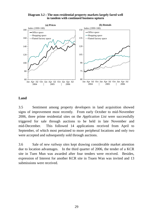



#### **Land**

3.5 Sentiment among property developers in land acquisition showed signs of improvement most recently. From early October to mid-November 2006, three prime residential sites on the *Application List* were successfully triggered for sale through auctions to be held in late November and mid-December. This followed 14 applications received from April to September, of which most pertained to more peripheral locations and only two were accepted and subsequently sold through auctions.

3.6 Sale of *new railway sites* kept drawing considerable market attention due to location advantages. In the third quarter of 2006, the tender of a KCR site in Tuen Mun was awarded after four tenders were received. Besides, expression of Interest for another KCR site in Tsuen Wan was invited and 13 submissions were received.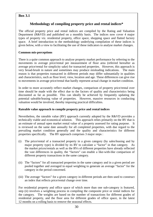# **Box 3.1**

# **Methodology of compiling property price and rental indices\***

The official property price and rental indices are compiled by the Rating and Valuation Department (R&VD) and published on a monthly basis. The indices now cover 4 major types of property viz. residential property, office space, shopping space and flatted factory space. A brief introduction to the methodology underlying compilation of these indices is given below, with a view to facilitating the use of these indicators to analyse market changes.

#### **Common mis-perceptions**

There is a quite common approach to analyse property market performance by referring to the movements in average price/rental per measurement of floor area (referred hereafter as average price/rental for simplicity sake) for transacted properties. However, this approach is very broad-brush in nature and sometimes may produce misleading indications. The main reason is that properties transacted in different periods may differ substantially in qualities and characteristics, such as floor level, view, location and age. These differences can give rise to movements in average price/rental that hardly represent actual change in market condition.

In order to more accurately reflect market changes, comparison of property price/rental over time should be made with the effect due to the factors of quality and characteristics being discounted as far as possible. This can ideally be achieved by frequently updating the potential saleable/leasing value of properties. However, massive resources in conducting valuation would be involved, thereby imposing practical difficulties.

#### **Rateable value approach to compile property price and rental indices**

Nevertheless, the rateable value (RV) approach currently adopted by the R&VD provides a technically viable and economical solution. This approach relies primarily on the RV that is an estimate of annual open market rental value of a property assessed for rating purpose. It is reviewed on the same date annually for all completed properties, with due regard to the prevailing market condition generally and the quality and characteristics for different properties specifically. The RV approach comprises 3 major steps :

- (i) The price/rental of a transacted property in a given category (by sales/leasing and by major property type) is divided by its RV to calculate a "factor" in that category. As the market prices/rentals as well as the RVs of different properties have already reflected the vast differences in quality, the "factors" can enable a like-with-like comparison of different property transactions in the same category.
- (ii) The "factors" for all transacted properties in the same category and in a given period are pooled together and averaged in equal weighting to generate an average "factor" for the category in the period concerned.
- (iii) The average "factors" for a given category in different periods are then used to construct an index that reflects price/rental change over time.

For residential property and office space of which more than one sub-category is featured, step (ii) involves a weighting process in compiling the composite price or rental indices for the category. The weights are based on the number of transactions for different grades of residential property, and the floor area for different grades of office space, in the latest 12 months on a rolling basis to remove the seasonal effects.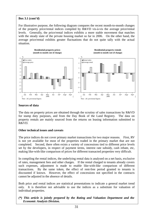#### $\overline{a}$ **Box 3.1 (cont'd)**

For illustrative purpose, the following diagram compares the recent month-to-month changes of the property price/rental indices compiled by R&VD vis-à-vis the average price/rental levels. Generally, the price/rental indices exhibits a more stable movement that matches with the steady state of the private housing market so far in 2006. On the other hand, the average price/rental exhibits greater fluctuations that do not quite tally with the actual situation.



#### **Sources of data**

The data on property prices are obtained through the scrutiny of sales transactions by R&VD for stamp duty purposes, and from the Day Book of the Land Registry. The data on property rentals are mainly sourced from the returns on leasing information submitted to R&VD.

#### **Other technical issues and caveats**

The price indices do not cover primary market transactions for two major reasons. First, RV is not yet available for most of the properties traded in the primary market that are not completed. Second, there often exists a variety of concessions tied to different price levels set by the developers, in respect of payment terms, interest rate subsidy, cash rebate, etc, making like-with-like comparison of prices for different transacted properties very difficult.

In compiling the rental indices, the underlying rental data is analysed on a net basis, exclusive of rates, management fees and other charges. If the rental charged to tenants already covers such expenses, adjustment is made to enable like-with-like comparison of different transactions. By the same token, the effect of rent-free period granted to tenants is discounted if known. However, the effect of concessions not specified in the contracts cannot be adjusted in the absence of details.

Both price and rental indices are statistical presentations to indicate a general market trend only. It is therefore not advisable to use the indices as a substitute for valuation of individual properties.

#### *(\*) This article is jointly prepared by the Rating and Valuation Department and the Economic Analysis Division.*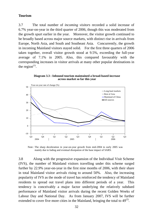### **Tourism**

3.7 The total number of *incoming visitors* recorded a solid increase of 6.7% year-on-year in the third quarter of 2006, though this was moderated from the growth spurt earlier in the year. Moreover, the visitor growth continued to be broadly based across major source markets, with distinct rise in arrivals from Europe, North Asia, and South and Southeast Asia. Concurrently, the growth in incoming Mainland visitors stayed solid. For the first three quarters of 2006 taken together, overall visitor growth stood at 9.5%, exceeding the full-year average of 7.1% in 2005. Also, this compared favourably with the corresponding increases in visitor arrivals at many other popular destinations in the region $^{(1)}$ .

**Diagram 3.3 : Inbound tourism maintained a broad-based increase across market so far this year**



Note : The sharp deceleration in year-on-year growth from mid-2004 to early 2005 was mainly due to fading and eventual dissipation of the base impact of SARS.

3.8 Along with the progressive expansion of the Individual Visit Scheme (IVS), the number of Mainland visitors travelling under this scheme surged further by 22.9% year-on-year in the first nine months of 2006, with their share in total Mainland visitor arrivals rising to around 50%. Also, the increasing popularity of IVS as the mode of travel has reinforced the tendency of Mainland residents to spread out travel plans into different periods of a year. This tendency is conceivably a major factor underlying the relatively subdued performance of Mainland visitor arrivals during the recent Golden Weeks of Labour Day and National Day. As from January 2007, IVS will be further extended to cover five more cities in the Mainland, bringing the total to  $49<sup>(2)</sup>$ .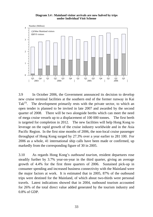**Diagram 3.4 : Mainland visitor arrivals are now halved by trips under Individual Visit Scheme**



3.9 In October 2006, the Government announced its decision to develop new cruise terminal facilities at the southern end of the former runway in Kai Tak<sup>(3)</sup>. The development primarily rests with the private sector, to which an open tender is planned to be invited in late 2007 and awarded by the second quarter of 2008. There will be two alongside berths which can meet the need of mega cruise vessels up to a displacement of 100 000 tonnes. The first berth is targeted for completion in 2012. The new facilities will help Hong Kong to leverage on the rapid growth of the cruise industry worldwide and in the Asia Pacific Region. In the first nine months of 2006, the non-local cruise passenger throughput of Hong Kong surged by 27.3% over a year earlier to 281 100. For 2006 as a whole, 41 international ship calls have been made or confirmed, up markedly from the corresponding figure of 30 in 2005.

3.10 As regards Hong Kong's *outbound tourism*, resident departures rose steadily further by 3.7% year-on-year in the third quarter, giving an average growth of 4.4% for the first three quarters of 2006. Sustained pick-up in consumer spending and increased business connectivity with the Mainland were the major factors at work. It is estimated that in 2005, 87% of the outbound trips were destined for the Mainland, of which about two-thirds were personal travels. Latest indications showed that in 2004, outbound tourism accounted for 26% of the total direct value added generated by the tourism industry and 0.8% of GDP.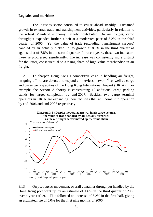## **Logistics and maritime**

3.11 The logistics sector continued to cruise ahead steadily. Sustained growth in external trade and transhipment activities, particularly in relation to the robust Mainland economy, largely contributed. On *air freight*, cargo throughput expanded further, albeit at a moderated pace of 3.2% in the third quarter of 2006. Yet the value of trade (excluding transhipment cargoes) handled by air actually picked up, to growth at 8.9% in the third quarter as against that of 7.8% in the second quarter. In recent years, these two indicators likewise progressed significantly. The increase was consistently more distinct for the latter, consequential to a rising share of high-value merchandise in air freight.

3.12 To sharpen Hong Kong's competitive edge in handling air freight, on-going efforts are devoted to expand air services network $^{(4)}$  as well as cargo and passenger capacities of the Hong Kong International Airport (HKIA). For example, the Airport Authority is constructing 10 additional cargo parking stands for target completion by end-2007. Besides, two cargo terminal operators in HKIA are expanding their facilities that will come into operation by end-2006 and end-2007 respectively.



3.13 On *port cargo* movement, overall container throughput handled by the Hong Kong port went up by an estimate of 4.6% in the third quarter of 2006 over a year earlier. This followed an increase of 5.2% in the first half, giving an estimated rise of 5.0% for the first nine months of 2006.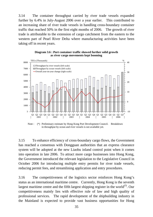3.14 The container throughput carried by river trade vessels expanded further by 6.4% in July-August 2006 over a year earlier. This contributed to an increasing share of river trade vessels in handling cross-boundary container traffic that reached 50% in the first eight months of 2006. The growth of river trade is attributable to the extension of cargo catchment from the eastern to the western part of Pearl River Delta where manufacturing activities have been taking off in recent years.



**Diagram 3.6 : Port container traffic showed further solid growth as river cargo movements kept booming**

Note : (\*) Preliminary estimate by Hong Kong Port Development Council. Breakdown in throughput by ocean and river vessels is not available yet.

3.15 To enhance efficiency of cross-boundary cargo flows, the Government has reached a consensus with Dongguan authorities that an express clearance system will be adopted at the new Liaobu inland control point when it comes into operation in late 2006. To attract more cargo businesses into Hong Kong, the Government introduced the relevant legislation to the Legislative Council in October 2006 for introducing multiple entry permits for river trade vessels, reducing permit fees, and streamlining application and entry procedures.

3.16 The competitiveness of the logistics sector reinforces Hong Kong's status as an international maritime centre. Currently, Hong Kong is the seventh largest maritime centre and the fifth largest shipping register in the world $^{(5)}$ . Our competitiveness mainly lies with effective rule of law and high quality of professional services. The rapid development of the shipbuilding industry in the Mainland is expected to provide vast business opportunities for Hong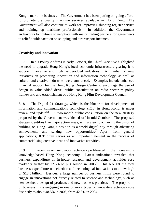Kong's maritime business. The Government has been putting on-going efforts to promote the quality maritime services available in Hong Kong. The Government will also continue to work for improving shipping register service and training up maritime professionals. In addition, the Government endeavours to continue to negotiate with major trading partners for agreements to relief double taxation on shipping and air transport incomes.

## **Creativity and innovation**

3.17 In his Policy Address in early October, the Chief Executive highlighted the need to upgrade Hong Kong's local economic infrastructure gearing it to support innovative and high value-added industries. A number of new initiatives on promoting innovation and information technology, as well as cultural and creative industries, were announced. Examples include enhanced financial support for the Hong Kong Design Centre to encourage the use of design in value-added drive, public consultation on radio spectrum policy framework, and establishment of a Hong Kong Film Development Council.

3.18 The Digital 21 Strategy, which is the blueprint for development of information and communications technology (ICT) in Hong Kong, is under review and update<sup> $(6)$ </sup>. A two-month public consultation on the new strategy proposed by the Government was kicked off in mid-October. The proposed strategy identifies five major action areas, with a view to achieving the vision of building on Hong Kong's position as a world digital city through advancing achievements and seizing new opportunities<sup> $(7)$ </sup>. Apart from general applications, ICT often serves as an important element in the process of commercialising creative ideas and innovative activities.

3.19 In recent years, innovation activities proliferated in the increasingly knowledge-based Hong Kong economy. Latest indications revealed that business expenditure on in-house research and development activities rose markedly further by 22.5% to \$5.6 billion in  $2005^{(8)}$ . This brought the total business expenditure on scientific and technological innovations to a new high of \$18.5 billion. Besides, a large number of business firms were found to engage in innovations not directly related to science and technology, such as new aesthetic design of products and new business practices. The proportion of business firms engaging in one or more types of innovative activities rose distinctly to about 48.5% in 2005, from 42.8% in 2004.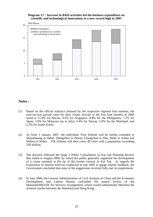#### **Diagram 3.7 : Increase in R&D activities led the business expenditure on scientific and technological innovations to a new record high in 2005**



### **Notes :**

- (1) Based on the official statistics released by the respective regional host markets, the year-on-year growth rates for their visitor arrivals in the first nine months of 2006 stood at 15.4% for Macau, 9.2% for Singapore, 8.8% for the Philippines, 7.2% for Japan, 5.6% for Malaysia (up to July), 4.4% for Taiwan, 2.9% for the Mainland, and 2.5% for South Korea.
- (2) As from 1 January 2007, the Individual Visit Scheme will be further extended to Shijiazhuang in Hebei, Zhengzhou in Henan, Changchun in Jilin, Hefei in Anhui and Wuhan in Hubei. The Scheme will then cover 49 cities with a population exceeding 250 million.
- (3) The decision followed the Stage 3 Public Consultation on Kai Tak Planning Review that ended in August 2006, by which the public generally supported the development of a cruise terminal at the tip of the former runway in Kai Tak. As regards the Expression of Interest exercise conducted in late 2005 to gauge market feedback, the Government concluded that none of the suggestions received fully met its requirement.
- (4) In June 2006, the General Administration of Civil Aviation of China and the Economic Development and Labour Bureau concluded the annual review of the Mainland/HKSAR Air Services Arrangement, which would substantially liberalise the aviation market between the Mainland and Hong Kong.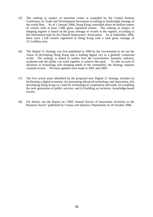- (5) The ranking in respect of maritime centre is compiled by the United Nations Conference on Trade and Development Secretariat according to deadweight tonnage of the world fleet. As of 1 January 2006, Hong Kong controlled about 44 million tonnes of vessels with at least 1 000 gross registered tonnes. The ranking in respect of shipping register is based on the gross tonnage of vessels in the register, according to the information kept by the Danish Shipowners' Association. As at September 2006, there were 1 128 vessels registered in Hong Kong with a total gross tonnage of 31.5 million tons.
- (6) The Digital 21 Strategy was first published in 1998 by the Government to set out the vision of developing Hong Kong into a leading digital city in a globally connected world. The strategy is aimed to outline how the Government, business, industry, academia and the public can work together to achieve this goal. To take account of advances in technology and changing needs of the community, the Strategy requires constant review. Previous updates were made in 2001 and 2004.
- (7) The five action areas identified by the proposed new Digital 21 Strategy includes (i) facilitating a digital economy; (ii) promoting advanced technology and innovation, (iii) developing Hong Kong as a hub for technological cooperation and trade, (iv) enabling the next generation of public services, and (v) building an inclusive, knowledge-based society.
- (8) For details, see the Report on "2005 Annual Survey of Innovation Activities in the Business Sector" published by Census and Statistics Department on 26 October 2006.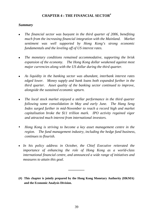## **CHAPTER 4 : THE FINANCIAL SECTOR#**

## *Summary*

- <sup>z</sup>*The financial sector was buoyant in the third quarter of 2006, benefiting much from the increasing financial integration with the Mainland. Market sentiment was well supported by Hong Kong's strong economic fundamentals and the leveling off of US interest rates.*
- The monetary conditions remained accommodative, supporting the brisk *expansion of the economy. The Hong Kong dollar weakened against most major currencies along with the US dollar during the third quarter.*
- <sup>z</sup>*As liquidity in the banking sector was abundant, interbank interest rates edged lower. Money supply and bank loans both expanded further in the third quarter. Asset quality of the banking sector continued to improve, alongside the sustained economic upturn.*
- <sup>z</sup>*The local stock market enjoyed a stellar performance in the third quarter following some consolidation in May and early June. The Hang Seng Index surged further in mid-November to reach a record high and market capitalisation broke the \$11 trillion mark. IPO activity regained vigor and attracted much interest from international investors.*
- *Hong Kong is striving to become a key asset management centre in the region. The fund management industry, including the hedge fund business, continues to flourish.*
- *In his policy address in October, the Chief Executive reiterated the importance of enhancing the role of Hong Kong as a world-class international financial centre, and announced a wide range of initiatives and measures to attain this goal.*
- **(#) This chapter is jointly prepared by the Hong Kong Monetary Authority (HKMA) and the Economic Analysis Division.**

**\_\_\_\_\_\_\_\_\_**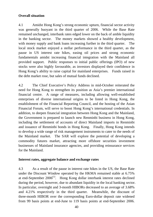## **Overall situation**

4.1 Amidst Hong Kong's strong economic upturn, financial sector activity was generally buoyant in the third quarter of 2006. While the Base Rate remained unchanged, interbank rates edged lower on the back of amble liquidity in the banking sector. The money markets showed a healthy development, with money supply and bank loans increasing further in the third quarter. The local stock market enjoyed a stellar performance in the third quarter, as the pause in US interest rate hikes, easing oil prices and strong economic fundamentals amidst increasing financial integration with the Mainland all provided support. Public responses to initial public offerings (IPO) of new stocks were also highly favourable, as investors displayed their confidence in Hong Kong's ability to raise capital for mainland enterprises. Funds raised in the debt market rose, but sales of mutual funds declined.

4.2 The Chief Executive's Policy Address in mid-October reiterated the need for Hong Kong to strengthen its position as Asia's premier international financial centre. A range of measures, including allowing well-established enterprises of diverse international origins to be listed in Hong Kong, the establishment of the Financial Reporting Council, and the hosting of the Asian Financial Forum, will serve to boost Hong Kong's international credentials. In addition, to deepen financial integration between Hong Kong and the Mainland, the Government is prepared to launch new Renminbi business in Hong Kong, including the settlement of accounts of direct Mainland imports in Renminbi and issuance of Renminbi bonds in Hong Kong. Finally, Hong Kong intends to develop a wide range of risk management instruments to cater to the needs of the Mainland market. The SAR will explore the potential of developing a commodity futures market, attracting more offshore securities investment businesses of Mainland insurance agencies, and providing reinsurance services for the Mainland.

## **Interest rates, aggregate balance and exchange rates**

4.3 As a result of the pause in interest rate hikes in the US, the Base Rate under the Discount Window operated by the HKMA remained stable at 6.75% at end-September  $2006^{(1)}$ . Hong Kong dollar interbank interest rates declined during the period, however, due to abundant liquidity in the local banking sector. In particular, overnight and 3-month HIBORs decreased to an average of 3.68% and 4.21% respectively in the third quarter. Meanwhile, the discount of three-month HIBOR over the corresponding Euro-dollar deposit rate widened from 99 basis points at end-June to 119 basis points at end-September 2006.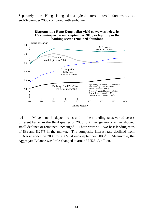Separately, the Hong Kong dollar yield curve moved downwards at end-September 2006 compared with end-June.



**Diagram 4.1 : Hong Kong dollar yield curve was below its US counterpart at end-September 2006, as liquidity in the banking sector remained abundant**

4.4 Movements in deposit rates and the best lending rates varied across different banks in the third quarter of 2006, but they generally either showed small declines or remained unchanged. There were still two best lending rates of 8% and 8.25% in the market. The composite interest rate declined from 3.16% at end-June 2006 to 3.06% at end-September  $2006^{(2)}$ . Meanwhile, the Aggregate Balance was little changed at around HK\$1.3 billion.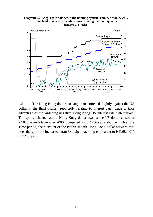



4.5 The Hong Kong dollar exchange rate softened slightly against the US dollar in the third quarter, reportedly relating to interest carry trade to take advantage of the widening negative Hong Kong-US interest rate differentials. The spot exchange rate of Hong Kong dollar against the US dollar closed at 7.7875 at end-September 2006, compared with 7.7665 at end-June. Over the same period, the discount of the twelve-month Hong Kong dollar forward rate over the spot rate increased from 530 pips (each pip equivalent to HK\$0.0001) to 720 pips.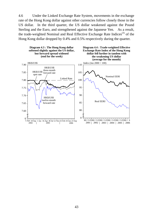4.6 Under the Linked Exchange Rate System, movements in the exchange rate of the Hong Kong dollar against other currencies follow closely those in the US dollar. In the third quarter, the US dollar weakened against the Pound Sterling and the Euro, and strengthened against the Japanese Yen. As a result, the trade-weighted Nominal and Real Effective Exchange Rate Indices<sup>(3)</sup> of the Hong Kong dollar dropped by 0.4% and 0.5% respectively during the quarter.

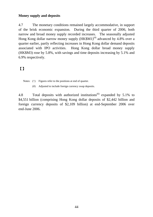## **Money supply and deposits**

4.7 The monetary conditions remained largely accommodative, in support of the brisk economic expansion. During the third quarter of 2006, both narrow and broad money supply recorded increases. The seasonally adjusted Hong Kong dollar narrow money supply  $(HK$M1)^{(4)}$  advanced by 4.8% over a quarter earlier, partly reflecting increases in Hong Kong dollar demand deposits associated with IPO activities. Hong Kong dollar broad money supply (HK\$M3) rose by 5.8%, with savings and time deposits increasing by 5.1% and 6.9% respectively.

# 【】

Notes: ( $\wedge$ ) Figures refer to the positions at end of quarter.

(#) Adjusted to include foreign currency swap deposits.

4.8 Total deposits with authorized institutions<sup> $(6)$ </sup> expanded by 5.1% to \$4,551 billion (comprising Hong Kong dollar deposits of \$2,442 billion and foreign currency deposits of \$2,109 billion) at end-September 2006 over end-June 2006.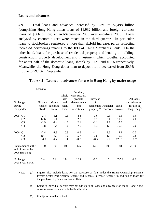### **Loans and advances**

4.9 Total loans and advances increased by 3.3% to \$2,498 billion (comprising Hong Kong dollar loans of \$1,932 billion and foreign currency loans of \$566 billion) at end-September 2006 over end-June 2006. Loans analysed by economic uses were mixed in the third quarter. In particular, loans to stockbrokers registered a more than sixfold increase, partly reflecting increased borrowings relating to the IPO of China Merchants Bank. On the other hand, loans for purchase of residential property and lending to building, construction, property development and investment, which together accounted for about half of the domestic loans, shrank by 0.5% and 0.7% respectively. Meanwhile, the Hong Kong dollar loan-to-deposit ratio decreased from 80.9% in June to 79.1% in September.

|                                                          | Loans to:    |           | Whole-<br>sale | Building,<br>construction,<br>property | Purchase                |          |         | All loans                |
|----------------------------------------------------------|--------------|-----------|----------------|----------------------------------------|-------------------------|----------|---------|--------------------------|
| % change                                                 | Finance      | Manu-     | and            | development                            | of                      |          |         | and advances             |
| during                                                   | visible      | facturing | retail         | and                                    | residential Financial   |          | Stock-  | for use in               |
| the quarter                                              | <b>Trade</b> | sector    | trade          | investment                             | property <sup>(a)</sup> | concerns | brokers | Hong Kong <sup>(b)</sup> |
| 2005<br>Q1                                               | 2.4          | 8.1       | $-0.6$         | 4.3                                    | 0.6                     | $-0.8$   | 5.8     | 1.6                      |
| Q <sub>2</sub>                                           | 12.6         | 7.4       | 5.9            | 2.7                                    | 1.1                     | 3.4      | 10.9    | 4.0                      |
| Q <sub>3</sub>                                           | $-1.9$       | $-2.4$    | $-1.6$         | 2.1                                    | $-1.1$                  | 2.2      | $-7.8$  | $\ast$                   |
| Q4                                                       | $-3.8$       | 6.4       | $-1.2$         | 7.6                                    | $-1.3$                  | 1.0      | $-36.6$ | 2.0                      |
| 2006<br>Q1                                               | $-2.4$       | $-1.9$    | 0.9            | 0.6                                    | $-1.1$                  | 3.6      | 5.3     | $-0.3$                   |
| Q <sub>2</sub>                                           | 10.1         | 3.7       | 1.9            | 5.7                                    | $-0.6$                  | $-1.3$   | $-6.0$  | 2.8                      |
| Q <sub>3</sub>                                           | 4.9          | $-4.4$    | 1.4            | $-0.7$                                 | $-0.5$                  | 6.2      | 620.6   | 2.2                      |
| Total amount at the<br>end of September<br>2006 (HK\$Bn) | 160          | 109       | 105            | 475                                    | 593                     | 193      | 48      | 2,170                    |
| % change<br>over a year earlier                          | 8.4          | 3.4       | 3.0            | 13.7                                   | $-3.5$                  | 9.6      | 352.2   | 6.8                      |

### **Table 4.1 : Loans and advances for use in Hong Kong by major usage**

- Notes : (a) Figures also include loans for the purchase of flats under the Home Ownership Scheme, Private Sector Participation Scheme and Tenants Purchase Scheme, in addition to those for the purchase of private residential flats.
	- (b) Loans to individual sectors may not add up to all loans and advances for use in Hong Kong, as some sectors are not included in this table.
	- (\*) Change of less than 0.05%.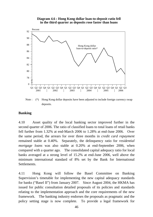### **Diagram 4.6 : Hong Kong dollar loan-to-deposit ratio fell in the third quarter as deposits rose faster than loans**



Note : (\*) Hong Kong dollar deposits have been adjusted to include foreign currency swap deposits.

## **Banking**

4.10 Asset quality of the local banking sector improved further in the second quarter of 2006. The ratio of classified loans to total loans of retail banks fell further from 1.32% at end-March 2006 to 1.28% at end-June 2006. Over the same period, the arrears for over three months in *credit card repayment* remained stable at 0.40%. Separately, the delinquency ratio for *residential mortgage loans* was also stable at 0.20% at end-September 2006, when compared with a quarter ago. The consolidated capital adequacy ratio for local banks averaged at a strong level of 15.2% at end-June 2006, well above the minimum international standard of 8% set by the Bank for International Settlements.

4.11 Hong Kong will follow the Basel Committee on Banking Supervision's timetable for implementing the new capital adequacy standards for banks ("Basel II") from January 2007. Since August 2004, the HKMA has issued for public consultation detailed proposals of its policies and standards relating to the implementation approach and the core requirements of the new framework. The banking industry endorses the proposals as pragmatic and the policy setting stage is now complete. To provide a legal framework for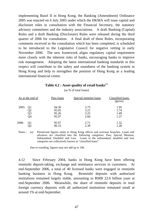implementing Basel II in Hong Kong, the Banking (Amendment) Ordinance 2005 was enacted on 6 July 2005 under which the HKMA will issue capital and disclosure rules in consultation with the Financial Secretary, the statutory advisory committees and the industry associations. A draft Banking (Capital) Rules and a draft Banking (Disclosure) Rules were released during the third quarter of 2006 for consultation. A final draft of these Rules, incorporating comments received in the consultation which has been completed, is scheduled to be introduced to the Legislative Council for negative vetting in early November 2006. The new framework aligns regulatory capital requirement more closely with the inherent risks of banks, encouraging banks to improve risk management. Adopting the latest international banking standards in this respect will contribute to the safety and soundness of the banking system in Hong Kong and help to strengthen the position of Hong Kong as a leading international financial centre.

|                  |                      |                                  | (as % of total loans)        |                              |
|------------------|----------------------|----------------------------------|------------------------------|------------------------------|
| As at the end of |                      | Pass loans                       | Special mention loans        | Classified loans<br>(gross)  |
| 2005             | Q1<br>Q2<br>Q3<br>Q4 | 94.30<br>95.05<br>95.26<br>95.97 | 3.75<br>3.21<br>3.25<br>2.66 | 1.95<br>1.74<br>1.49<br>1.37 |
| 2006             | Q1                   | 95.97<br>96.33                   | 2.71<br>2.39                 | 1.32<br>1.28                 |

| Table 4.2 : Asset quality of retail banks $^{(a)}$ |  |  |  |  |
|----------------------------------------------------|--|--|--|--|
|----------------------------------------------------|--|--|--|--|

 $(\cos \theta / \text{ of total loan})$ 

Notes : (a) Period-end figures relate to Hong Kong offices and overseas branches. Loans and advances are classified into the following categories: Pass, Special Mention, Substandard, Doubtful and Loss. Loans in the substandard, doubtful and loss categories are collectively known as "classified loans".

Due to rounding, figures may not add up to 100.

4.12 Since February 2004, banks in Hong Kong have been offering renminbi deposit-taking, exchange and remittance services to customers. At end-September 2006, a total of 40 licensed banks were engaged in renminbi banking business in Hong Kong. Renminbi deposits with authorized institutions remained largely stable, amounting to RMB 22.6 billion yuan at end-September 2006. Meanwhile, the share of renminbi deposits in total foreign currency deposits with all authorized institutions remained small at around 1% at end-September.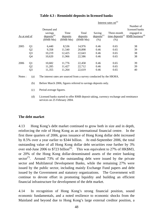|              |                |                                    |                  |                   |                            | Interest rates on $(a)$                       |                                  |
|--------------|----------------|------------------------------------|------------------|-------------------|----------------------------|-----------------------------------------------|----------------------------------|
|              |                | Demand and                         |                  |                   |                            |                                               | Number of<br>licensed banks      |
| As at end of |                | savings<br>$\text{deposits}^{(b)}$ | Time<br>deposits | Total<br>deposits | Saving<br>$deposits^{(c)}$ | Three-month<br>$time$ deposits <sup>(c)</sup> | engaged in<br>RMB business $(d)$ |
|              |                | (RMB Mn)                           | (RMB Mn)         | (RMB Mn)          | (% )                       | (% )                                          |                                  |
| 2005         | Q <sub>1</sub> | 6,440                              | 8,536            | 14,976            | 0.46                       | 0.65                                          | 38                               |
|              | Q <sub>2</sub> | 9,358                              | 11,540           | 20,898            | 0.46                       | 0.65                                          | 39                               |
|              | Q <sub>3</sub> | 10,219                             | 12,425           | 22,643            | 0.46                       | 0.65                                          | 38                               |
|              | Q4             | 10,620                             | 11,966           | 22,586            | 0.46                       | 0.65                                          | 38                               |
| 2006         | Q <sub>1</sub> | 10,682                             | 11,776           | 22,458            | 0.46                       | 0.65                                          | 39                               |
|              | Q <sub>2</sub> | 11,285                             | 11,427           | 22,712            | 0.46                       | 0.65                                          | 39                               |
|              | Q <sub>3</sub> | 11,355                             | 11,264           | 22,619            | 0.46                       | 0.65                                          | 40                               |

## **Table 4.3 : Renminbi deposits in licensed banks**

Notes : (a) The interest rates are sourced from a survey conducted by the HKMA.

(b) Before March 2006, figures referred to savings deposits only.

(c) Period average figures.

 (d) Licensed banks started to offer RMB deposit taking, currency exchange and remittance services on 25 February 2004.

## **The debt market**

4.13 Hong Kong's debt market continued to grow both in size and in depth, reinforcing the role of Hong Kong as an international financial centre. In the first three quarters of 2006, gross issuance of Hong Kong dollar debt increased by 8.5% over a year earlier to \$344 billion. At end-September 2006, the total outstanding value of all Hong Kong dollar debt securities rose further by 3% over end-June 2006 to  $$723$  billion<sup>(6)</sup>. This was equivalent to 27% of HK\$M3, or 20% of the Hong Kong dollar-denominated assets of the entire banking sector<sup>(7)</sup>. Around 73% of the outstanding debt were issued by the private sector and Multilateral Development Banks, while the remaining 27% were issued by the public sector, including mainly Exchange Fund papers and debt issued by the Government and statutory organizations. The Government will continue to devote effort in promoting liquidity and building an efficient financial infrastructure for development of the debt market.

4.14 In recognition of Hong Kong's strong financial position, sound economic fundamentals, and a noted resilience to economic shocks from the Mainland and beyond due to Hong Kong's large external creditor position, a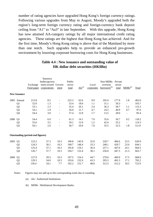number of rating agencies have upgraded Hong Kong's foreign currency ratings. Following various upgrades from May to August, Moody's upgraded both the region's long-term foreign currency rating and foreign-currency bank deposit ceiling from "A1" to "Aa3" in late September. With this upgrade, Hong Kong has now attained AA-category ratings by all major international credit rating agencies. These ratings are the highest that Hong Kong has achieved. And for the first time, Moody's Hong Kong rating is above that of the Mainland by more than one notch. Such upgrades help to provide an enhanced pro-growth environment by lowering corporate borrowing costs for Hong Kong businesses.

|      |                     | Exchange<br>Fund paper                  | Statutory<br>bodies/govern<br>ment-owned Govern-<br>corporations | ment                         | Public<br>sector<br>total | $\overline{AIs}^{(a)}$ | Local<br>corporates | Non-MDBs<br>overseas<br>borrowers <sup>(b)</sup> | Private<br>sector<br>total | $MDBs^{(b)}$             | <b>Total</b> |
|------|---------------------|-----------------------------------------|------------------------------------------------------------------|------------------------------|---------------------------|------------------------|---------------------|--------------------------------------------------|----------------------------|--------------------------|--------------|
|      | <b>New Issuance</b> |                                         |                                                                  |                              |                           |                        |                     |                                                  |                            |                          |              |
| 2005 | Annual              | 213.8                                   | 8.5                                                              | $\overline{\phantom{a}}$     | 222.3                     | 62.6                   | 9.9                 | 105.4                                            | 177.9                      | 1.8                      | 402.0        |
|      | Q1                  | 52.0                                    | 1.3                                                              | $\blacksquare$               | 53.4                      | 18.0                   | 1.1                 | 31.1                                             | 50.3                       | $\overline{\phantom{0}}$ | 103.7        |
|      | Q <sub>2</sub>      | 53.1                                    | 2.3                                                              | $\qquad \qquad \blacksquare$ | 55.4                      | 20.1                   | 2.4                 | 36.3                                             | 58.7                       | 1.1                      | 115.3        |
|      | Q <sub>3</sub>      | 54.1                                    | 1.9                                                              | $\overline{\phantom{a}}$     | 56.0                      | 11.7                   | 4.7                 | 24.5                                             | 40.9                       | 0.7                      | 97.6         |
|      | Q4                  | 54.4                                    | 3.0                                                              | $\overline{\phantom{m}}$     | 57.4                      | 12.8                   | 1.7                 | 13.5                                             | 28.0                       | -                        | 85.4         |
| 2006 | Q1                  | 54.4                                    | 6.9                                                              | $\overline{\phantom{a}}$     | 61.3                      | 14.1                   | 7.0                 | 35.6                                             | 56.7                       | 0.2                      | 118.2        |
|      | Q <sub>2</sub>      | 55.6                                    | 3.5                                                              | $\blacksquare$               | 59.1                      | 12.0                   | 1.2                 | 42.0                                             | 55.2                       | $\blacksquare$           | 114.3        |
|      | Q <sub>3</sub>      | 54.1                                    | 2.6                                                              |                              | 56.7                      | 10.0                   | 7.0                 | 35.5                                             | 52.5                       | 1.8                      | 111.0        |
|      |                     | <b>Outstanding (period-end figures)</b> |                                                                  |                              |                           |                        |                     |                                                  |                            |                          |              |
| 2005 | Q1                  | 123.2                                   | 57.3                                                             | 10.3                         | 190.8                     | 145.9                  | 32.0                | 228.7                                            | 406.6                      | 23.5                     | 620.9        |
|      | Q <sub>2</sub>      | 124.3                                   | 56.1                                                             | 10.3                         | 190.7                     | 148.4                  | 33.3                | 248.1                                            | 429.7                      | 23.6                     | 644.1        |
|      | Q <sub>3</sub>      | 125.4                                   | 57.1                                                             | 10.3                         | 192.8                     | 154.1                  | 36.4                | 257.1                                            | 447.6                      | 24.1                     | 664.5        |
|      | Q4                  | 126.7                                   | 57.7                                                             | 10.3                         | 194.7                     | 153.4                  | 38.1                | 256.0                                            | 447.5                      | 21.5                     | 663.7        |
| 2006 | Q <sub>1</sub>      | 127.9                                   | 59.3                                                             | 10.3                         | 197.5                     | 154.3                  | 44.7                | 270.0                                            | 469.0                      | 17.5                     | 684.0        |
|      | Q2                  | 129.3                                   | 54.0                                                             | 10.3                         | 193.6                     | 152.9                  | 43.3                | 295.3                                            | 491.5                      | 17.1                     | 702.2        |
|      | Q <sub>3</sub>      | 130.4                                   | 54.1                                                             | 7.7                          | 192.2                     | 151.7                  | 48.0                | 312.5                                            | 512.2                      | 18.5                     | 722.9        |

## **Table 4.4 : New issuance and outstanding value of HK dollar debt securities (HK\$Bn)**

Notes: Figures may not add up to the corresponding totals due to rounding.

- (a) AIs : Authorized Institutions.
- (b) MDBs : Multilateral Development Banks.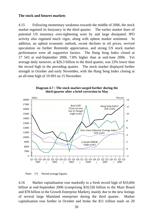### **The stock and futures markets**

4.15 Following momentary weakness towards the middle of 2006, the stock market regained its buoyancy in the third quarter. The earlier market fears of potential US monetary over-tightening were by and large dissipated. IPO activity also regained much vigor, along with upbeat market sentiment. In addition, an upbeat economic outlook, recent declines in oil prices, revived speculation on further Renminbi appreciation, and strong US stock market performance were all supportive factors. The Hang Seng Index closed at 17 543 at end-September 2006, 7.8% higher than at end-June 2006. Yet average daily turnover, at \$26.3 billion in the third quarter, was 23% lower than the record high in the preceding quarter. The stock market displayed further strength in October and early November, with the Hang Seng Index closing at an all-time high of 19 093 on 15 November.



**Diagram 4.7 : The stock market surged further during the third quarter after a brief correction in May**

Note: (\*) Period average figures.

4.16 Market capitalisation rose markedly to a fresh record high of \$10,604 billion at end-September 2006 (comprising \$10,526 billion in the Main Board and \$78 billion in the Growth Enterprise Market), mainly due to the new listings of several large Mainland enterprises during the third quarter. Market capitalisation rose further in October and broke the \$11 trillion mark on 20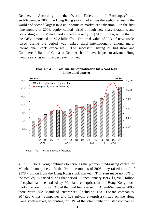October. According to the World Federation of Exchanges<sup>(8)</sup>, at end-September 2006, the Hong Kong stock market was the eighth largest in the world and second largest in Asia in terms of market capitalisation. In the first nine months of 2006, equity capital raised through new share flotations and post-listing in the Main Board surged markedly to \$247.5 billion, while that in the GEM amounted to  $$7.3$  billion<sup>(9)</sup>. The total value of IPO of new stocks raised during the period was ranked third internationally among major international stock exchanges. The successful listing of Industrial and Commercial Bank of China in October should have helped to advance Hong Kong's ranking in this aspect even further.





Note:  $(*)$  Position at end of quarter.

4.17 Hong Kong continues to serve as the premier fund-raising centre for Mainland enterprises. In the first nine months of 2006, they raised a total of \$178.7 billion from the Hong Kong stock market. This sum made up 70% of the total equity raised during that period. Since January 1993, \$1,281.3 billion of capital has been raised by Mainland enterprises in the Hong Kong stock market, accounting for 53% of the total funds raised. At end-September 2006, there were 352 Mainland enterprises (including 133 H-share companies, 90 "Red Chips" companies and 129 private enterprises) listed on the Hong Kong stock market, accounting for 31% of the total number of listed companies.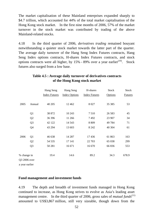The market capitalisation of these Mainland enterprises expanded sharply to \$4.7 trillion, which accounted for 44% of the total market capitalisation of the Hong Kong stock market. In the first nine months of 2006, 57% of the market turnover in the stock market was contributed by trading of the above Mainland-related stocks.

4.18 In the third quarter of 2006, *derivatives trading* remained bouyant notwithstanding a quieter stock market towards the latter part of the quarter. The average daily turnover of the Hang Seng Index Futures contracts, Hang Seng Index options contracts, H-shares Index Futures contracts, and stock options contracts were all higher, by  $15%$  - 89% over a year earlier<sup>(10)</sup>. Stock futures also surged from a low base.

|                |                | Hang Seng            | Hang Seng            | H-shares             | <b>Stock</b> | Stock          |
|----------------|----------------|----------------------|----------------------|----------------------|--------------|----------------|
|                |                | <b>Index Futures</b> | <b>Index Options</b> | <b>Index Futures</b> | Options      | <b>Futures</b> |
| 2005           | Annual         | 40 205               | 12 4 62              | 8 0 27               | 35 38 5      | 53             |
|                | Q <sub>1</sub> | 38 872               | 10 243               | 7510                 | 26 5 83      | 45             |
|                | Q2             | 36 39 6              | 11 266               | 7492                 | 23 907       | 34             |
|                | Q <sub>3</sub> | 42 122               | 14 5 43              | 8 8 0 9              | 49 784       | 71             |
|                | Q4             | 43 294               | 13 603               | 8 2 4 2              | 40 304       | 61             |
| 2006           | Q <sub>1</sub> | 46 638               | 14 287               | 17436                | 61 863       | 163            |
|                | Q <sub>2</sub> | 54 5 35              | 17 14 1              | 22 703               | 65 038       | 299            |
|                | Q <sub>3</sub> | 50 281               | 16 671               | 16 670               | 66 836       | 553            |
| % change in    |                | 19.4                 | 14.6                 | 89.2                 | 34.3         | 678.9          |
| Q3 2006 over   |                |                      |                      |                      |              |                |
| a year earlier |                |                      |                      |                      |              |                |

## **Table 4.5 : Average daily turnover of derivatives contracts of the Hong Kong stock market**

## **Fund management and investment funds**

4.19 The depth and breadth of investment funds managed in Hong Kong continued to increase, as Hong Kong strives to evolve as Asia's leading asset management centre. In the third quarter of 2006, gross sales of *mutual funds*<sup> $(11)$ </sup> amounted to US\$3,867 million, still very sizeable, though down from the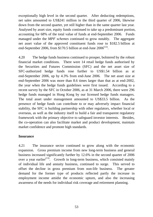exceptionally high level in the second quarter. After deducting redemptions, net sales amounted to US\$241 million in the third quarter of 2006, likewise down from the second quarter, yet still higher than in the same quarter last year. Analysed by asset size, equity funds continued to take up a predominant portion, accounting for 68% of the total value of funds at end-September 2006. Funds managed under the *MPF schemes* continued to grow notably. The aggregate net asset value of the approved constituent funds rose to \$182.5 billion at end-September 2006, from \$170.5 billion at end-June  $2006^{(12)}$ .

4.20 The hedge funds business continued to prosper, bolstered by the robust financial market conditions. There were 14 retail hedge funds authorised by the Securities and Futures Commission (SFC) and the net asset size of SFC-authorized hedge funds rose further to US\$1.54 billion as at end-September 2006, up by 4.3% from end-June 2006. The net asset size at end-September 2006 was more than 8.6 times larger than that as at end-2002, the year when the hedge funds guidelines were first issued. According to a recent survey by the SFC in October 2006, as at 31 March 2006, there were 296 hedge funds managed in Hong Kong by our licensed hedge funds managers. The total asset under management amounted to US\$33.5 billion. As the presence of hedge funds can contribute to or may adversely impact financial stability, the SFC is building partnership with other regulators, whether local or overseas, as well as the industry itself to build a fair and transparent regulatory framework with the primary objective to safeguard investor interests. Besides, the co-operation can also facilitate market and product development, maintain market confidence and promote high standards.

## **Insurance**

4.21 The insurance sector continued to grow along with the economic expansion. Gross premium income from new long-term business and general business increased significantly further by 12.6% in the second quarter of 2006 over a year earlier<sup> $(13)$ </sup>. Growth in long-term business, which consisted mainly of individual life and annuity business, continued to surge. This served to offset the decline in gross premium from non-life business. The greater demand for the former type of products reflected partly the increase in employment income amidst the economic upturn, and also the increasing awareness of the needs for individual risk coverage and retirement planning.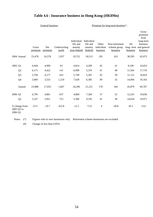## **Table 4.6 : Insurance business in Hong Kong (HK\$Mn)**

|                       |                | Gross<br>premium | Net<br>premium | Underwriting<br>profit | Individual<br>life and<br>annuity<br>(non-linked) | Individual<br>life and<br>annuity<br>(linked) | Other<br>individual<br>business | Non-retirement<br>scheme group<br>business | All<br>long-term<br>business | Gross<br>premium<br>from<br>long-term<br>business<br>and general<br>business |
|-----------------------|----------------|------------------|----------------|------------------------|---------------------------------------------------|-----------------------------------------------|---------------------------------|--------------------------------------------|------------------------------|------------------------------------------------------------------------------|
|                       | 2004 Annual    | 23,478           | 16,578         | 1,957                  | 19,722                                            | 18,515                                        | 195                             | 163                                        | 38,595                       | 62,073                                                                       |
| 2005 Q1               |                | 6,944            | 4,909          | 63                     | 4,814                                             | 4,209                                         | 45                              | 41                                         | 9,109                        | 16,053                                                                       |
|                       | Q <sub>2</sub> | 6,171            | 4,422          | 141                    | 6,099                                             | 5,376                                         | 41                              | 48                                         | 11,564                       | 17,735                                                                       |
|                       | Q <sub>3</sub> | 5,704            | 4,177          | 433                    | 5,749                                             | 5,281                                         | 43                              | 39                                         | 11,112                       | 16,816                                                                       |
|                       | Q <sub>4</sub> | 5,069            | 3,525          | 1,210                  | 7,628                                             | 6,385                                         | 49                              | 32                                         | 14,094                       | 19,163                                                                       |
|                       | Annual         | 23,888           | 17,033         | 1,847                  | 24,290                                            | 21,251                                        | 178                             | 160                                        | 45,879                       | 69,767                                                                       |
| 2006 Q1               |                | 6,795            | 4,881          | 637                    | 4,868                                             | 7,284                                         | 37                              | 52                                         | 12,241                       | 19,036                                                                       |
|                       | Q2             | 5,337            | 3,951          | 723                    | 5,360                                             | 9,195                                         | 41                              | 38                                         | 14,634                       | 19,971                                                                       |
| 2005 Q2 to<br>2006 Q2 | % change from  | $-13.5$          | $-10.7$        | 412.8                  | $-12.1$                                           | 71.0                                          | $\#$                            | $-20.8$                                    | 26.5                         | 12.6                                                                         |

General business : <br> Premium for long-term business\* :

Notes: (\*) Figures refer to new businesses only. Retirement scheme businesses are excluded.

(#) Change of less than 0.05%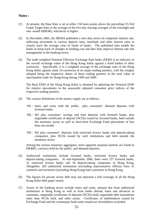### **Notes :**

- (1) At present, the Base Rate is set at either 150 basis points above the prevailing US Fed Funds Target Rate or the average of the five-day moving averages of the overnight and one- month HIBORs, whichever is higher.
- (2) In December 2005, the HKMA published a new data series on composite interest rate, reflecting movement in various deposit rates, interbank and other interest rates to closely track the average costs of funds of banks. The published data enable the banks to keep track of changes in funding cost and thus help improve interest rate risk management in the banking sector.
- (3) The trade-weighted Nominal Effective Exchange Rate Index (EERI) is an indicator of the overall exchange value of the Hong Kong dollar against a fixed basket of other currencies. Specifically, it is a weighted average of the exchange rates of the Hong Kong dollar against some 14 currencies of its major trading partners, with the weights adopted being the respective shares of these trading partners in the total value of merchandise trade for Hong Kong during 1999 and 2000.

 The Real EERI of the Hong Kong dollar is obtained by adjusting the Nominal EERI for relative movements in the seasonally adjusted consumer price indices of the respective trading partners.

- (4) The various definitions of the money supply are as follows:
	- M1 : notes and coins with the public, plus customers' demand deposits with licensed banks.
	- M2 : M1 plus customers' savings and time deposits with licensed banks, plus negotiable certificates of deposit (NCDs) issued by licensed banks, held outside the monetary sector as well as short-term Exchange Fund placements of less than one month.
	- M3 : M2 plus customers' deposits with restricted licence banks and deposit-taking companies, plus NCDs issued by such institutions and held outside the monetary sector.

 Among the various monetary aggregates, more apparent seasonal patterns are found in HK\$M1, currency held by the public, and demand deposits.

- (5) Authorized institutions include licensed banks, restricted licence banks and deposit-taking companies. At end-September 2006, there were 137 licensed banks, 32 restricted licence banks and 34 deposit-taking companies in Hong Kong. Altogether, 203 authorized institutions (excluding representative offices) from 31 countries and territories (including Hong Kong) had a presence in Hong Kong.
- (6) The figures for private sector debt may not represent a full coverage of all the Hong Kong dollar debt paper issued.
- (7) Assets of the banking sector include notes and coins, amount due from authorized institutions in Hong Kong as well as from banks abroad, loans and advances to customers, negotiable certificates of deposits (NCDs) held, negotiable debt instruments other than NCDs held, and other assets. Certificates of indebtedness issued by Exchange Fund and the counterpart bank notes issued are nevertheless excluded.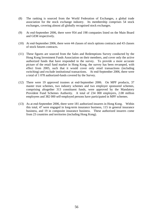- (8) The ranking is sourced from the World Federation of Exchanges, a global trade association for the stock exchange industry. Its membership comprises 54 stock exchanges, covering almost all globally recognised stock exchanges.
- (9) At end-September 2006, there were 954 and 198 companies listed on the Main Board and GEM respectively.
- (10) At end-September 2006, there were 44 classes of stock options contracts and 43 classes of stock futures contracts.
- (11) These figures are sourced from the Sales and Redemptions Survey conducted by the Hong Kong Investment Funds Association on their members, and cover only the active authorized funds that have responded to the survey. To provide a more accurate picture of the retail fund market in Hong Kong, the survey has been revamped, with effect from 2005, such that it would cover only retail transactions (including switching) and exclude institutional transactions. At end-September 2006, there were a total of 1 078 authorized-funds covered by the Survey.
- (12) There were 19 approved trustees at end-September 2006. On MPF products, 37 master trust schemes, two industry schemes and two employer sponsored schemes, comprising altogether 313 constituent funds, were approved by the Mandatory Provident Fund Schemes Authority. A total of 234 000 employers, 2.08 million employees and 382 000 self-employed persons have participated in MPF schemes.
- (13) As at end-September 2006, there were 181 authorized insurers in Hong Kong. Within this total, 47 were engaged in long-term insurance business, 115 in general insurance business, and 19 in composite insurance business. These authorized insurers come from 23 countries and territories (including Hong Kong).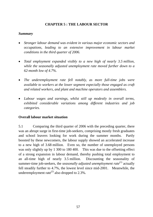## **CHAPTER 5 : THE LABOUR SECTOR**

### *Summary*

- *Stronger labour demand was evident in various major economic sectors and occupations, leading to an extensive improvement in labour market conditions in the third quarter of 2006.*
- *Total employment expanded visibly to a new high of nearly 3.5 million, while the seasonally adjusted unemployment rate moved further down to a 62-month low of 4.7%.*
- *The underemployment rate fell notably, as more full-time jobs were available to workers at the lower segment especially those engaged as craft and related workers, and plant and machine operators and assemblers.*
- *Labour wages and earnings, whilst still up modestly in overall terms, exhibited considerable variations among different industries and job categories.*

## **Overall labour market situation**

5.1 Comparing the third quarter of 2006 with the preceding quarter, there was an abrupt surge in first-time job-seekers, comprising mostly fresh graduates and school leavers looking for work during the summer months. Partly boosted by these newcomers, the labour supply showed an accelerated increase to a new high of 3.68 million. Even so, the number of unemployed persons was only slightly up by 1 300 to 180 400. This was due to the offsetting effect of a strong expansion in labour demand, thereby pushing total employment to an all-time high of nearly 3.5 million. Discounting the seasonality of summer-time job-seekers, the *seasonally adjusted unemployment rate*<sup>(1)</sup> actually fell steadily further to 4.7%, the lowest level since mid-2001. Meanwhile, the underemployment rate<sup>(2)</sup> also dropped to  $2.3\%$ .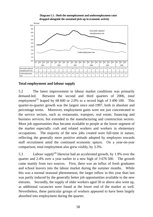**Diagram 5.1 : Both the unemployment and underemployment rates dropped alongside the sustained pick-up in economic activity**



## **Total employment and labour supply**

5.2 The latest improvement in labour market conditions was primarily demand-led. Between the second and third quarters of 2006, *total employment*<sup>(3)</sup> leaped by 68 600 or 2.0% to a record high of 3 496 100. This quarter-to-quarter growth was the largest since end-1997, both in absolute and percentage terms. Moreover, employment gains were not just concentrated in the service sectors, such as restaurants, transport, real estate, financing and business services, but extended to the manufacturing and construction sectors. More job opportunities thus became available to people at the lower segment of the market especially craft and related workers and workers in elementary occupations. The majority of the new jobs created were full-time in nature, reflecting the generally more positive attitude adopted by employers towards staff recruitment amid the continued economic upturn. On a year-on-year comparison, total employment also grew visibly, by 3.3%.

5.3 *Labour supply*(4) likewise had an accelerated growth, by 1.9% over the quarter and 2.4% over a year earlier to a new high of 3 676 500. The growth came mainly from two sources. First, there was an influx of fresh graduates and school leavers into the labour market during the summer months. While this was a normal seasonal phenomenon, the larger inflow in this year than last was partly induced by the generally better job opportunities available to the new entrants. Secondly, the supply of older workers aged 50 or above also went up, as additional vacancies were found at the lower end of the market as well. Nevertheless, these particular groups of workers appeared to have been largely absorbed into employment during the quarter.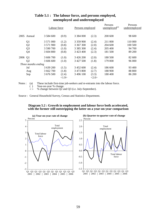|      |                     | Labour force  |       | Persons employed |       | Persons<br>unemployed <sup>(a)</sup> | Persons<br>underemployed |
|------|---------------------|---------------|-------|------------------|-------|--------------------------------------|--------------------------|
|      | 2005 Annual         | 3 5 8 4 6 0 0 | (0.9) | 3 3 8 4 0 0 0    | (2.3) | 200 600                              | 98 600                   |
|      | Q <sub>1</sub>      | 3 571 000     | (1.2) | 3 359 900        | (2.4) | 211 000                              | 110 000                  |
|      | Q2                  | 3 571 900     | (0.8) | 3 367 300        | (2.0) | 204 600                              | 100 500                  |
|      | Q <sub>3</sub>      | 3 590 700     | (1.0) | 3 3 8 5 3 0 0    | (2.4) | 205 400                              | 94 700                   |
|      | Q4                  | 3 604 800     | (0.8) | 3 423 400        | (2.3) | 181 500                              | 89 200                   |
| 2006 | Q <sub>1</sub>      | 3 606 700     | (1.0) | 3 4 2 6 2 0 0    | (2.0) | 180 500                              | 82 600                   |
|      | Q2                  | 3 606 600     | (1.0) | 3 427 500        | (1.8) | 179 000                              | 96 000                   |
|      | Three months ending |               |       |                  |       |                                      |                          |
|      | Jul                 | 3 639 200     | (1.5) | 3 452 600        | (2.4) | 186 600                              | 93 400                   |
|      | Aug                 | 3 662 700     | (1.8) | 3 473 800        | (2.7) | 188 900                              | 88 800                   |
|      | Sep                 | 3 676 500     | (2.4) | 3 496 100        | (3.3) | 180 400                              | 86 200                   |
|      |                     |               | <1.9> |                  | <2.0> |                                      |                          |

## **Table 5.1 : The labour force, and persons employed, unemployed and underemployed**

Notes : (a) These include first-time job-seekers and re-entrants into the labour force.

( ) Year-on-year % change.

 $\leq$  % change between Q2 and Q3 (i.e. July-September).

Source : General Household Survey, Census and Statistics Department.



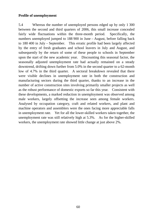## **Profile of unemployment**

5.4 Whereas the number of unemployed persons edged up by only 1 300 between the second and third quarters of 2006, this small increase concealed fairly wide fluctuations within the three-month period. Specifically, the numbers unemployed jumped to 188 900 in June – August, before falling back to 180 400 in July – September. This erratic profile had been largely affected by the entry of fresh graduates and school leavers in July and August, and subsequently by the return of some of these people to schools in September upon the start of the new academic year. Discounting this seasonal factor, the seasonally adjusted unemployment rate had actually remained on a steady downtrend, drifting down further from 5.0% in the second quarter to a 62-month low of 4.7% in the third quarter. A sectoral breakdown revealed that there were visible declines in unemployment rate in both the construction and manufacturing sectors during the third quarter, thanks to an increase in the number of active construction sites involving primarily smaller projects as well as the robust performance of domestic exports so far this year. Consistent with these developments, a marked reduction in unemployment was observed among male workers, largely offsetting the increase seen among female workers. Analysed by occupation category, craft and related workers, and plant and machine operators and assemblers were the ones facing more appreciable falls in unemployment rate. Yet for all the lower-skilled workers taken together, the unemployment rate was still relatively high at 5.3%. As for the higher-skilled workers, the unemployment rate showed little change at just above 2%.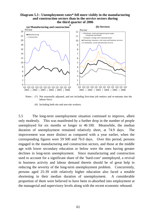### **Diagram 5.3 : Unemployment rates\* fell more visibly in the manufacturing and construction sectors than in the service sectors during the third quarter of 2006**



 Notes : (\*) Not seasonally adjusted, and not including first-time job seekers and re-entrants into the labour force.

(#) Including both site and non-site workers.

5.5 The long-term unemployment situation continued to improve, albeit only modestly. This was manifested by a further drop in the number of people unemployed for six months or longer to 46 100. Meanwhile, the median duration of unemployment remained relatively short, at 74.9 days. The improvement was more distinct as compared with a year earlier, when the corresponding figures were 59 500 and 76.0 days. Over this period, persons engaged in the manufacturing and construction sectors, and those at the middle age with lower secondary education or below were the ones having greater declines in long-term unemployment. Since manufacturing and construction used to account for a significant share of the 'hard-core' unemployed, a revival in business activity and labour demand therein should be of great help in reducing the severity of the long-term unemployment problem. Concurrently, persons aged 25-39 with relatively higher education also faced a notable shortening in their median duration of unemployment. A considerable proportion of them were believed to have been re-absorbed into employment at the managerial and supervisory levels along with the recent economic rebound.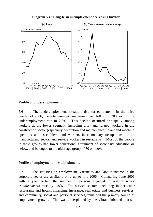

**Diagram 5.4 : Long-term unemployment decreasing further**

### **Profile of underemployment**

5.6 The underemployment situation also turned better. In the third quarter of 2006, the total numbers underemployed fell to 86 200, as did the underemployment rate to 2.3%. This decline occurred principally among workers at the lower segment, including craft and related workers in the construction sector (especially decoration and maintenance); plant and machine operators and assemblers, and workers in elementary occupations in the manufacturing sector; and service workers in restaurants. Most of the people in these groups had lower educational attainment of secondary education or below, and belonged to the older age group of 50 or above.

### **Profile of employment in establishments**

5.7 The statistics on employment, vacancies and labour income in the corporate sector are available only up to mid-2006. Comparing June 2006 with a year earlier, the number of persons engaged in *private sector establishments* rose by 1.8%. The service sectors, including in particular restaurants and hotels; financing, insurance, real estate and business services; and community, social and personal services, remained the primary source of employment growth. This was underpinned by the vibrant inbound tourism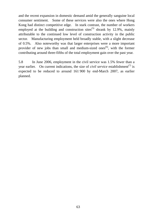and the recent expansion in domestic demand amid the generally sanguine local consumer sentiment. Some of these services were also the ones where Hong Kong had distinct competitive edge. In stark contrast, the number of workers employed at the building and construction sites<sup>(5)</sup> shrank by 12.9%, mainly attributable to the continued low level of construction activity in the public sector. Manufacturing employment held broadly stable, with a slight decrease of 0.5%. Also noteworthy was that larger enterprises were a more important provider of new jobs than small and medium-sized ones<sup> $(6)$ </sup>, with the former contributing around three-fifths of the total employment gain over the past year.

5.8 In June 2006, employment in the civil service was 1.5% fewer than a year earlier. On current indications, the size of *civil service* establishment<sup> $(7)$ </sup> is expected to be reduced to around 161 900 by end-March 2007, as earlier planned.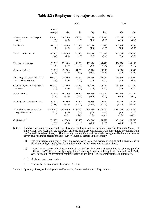### **Table 5.2 : Employment by major economic sector**

|                                                                     |                    |                             | 2005                        |                             |                             | 2006                        |                             |
|---------------------------------------------------------------------|--------------------|-----------------------------|-----------------------------|-----------------------------|-----------------------------|-----------------------------|-----------------------------|
|                                                                     | Annual<br>average  | Mar                         | Jun                         | Sep                         | Dec                         | Mar                         | Jun                         |
| Wholesale, import and export                                        | 581 800            | 583 100                     | 579 100                     | 585 300                     | 579 500                     | 581 200                     | 581 700                     |
| trades                                                              | (2.5)              | (4.8)                       | (2.8)                       | (1.4)                       | (0.9)                       | $(-0.3)$                    | (0.4)                       |
| Retail trade                                                        | 221 100            | 216 000                     | 224 600                     | 221 700                     | 221 900                     | 225 900                     | 229 300                     |
|                                                                     | (1.8)              | (0.7)                       | (3.7)                       | (1.0)                       | (1.6)                       | (4.6)                       | (2.1)                       |
| Restaurants and hotels                                              | 215 400            | 210 700                     | 214 500                     | 214 300                     | 222 300                     | 221 800                     | 225 800                     |
|                                                                     | (3.6)              | (2.9)                       | (2.3)                       | (3.7)                       | (5.4)                       | (5.3)                       | (5.3)                       |
| Transport and storage                                               | 153 300            | 151 400                     | 153 700                     | 153 400                     | 154 600                     | 154 100                     | 155 200                     |
|                                                                     | (3.6)              | (4.3)                       | (4.1)                       | (3.6)                       | (2.6)                       | (1.8)                       | (1.0)                       |
| Communications                                                      | 30 000             | 29 800                      | 31 200                      | 29 700                      | 29 200                      | 30 000                      | 29 300                      |
|                                                                     | $(-2.4)$           | $(-3.6)$                    | (0.1)                       | $(-1.2)$                    | $(-4.9)$                    | (0.6)                       | $(-5.9)$                    |
| Financing, insurance, real estate                                   | 456 100            | 447 600                     | 457 200                     | 455 400                     | 464 400                     | 468 300                     | 475 900                     |
| and business services                                               | (4.4)              | (4.4)                       | (5.3)                       | (4.0)                       | (3.8)                       | (4.6)                       | (4.1)                       |
| Community, social and personal                                      | 439 000            | 434 400                     | 437 000                     | 437 700                     | 446 800                     | 451 300                     | 451 700                     |
| services                                                            | (4.5)              | (5.4)                       | (4.5)                       | (5.3)                       | (2.7)                       | (3.9)                       | (3.4)                       |
| Manufacturing                                                       | 164 700            | 163 100                     | 161 900                     | 166 300                     | 167 400                     | 161 500                     | 161 100                     |
|                                                                     | $(-2.0)$           | $(-3.5)$                    | $(-4.5)$                    | $(-1.0)$                    | (1.3)                       | $(-1.0)$                    | $(-0.5)$                    |
| Building and construction sites                                     | 59 300             | 65 800                      | 60 000                      | 56 800                      | 54 500                      | 54 900                      | 52 300                      |
|                                                                     | $(-10.6)$          | $(-4.8)$                    | $(-14.2)$                   | $(-12.4)$                   | $(-11.1)$                   | $(-16.5)$                   | $(-12.9)$                   |
| All establishments surveyed in<br>the private sector <sup>(a)</sup> | 2 328 700<br>(2.5) | 2 310 000<br>(3.2)<br><0.6> | 2 327 300<br>(2.6)<br><0.4> | 2 328 900<br>(2.3)<br><0.2> | 2 348 700<br>(2.0)<br><0.8> | 2 357 200<br>(2.0)<br><0.6> | 2 370 400<br>(1.8)<br><0.2> |
| Civil service $^{(b)}$                                              | 156 500            | 157 300                     | 156 800                     | 156 200                     | 155 500                     | 155 000                     | 154 500                     |
|                                                                     | $(-2.7)$           | $(-3.5)$                    | $(-3.0)$                    | $(-2.4)$                    | $(-1.8)$                    | $(-1.5)$                    | $(-1.5)$                    |

Notes : Employment figures enumerated from business establishments, as obtained from the Quarterly Survey of Employment and Vacancies, are somewhat different from those enumerated from households, as obtained from the General Household Survey. This is mainly due to difference in sectoral coverage: while the former survey covers selected major sectors, the latter survey covers all sectors in the economy.

- (a) The total figures on private sector employment cover also employment in mining and quarrying and in electricity and gas supply, besides employment in the major sectors indicated above.
- (b) These figures cover only those employed on civil service terms of appointment. Judges, judicial officers, ICAC officers, locally engaged staff working in overseas Hong Kong Economic and Trade Offices, and other Government employees such as non-civil service contract staff are not included.
- ( ) % change over a year earlier.

< > Seasonally adjusted quarter-to-quarter % change.

Source : Quarterly Survey of Employment and Vacancies, Census and Statistics Department.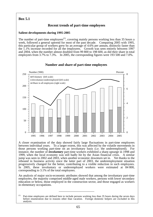**Box 5.1** 

## **Recent trends of part-time employees**

### **Salient developments during 1995-2005**

The number of part-time employees<sup> $(1)$ </sup>, covering mainly persons working less than 35 hours a week, followed a general uptrend for most of the past decade. Comparing 2005 with 1995, this particular group of workers grew by an average of 4.6% per annum, distinctly faster than the 1.1% increase recorded for all the employees. Growth was seen entirely between 1997 and 2004, when the number almost doubled from 99 800 to 198 600, as did their share in total employees from 3.7% to 7.3%. In 2005, the corresponding figures were 193 500 and 7.0%.



### **Number and share of part-time employees**

A closer examination of the data showed fairly large fluctuations in part-time employees between individual years. To a larger extent, this was affected by the volatile movements in those persons working part-time on an involuntary basis (i.e. the underemployed). For instance, the number of *involuntary* part-time workers exhibited a sharp upsurge in 1998 and 1999, when the local economy was still badly hit by the Asian financial crisis. A similar jump was seen in 2002 and 2003, when another economic downturn set in. Yet thanks to the rebound in business activity since the latter part of 2003, the underemployment situation progressively changed for the better, contributing to a visible reduction in such employees. In 2005, these involuntary or underemployed workers were estimated at 84 800, corresponding to 3.1% of the total employees.

An analysis of major socio-economic attributes showed that among the involuntary part-time employees, the majority comprised middle-aged male workers, persons with lower secondary education or below, those employed in the construction sector, and those engaged as workers in elementary occupations.

\_\_\_\_\_\_\_\_\_\_\_\_\_\_\_\_\_\_\_\_\_\_\_

<sup>(1)</sup> Part-time employees are defined here to include persons working less than 35 hours during the seven days before enumeration due to reasons other than vacation. Foreign domestic helpers are excluded in this analysis.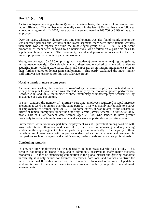## **Box 5.1 (cont'd)**

As to employees working *voluntarily* on a part-time basis, the pattern of movement was rather different. The number was generally steady in the late 1990s, but has since followed a notable rising trend. In 2005, these workers were estimated at 108 700 or 3.9% of the total employees.

Over the years, whereas voluntary part-time employment was also found mainly among the less-educated persons and workers at the lower segment, there were more female workers than male workers especially within the middle-aged group of  $30 - 59$ . A significant proportion of them were believed to be housewives, who worked on a part-time basis to supplement family income. The community, social and personal services sector had the highest proportion of voluntary part-time workers.

Young persons aged 15 - 19 (comprising mostly students) were the other major group gaining in importance recently. Conceivably, many of these people worked part-time with a view to acquiring more working experience, skills and exposure, as an interim arrangement prior to their further studies or longer-term employment. This partly explained the much higher staff turnover rate observed for this particular age group.

### **Notable trends in more recent years**

As mentioned earlier, the number of *involuntary* part-time employees fluctuated rather widely from year to year, which was affected heavily by the economic growth performance. Between 2000 and 2005, the number of these involuntary or underemployed workers fell by an average of 1.2% per annum.

In stark contrast, the number of *voluntary* part-time employees registered a rapid increase averaging at 9.5% per annum over the same period. This was mainly attributable to a surge in employment of women aged 20 - 59. To some extent, it was related to the substantial inflow of female immigrants under the One-way Permit (OWP) Scheme. Over 2000-2005, nearly half of OWP holders were women aged  $25 - 44$ , who tended to have greater propensity to participate in the workforce and seek work opportunities of part-time nature.

Furthermore, while voluntary part-time employment was still prevalent among workers with lower educational attainment and lesser skills, there was an increasing tendency among workers at the upper segment to take up part-time jobs more recently. The majority of these part-time employees were with upper secondary education or above and engaged in occupations such as managers and administrators, professionals and associate professionals.

#### **Concluding remarks**

In sum, part-time employment has been generally on the increase over the past decade. This trend is not unique to Hong Kong, and is commonly observed in many major overseas economies. In face of intensifying competition in the global market and growing economic uncertainty, it is only natural for business enterprises, both local and overseas, to strive for more operational flexibility in a cost-effective manner. Increased recruitment of part-time workers is one of the major means to attain greater flexibility in production and work arrangements.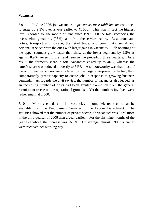## **Vacancies**

5.9 In June 2006, job vacancies in *private sector establishments* continued to surge by 9.3% over a year earlier to 41 500. This was in fact the highest level recorded for the month of June since 1997. Of the total vacancies, the overwhelming majority (95%) came from the service sectors. Restaurants and hotels, transport and storage, the retail trade, and community, social and personal services were the ones with larger gains in vacancies. Job openings at the upper segment grew faster than those at the lower segment, by 9.8% as against 8.9%, reversing the trend seen in the preceding three quarters. As a result, the former's share in total vacancies edged up to 46%, whereas the latter's share was reduced modestly to 54%. Also noteworthy was that most of the additional vacancies were offered by the large enterprises, reflecting their comparatively greater capacity to create jobs in response to growing business demands. As regards the *civil service*, the number of vacancies also leaped, as an increasing number of posts had been granted exemption from the general recruitment freeze on the operational grounds. Yet the numbers involved were rather small, at 2 500.

5.10 More recent data on job vacancies in some selected sectors can be available from the Employment Services of the Labour Department. The statistics showed that the number of private sector job vacancies was 3.0% more in the third quarter of 2006 than a year earlier. For the first nine months of the year as a whole, the increase was 16.5%. On average, almost 1 900 vacancies were received per working day.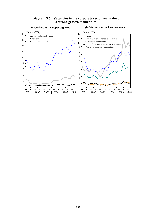### **Diagram 5.5 : Vacancies in the corporate sector maintained a strong growth momentum**

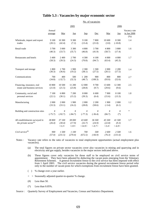|                                                               |                   |                          |                           |                            | No. of vacancies              |                           |                              |                                     |
|---------------------------------------------------------------|-------------------|--------------------------|---------------------------|----------------------------|-------------------------------|---------------------------|------------------------------|-------------------------------------|
|                                                               |                   |                          | 2005                      |                            |                               |                           | 2006                         |                                     |
|                                                               | Annual<br>average | Mar                      | Jun                       | <b>Sep</b>                 | Dec                           | Mar                       | Jun                          | Vacancy rate<br>in Jun 2006<br>(% ) |
| Wholesale, import and export<br>trades                        | 9 100<br>(20.1)   | 10 300<br>(42.4)         | 9 300<br>(7.2)            | 9 100<br>(13.4)            | 7800<br>(21.0)                | 10 600<br>(3.0)           | 8 3 0 0<br>$(-10.8)$         | 1.4                                 |
| Retail trade                                                  | 3700<br>(40.3)    | 3 000<br>(33.7)          | 3 300<br>(35.7)           | 4 800<br>(46.8)            | 3700<br>(41.9)                | 4 800<br>(58.7)           | 3 800<br>(17.4)              | 1.6                                 |
| Restaurants and hotels                                        | 3 400<br>(58.3)   | 2 400<br>(39.3)          | 2 700<br>(24.3)           | 4 300<br>(70.8)            | 4 100<br>(94.7)               | 4 0 0 0<br>(63.4)         | 4 0 0 0<br>(45.3)            | 1.7                                 |
| Transport and storage                                         | 1 800<br>(30.3)   | 1700<br>(36.6)           | 1 900<br>(19.2)           | 2 3 0 0<br>(38.1)          | 1500<br>(27.5)                | 2 0 0 0<br>(20.1)         | 2 2 0 0<br>(17.5)            | 1.4                                 |
| Communications                                                | 700<br>(34.8)     | 400<br>$(-32.7)$         | 500<br>(32.3)             | 1 200<br>(48.7)            | 900<br>(108.3)                | 800<br>(93.0)             | 800<br>(52.6)                | 2.7                                 |
| Financing, insurance, real<br>estate and business services    | 10 800<br>(21.0)  | 10 500<br>(21.5)         | 11 200<br>(23.8)          | 12 000<br>(28.8)           | 9700<br>(9.7)                 | 13 600<br>(29.6)          | 12 300<br>(9.6)              | 2.5                                 |
| Community, social and<br>personal services                    | 7 100<br>(22.1)   | 6 800<br>(30.1)          | 7 200<br>(15.2)           | 8 0 0 0<br>(39.3)          | 6 600<br>(6.4)                | 7 9 0 0<br>(15.6)         | 8 100<br>(13.3)              | 1.8                                 |
| Manufacturing                                                 | 2 0 0 0<br>(33.3) | 2 0 0 0<br>(33.1)        | 1 900<br>(16.2)           | 2 0 0 0<br>(28.8)          | 2 2 0 0<br>(58.6)             | 1 900<br>$(-3.4)$         | 2 0 0 0<br>(6.1)             | 1.2                                 |
| Building and construction sites                               | $\#$<br>$(-75.7)$ | #<br>$(-92.7)$           | #<br>$(-84.7)$            | #<br>$(-77.3)$             | #<br>$(-36.4)$                | #<br>(66.7)               | #<br>$(*)$                   | $\ast$                              |
| All establishments surveyed in<br>the private sector $^{(a)}$ | 38 800<br>(26.4)  | 37 100<br>(30.4)<br>5.3> | 38 000<br>(17.9)<br><3.9> | 43 600<br>(32.7)<br><14.9> | 36 500<br>(24.9)<br>$< -0.7>$ | 45 500<br>(22.8)<br><3.4> | 41 500<br>(9.3)<br>$< -6.9>$ | 1.7                                 |
| Civil service <sup>(b)</sup>                                  | 900<br>(57.0)     | 1500<br>(231.5)          | 1 100<br>(270.4)          | 700<br>(672.5)             | 500<br>$(-66.9)$              | 2 600<br>(76.3)           | 2 500<br>(131.6)             | 1.6                                 |

### **Table 5.3 : Vacancies by major economic sector**

Notes : Vacancy rate refers to the ratio of vacancies to total employment opportunities (actual employment plus vacancies).

(a) The total figures on private sector vacancies cover also vacancies in mining and quarrying and in electricity and gas supply, besides vacancies in the major sectors indicated above.

(b) These figures cover only vacancies for those staff to be employed on civil service terms of appointment. They have been adjusted by deducting the vacant posts emerging from the Voluntary Retirement Schemes. A general recruitment freeze to the civil service has been imposed with effect from 1 April 2003. The civil service vacancies during the general recruitment freeze period refer only to the number of vacant posts for which exemptions from recruitment freeze have been granted.

( ) % change over a year earlier.

 $\langle$  > Seasonally adjusted quarter-to-quarter % change.

- (#) Less than 50.
- (\*) Less than 0.05%.

Source : Quarterly Survey of Employment and Vacancies, Census and Statistics Department.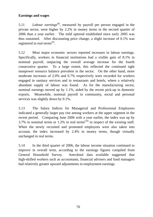## **Earnings and wages**

5.11 *Labour earnings*(8), measured by payroll per person engaged in the private sector, were higher by 2.2% in money terms in the second quarter of 2006 than a year earlier. The mild uptrend established since early 2005 was thus sustained. After discounting price change, a slight increase of 0.1% was registered in real terms<sup> $(9)$ </sup>.

5.12 Most major economic sectors reported increases in labour earnings. Specifically, workers in financial institutions had a visible gain of 8.1% in nominal payroll, outpacing the overall average increase for the fourth consecutive quarter. To a large extent, this reflected the continued tight manpower resource balance prevalent in the sector. On the other hand, more moderate increases of 2.0% and 0.7% respectively were recorded for workers engaged in sanitary services and in restaurants and hotels, where a relatively abundant supply of labour was found. As for the manufacturing sector, nominal earnings moved up by 1.1%, aided by the recent pick-up in domestic exports. Meanwhile, nominal payroll in community, social and personal services was slightly down by 0.1%.

5.13 The Salary Indices for Managerial and Professional Employees indicated a generally larger pay rise among workers at the upper segment in the recent period. Comparing June 2006 with a year earlier, the index was up by 3.7% in nominal terms or 1.2% in real terms<sup> $(10)$ </sup> in respect of the existing staff. When the newly recruited and promoted employees were also taken into account, the index increased by 2.4% in money terms, though virtually unchanged in real terms.

5.14 In the third quarter of 2006, the labour income situation continued to improve in overall term, according to the earnings figures compiled from General Household Survey. Anecdotal data available suggested that high-skilled workers such as accountants, financial advisers and fund managers had relatively greater upward adjustments in employment earnings.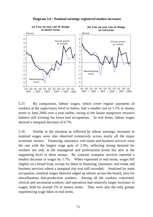

**Diagram 5.6 : Nominal earnings registered modest increases**

5.15 By comparison, *labour wages*, which cover regular payments of workers at the supervisory level or below, had a smaller rise of 1.1% in money terms in June 2006 over a year earlier, owing to the looser manpower resource balance still existing for lower-end occupations. In real terms, labour wages showed a marginal decrease of 0.7%.

5.16 Similar to the situation as reflected by labour earnings, increases in nominal wages were also observed extensively across nearly all the major economic sectors. Financing, insurance, real estate and business services were the one with the largest wage gain of 2.0%, reflecting strong demand for workers not only at the managerial and professional levels but also at the supporting level in these arenas. By contrast, transport services reported a modest decrease in wages by 1.7%. When expressed in real terms, wages fell slightly on a broad front, except for those in financing, insurance, real estate and business services where a marginal rise was still recorded. Analysed by main occupation, nominal wages likewise edged up almost across-the-board, save for miscellaneous non-production workers. Among all the workers concerned, clerical and secretarial workers, and operatives had relatively larger increases in wages, both by around 2% in money terms. They were also the only groups experiencing wage hikes in real terms.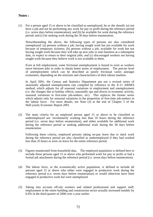### **Notes :**

(1) For a person aged 15 or above to be classified as unemployed, he or she should: (a) not have a job and not be performing any work for pay or profit during the reference period (i.e. seven days before enumeration); and (b) be available for work during the reference period; and (c) be seeking work during the 30 days before enumeration.

 Notwithstanding the above, the following types of persons are also considered unemployed: (a) persons without a job, having sought work but not available for work because of temporary sickness; (b) persons without a job, available for work but not having sought work because they will take up new jobs or start business at a subsequent date, or expect to return to their original jobs; and (c) discouraged workers not having sought work because they believe work is not available to them.

 Even at full employment, some frictional unemployment is bound to exist as workers move between jobs in order to obtain better terms of employment. The precise level of unemployment which can be described as purely frictional varies amongst economies, depending on the structure and characteristics of their labour markets.

 In April 2001, the Census and Statistics Department put out a revised series of seasonally adjusted unemployment rate compiled by reference to the X-11 ARIMA method, which adjusts for all seasonal variations in employment and unemployment (i.e. the changes due to holiday effects, seasonally ups and downs in economic activity, seasonal variations in first-time job-seekers, etc). This replaces the former series which adjusts only for seasonal variations in the proportion of first-time job-seekers in the labour force. For more details, see Note (3) at the end of Chapter 5 of the Half-yearly Economic Report 2001.

(2) The main criteria for an employed person aged 15 or above to be classified as underemployed are: involuntarily working less than 35 hours during the reference period (i.e. seven days before enumeration), and either available for additional work during the reference period or seeking additional work during the 30 days before enumeration.

 Following these criteria, employed persons taking no-pay leave due to slack work during the reference period are also classified as underemployed if they had worked less than 35 hours or were on leave for the entire reference period.

- (3) Figures enumerated from household data. The employed population is defined here to include those persons aged 15 or above who performed work for pay or profit or had a formal job attachment during the reference period (i.e. seven days before enumeration).
- (4) The labour force, or the economically active population, is defined to include all persons aged 15 or above who either were engaged in productive work during the reference period (i.e. seven days before enumeration) or would otherwise have been engaged in productive work but were unemployed.
- (5) Taking into account off-site workers and related professional and support staff, employment in the entire building and construction sector actually increased notably by 6.6% in the third quarter of 2006 over a year earlier.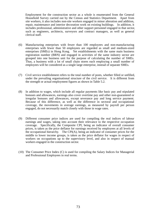Employment for the construction sector as a whole is enumerated from the General Household Survey carried out by the Census and Statistics Department. Apart from site workers, it also includes non-site workers engaged in minor alteration and addition, repair, maintenance and interior decoration work on existing buildings. In addition, it includes professional, administrative and other support personnel engaged in that sector, such as engineers, architects, surveyors and contract managers, as well as general clerical staff.

- (6) Manufacturing enterprises with fewer than 100 employees and non-manufacturing enterprises with fewer than 50 employees are regarded as small and medium-sized enterprises (SMEs) in Hong Kong. Yet establishments with the same main business registration number (BRN) and engaged in activities of the same industry sector are grouped into one business unit for the purpose of calculating the number of SMEs. Thus, a business with a lot of small chain stores each employing a small number of employees will be considered as a single large enterprise, instead of separate SMEs.
- (7) Civil service establishment refers to the total number of posts, whether filled or unfilled, under the prevailing organisational structure of the civil service. It is different from the strength or actual employment figures as shown in Table 5.2.
- (8) In addition to wages, which include all regular payments like basic pay and stipulated bonuses and allowances, earnings also cover overtime pay and other non-guaranteed or irregular bonuses and allowances, except severance pay and long service payment. Because of this difference, as well as the difference in sectoral and occupational coverage, the movements in average earnings, as measured by payroll per person engaged, do not necessarily match closely with those in wage rates.
- (9) Different consumer price indices are used for compiling the real indices of labour earnings and wages, taking into account their relevance to the respective occupation coverage. Specifically, the Composite CPI, being an indicator of overall consumer prices, is taken as the price deflator for earnings received by employees at all levels of the occupational hierarchy. The CPI(A), being an indicator of consumer prices for the middle to lower income groups, is taken as the price deflator for wages in respect of workers on occupations up to the supervisory level, and also in respect of manual workers engaged in the construction sector.
- (10) The Consumer Price Index (C) is used for compiling the Salary Indices for Managerial and Professional Employees in real terms.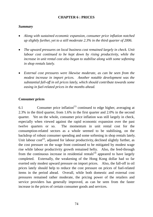## **CHAPTER 6 : PRICES**

### *Summary*

- *Along with sustained economic expansion, consumer price inflation notched up slightly further, yet to a still moderate 2.3% in the third quarter of 2006.*
- *The upward pressures on local business cost remained largely in check. Unit*  labour cost continued to be kept down by rising productivity, while the *increase in unit rental cost also began to stabilise along with some softening in shop rentals lately.*
- *External cost pressures were likewise moderate, as can be seen from the modest increase in import prices. Another notable development was the substantial fall-off in oil prices lately, which should contribute towards some easing in fuel-related prices in the months ahead.*

## **Consumer prices**

6.1 Consumer price inflation<sup> $(1)$ </sup> continued to edge higher, averaging at 2.3% in the third quarter, from 1.6% in the first quarter and 2.0% in the second quarter. Yet on the whole, consumer price inflation was still largely in check, especially when viewed against the rapid economic expansion over the past twelve quarters or so. The momentum in unit rental cost for the consumption-related sectors as a whole seemed to be stabilising, on the backdrop of robust consumer spending and some softening in shop rentals lately. Unit labour  $cost^{(2)}$ , adjusted for labour productivity, declined slightly further, as the cost pressure on the wage front continued to be mitigated by modest wage rise while labour productivity growth remained hefty. Also, the feed-through from the continuous increase in residential rentals<sup>(3)</sup> appeared to have largely completed. Externally, the weakening of the Hong Kong dollar had so far exerted only modest upward pressure on import prices. Also, the fall-off in oil prices lately should help to reduce the cost pressure on prices of fuel-related items in the period ahead. Overall, while both domestic and external cost pressures remained rather moderate, the pricing power of the retailers and service providers has generally improved, as can be seen from the faster increase in the prices of certain consumer goods and services.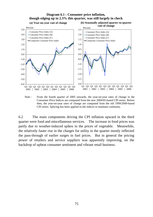#### **Diagram 6.1 : Consumer price inflation, though edging up to 2.3% this quarter, was still largely in check**



Note : From the fourth quarter of 2005 onwards, the year-on-year rates of change in the Consumer Price Indices are computed from the new 2004/05-based CPI series. Before then, the year-on-year rates of change are computed from the old 1999/2000-based CPI series. Splicing has been applied to the indices to maintain continuity.

6.2 The main components driving the CPI inflation upward in the third quarter were food and miscellaneous services. The increase in food prices was partly due to weather-induced spikes in the prices of vegetable. Meanwhile, the relatively faster rise in the charges for utility in the quarter mostly reflected the pass-through of earlier surges in fuel prices. But in general the pricing power of retailers and service suppliers was apparently improving, on the backdrop of upbeat consumer sentiment and vibrant retail business.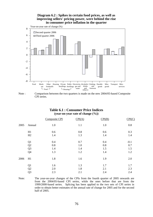#### **Diagram 6.2 : Spikes in certain food prices, as well as improving sellers' pricing power, were behind the rise in consumer price inflation in the quarter**



Note : Comparison between the two quarters is made on the new 2004/05-based Composite CPI series.

#### **Table 6.1 : Consumer Price Indices (year-on-year rate of change (%))**

|      |                | Composite CPI | CPI(A) | CPI(B) | CPI(C) |
|------|----------------|---------------|--------|--------|--------|
| 2005 | Annual         | 1.0           | 1.1    | 1.0    | 0.8    |
|      | H1             | 0.6           | 0.8    | 0.6    | 0.3    |
|      | H2             | 1.4           | 1.3    | 1.4    | 1.4    |
|      | Q1             | 0.4           | 0.7    | 0.4    | $-0.1$ |
|      | Q2             | 0.8           | 1.0    | 0.8    | 0.7    |
|      | Q <sub>3</sub> | 1.4           | 1.4    | 1.5    | 1.5    |
|      | Q4             | 1.3           | 1.2    | 1.4    | 1.2    |
| 2006 | H1             | 1.8           | 1.6    | 1.9    | 2.0    |
|      | Q1             | 1.6           | 1.3    | 1.7    | 1.7    |
|      | Q2             | 2.0           | 1.8    | 2.1    | 2.3    |
|      | Q <sub>3</sub> | 2.3           | 2.1    | 2.4    | 2.4    |
|      |                |               |        |        |        |

Note: The year-on-year changes of the CPIs from the fourth quarter of 2005 onwards are from the 2004/05-based CPI series, while the ones before that are from the 1999/2000-based series. Splicing has been applied to the two sets of CPI series in order to obtain better estimates of the annual rate of change for 2005 and for the second half of 2005.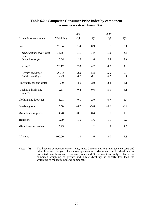|                                 |           | 2005           |          | 2006   |        |
|---------------------------------|-----------|----------------|----------|--------|--------|
| <b>Expenditure component</b>    | Weighting | Q <sub>4</sub> | $\Omega$ | Q2     | $Q_3$  |
| Food                            | 26.94     | 1.4            | 0.9      | 1.7    | 2.1    |
| Meals bought away from<br>home  | 16.86     | 1.1            | 1.0      | 1.3    | 1.5    |
| Other foodstuffs                | 10.08     | 1.9            | 1.0      | 2.3    | 3.1    |
| Housing <sup>(a)</sup>          | 29.17     | 2.8            | 4.2      | 4.9    | 4.8    |
| Private dwellings               | 23.93     | 3.3            | 5.0      | 5.9    | 5.7    |
| Public dwellings                | 2.49      | 0.1            | 0.1      | 0.1    | 0.1    |
| Electricity, gas and water      | 3.59      | 4.0            | 3.9      | 3.4    | 4.1    |
| Alcoholic drinks and<br>tobacco | 0.87      | 0.4            | $-0.6$   | $-5.9$ | $-4.1$ |
| Clothing and footwear           | 3.91      | 0.1            | $-2.0$   | $-0.7$ | 1.7    |
| Durable goods                   | 5.50      | $-6.7$         | $-5.8$   | $-6.6$ | $-6.9$ |
| Miscellaneous goods             | 4.78      | $-0.1$         | 0.4      | 1.8    | 1.9    |
| Transport                       | 9.09      | 1.5            | 1.6      | 1.1    | 0.2    |
| Miscellaneous services          | 16.15     | 1.1            | 1.2      | 1.9    | 2.5    |
| All items                       | 100.00    | 1.3            | 1.6      | 2.0    | 2.3    |

## **Table 6.2 : Composite Consumer Price Index by component (year-on-year rate of change (%))**

Note: (a) The housing component covers rents, rates, Government rent, maintenance costs and other housing charges. Its sub-components on private and public dwellings as presented here, however, cover rents, rates and Government rent only. Hence, the combined weighting of private and public dwellings is slightly less than the weighting of the entire housing component.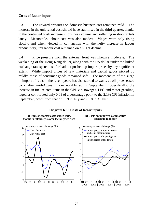### **Costs of factor inputs**

6.3 The upward pressures on domestic business cost remained mild. The increase in the unit rental cost should have stablilised in the third quarter, thanks to the continued brisk increase in business volume and softening in shop rentals lately. Meanwhile, labour cost was also modest. Wages were only rising slowly, and when viewed in conjunction with the hefty increase in labour productivity, unit labour cost remained on a slight decline.

6.4 Price pressure from the external front was likewise moderate. The weakening of the Hong Kong dollar, along with the US dollar under the linked exchange rate system, so far had not pushed up import prices by any significant extent. While import prices of raw materials and capital goods picked up mildly, those of consumer goods remained soft. The momentum of the surge in import of fuels in the recent years has also started to wane, as oil prices eased back after mid-August, more notably so in September. Specifically, the increase in fuel-related items in the CPI, viz. towngas, LPG and motor gasoline, together contributed only 0.08 of a percentage point to the 2.1% CPI inflation in September, down from that of 0.19 in July and 0.18 in August.

#### **Diagram 6.3 : Costs of factor inputs**



#### **(b) Costs on imported commodities picked up modestly**

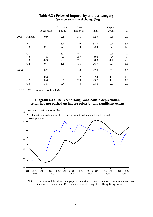|      |                | Foodstuffs | Consumer<br>goods | Raw<br>materials | <b>Fuels</b> | Capital<br>goods | $\underline{\mathrm{All}}$ |
|------|----------------|------------|-------------------|------------------|--------------|------------------|----------------------------|
| 2005 | Annual         | 0.9        | 2.8               | 3.1              | 32.9         | $-0.5$           | 2.7                        |
|      | H1             | 2.1        | 3.4               | 4.6              | 33.3         | 0.1              | 3.6                        |
|      | H2             | $-0.4$     | 2.3               | 1.8              | 32.4         | $-0.9$           | 1.9                        |
|      | Q1             | 2.8        | 3.2               | 5.7              | 27.1         | 0.6              | 4.0                        |
|      | Q2             | 1.5        | 3.6               | 3.7              | 39.9         | $-0.4$           | 3.3                        |
|      | Q <sub>3</sub> | $-0.3$     | 2.9               | 2.1              | 38.3         | $-1.1$           | 2.3                        |
|      | Q4             | $-0.4$     | 1.8               | 1.5              | 26.7         | $-0.7$           | 1.6                        |
| 2006 | H1             | 0.2        | 0.3               | 1.8              | 27.5         | $\ast$           | 1.5                        |
|      | Q1             | $-0.3$     | 0.5               | 1.2              | 32.4         | $-1.5$           | 1.0                        |
|      | Q2             | 0.6        | 0.1               | 2.3              | 23.7         | 1.3              | 1.9                        |
|      | Q3             | 1.5        | 0.4               | 4.3              | 13.6         | 2.0              | 2.7                        |

### **Table 6.3 : Prices of imports by end-use category (year-on-year rate of change (%))**

Note :  $(*)$  Change of less than 0.5%

### **Diagram 6.4 : The recent Hong Kong dollars depreciation so far had not pushed up import prices by any significant extent**



Note : The nominal EERI in this graph is inverted in scale for easier comprehension. An increase in the nominal EERI indicates weakening of the Hong Kong dollar.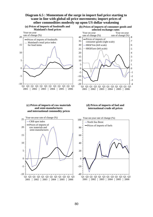#### **Diagram 6.5 : Momentum of the surge in import fuel price starting to wane in line with global oil price movements; import prices of other commodities modestly up upon US dollar weakening**





**(b) Prices of imports of consumer goods and** 

#### **(c) Prices of imports of raw materials and semi-manufactures and international commodity prices**



#### **(d) Prices of imports of fuel and international crude oil prices**

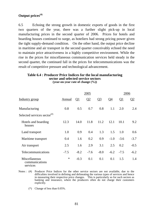## **Output prices(4)**

6.5 Echoing the strong growth in domestic exports of goods in the first two quarters of the year, there was a further slight pick-up in local manufacturing prices in the second quarter of 2006. Prices for hotels and boarding houses continued to surge, as hoteliers had strong pricing power given the tight supply-demand condition. On the other hand, the output price decline in maritime and air transport in the second quarter conceivably echoed the need to maintain price attractiveness in a highly competitive environment. While the rise in the prices for miscellaneous communication services held steady in the second quarter, the continued fall in the prices for telecommunications was the result of competitive pressure and technological advancement.

#### **Table 6.4 : Producer Price Indices for the local manufacturing sector and selected service sectors (year-on-year rate of change (%))**

|                                                                      |        |          | 2005   |        |        | 2006     |                |
|----------------------------------------------------------------------|--------|----------|--------|--------|--------|----------|----------------|
| Industry group                                                       | Annual | $\Omega$ | Q2     | $Q_3$  | $Q_4$  | $\Omega$ | Q <sub>2</sub> |
| Manufacturing                                                        | 0.8    | 0.5      | 0.7    | 0.8    | 1.1    | 2.0      | 2.4            |
| Selected services sector $($ <sup><math>#</math><math>)</math></sup> |        |          |        |        |        |          |                |
| Hotels and boarding<br>houses                                        | 12.3   | 14.0     | 11.8   | 11.2   | 12.1   | 10.1     | 9.2            |
| Land transport                                                       | 1.0    | 0.9      | 0.4    | 1.3    | 1.5    | 1.0      | 0.6            |
| Maritime transport                                                   | 0.4    | 1.6      | 0.2    | 0.9    | $-1.0$ | $-3.6$   | $-3.7$         |
| Air transport                                                        | 2.5    | 1.6      | 2.9    | 3.1    | 2.5    | 0.2      | $-0.5$         |
| Telecommunications                                                   | $-7.5$ | $-8.2$   | $-7.6$ | $-8.0$ | $-6.2$ | $-7.5$   | $-6.2$         |
| Miscellaneous<br>communications<br>services                          | $\ast$ | $-0.3$   | 0.1    | 0.1    | 0.1    | 1.5      | 1.4            |

Notes : (#) Producer Price Indices for the other service sectors are not available, due to the difficulties involved in defining and delineating the various types of services and hence in measuring their respective price changes. This is particularly so for such sectors as banking and insurance, where the producers often do not charge their customers explicitly.

(\*) Change of less than 0.05%.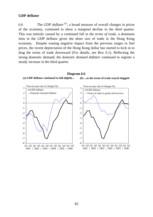### **GDP deflator**

6.6 The *GDP deflator* (5), a broad measure of overall changes in prices of the economy, continued to show a marginal decline in the third quarter. This was entirely caused by a continued fall in the *terms of trade*, a dominant item in the GDP deflator given the sheer size of trade in the Hong Kong economy. Despite waning negative impact from the previous surges in fuel prices, the recent depreciation of the Hong Kong dollar has started to kick in to drag the terms of trade downward (For details, see Box 6.1). Reflecting the strong domestic demand, the *domestic demand deflator* continued to register a steady increase in the third quarter.

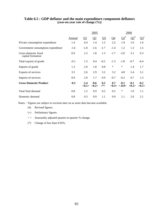|                                           |        |                           | 2005                      |            |        |                       | 2006            |                           |
|-------------------------------------------|--------|---------------------------|---------------------------|------------|--------|-----------------------|-----------------|---------------------------|
|                                           | Annual | $\Omega$                  | $\Omega$                  | $Q_3$      | $Q_4$  | $\Omega^{1}$          | $\Omega^*$      | $Q_2^+$                   |
| Private consumption expenditure           | 1.4    | 0.4                       | 1.4                       | 1.5        | 2.2    | 1.9                   | 1.6             | 1.6                       |
| Government consumption expenditure        | $-1.6$ | $-1.8$                    | $-1.6$                    | $-1.7$     | $-1.4$ | 1.2                   | 1.3             | 1.5                       |
| Gross domestic fixed<br>capital formation | 0.9    | 2.3                       | 1.8                       | 1.3        | $-1.7$ | $-2.0$                | 3.1             | 6.3                       |
| Total exports of goods                    | $-0.1$ | 1.3                       | 0.4                       | $-0.2$     | $-1.3$ | $-1.8$                | $-0.7$          | $-0.4$                    |
| Imports of goods                          | 1.3    | 2.9                       | 1.8                       | 0.8        | $\ast$ | $\ast$                | 1.4             | 1.7                       |
| Exports of services                       | 3.5    | 2.6                       | 2.9                       | 3.2        | 5.2    | 4.8                   | 5.4             | 5.1                       |
| Imports of services                       | 0.9    | 2.0                       | 1.7                       | 0.9        | $-0.7$ | $-0.2$                | 0.7             | 1.3                       |
| <b>Gross Domestic Product</b>             | $-0.2$ | $-1.4$<br>$<\!\!0.1\!\!>$ | $-0.6$<br>$<\!\!0.2\!\!>$ | 0.2<br><*> | 0.7    | $-0.1$<br><0.5> <0.9> | $-0.1$<br><0.2> | $-0.2$<br>$<\!\!0.1\!\!>$ |
| Total final demand                        | 0.8    | 1.2                       | 0.9                       | 0.5        | 0.2    | $\ast$                | 1.0             | 1.1                       |
| Domestic demand                           | 0.8    | 0.3                       | 0.9                       | 1.1        | 0.9    | 1.1                   | 2.0             | 2.1                       |

### **Table 6.5 : GDP deflator and the main expenditure component deflators (year-on-year rate of change (%))**

Notes : Figures are subject to revision later on as more data become available.

- (#) Revised figures.
- (+) Preliminary figures.
- < > Seasonally adjusted quarter-to-quarter % change.
- (\*) Change of less than 0.05%.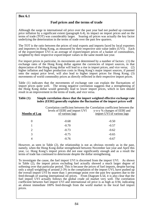### **Box 6.1**

## **Fuel prices and the terms of trade**

Although the surge in international oil price over the past year had not pushed up consumer price inflation by a significant extent (paragraph 6.4), its impact on import prices and on the terms of trade (TOT) was considerably larger. Soaring oil prices was actually the key factor underlying the deterioration in the terms of trade over the past few quarters.

The TOT is the ratio between the prices of total exports and imports faced by local exporters and importers in Hong Kong, as measured by their respective unit value index (UVI). Each of the export/import UVI is an average of export/import prices of a basket of commodities, weighted by their respective export/import values in the same month last year.

For import prices in particular, its movements are determined by a number of factors : (1) the exchange rates of the Hong Kong dollar against the currencies of import sources, in that depreciation of the Hong Kong dollar will lead to a rise in import prices, and vice versa; (2) higher inflation and higher production costs in Hong Kong's major import sources, if passed onto the output price level, will also lead to higher import prices for Hong Kong; (3) movements of world commodity prices as directly reflected in their respective import prices.

Table (1) indicates that the movements of exchange rate can explain the fluctuations of import prices quite well. The strong negative correlation suggests that a strengthening of the Hong Kong dollar would generally lead to lower import prices, which in turn should result in an improvement in the terms of trade, and vice versa.

| <b>Months of Lag</b> | Correlation coefficient between the Correlation coefficient between the<br>levels of EERI and import UVI<br>of various lags | y-o-y % changes of EERI and<br>import UVI of various lags |
|----------------------|-----------------------------------------------------------------------------------------------------------------------------|-----------------------------------------------------------|
| 0                    | $-0.68$                                                                                                                     | $-0.50$                                                   |
|                      | $-0.70$                                                                                                                     | $-0.57$                                                   |
| 2                    | $-0.73$                                                                                                                     | $-0.62$                                                   |
|                      | $-0.75$                                                                                                                     | $-0.65$                                                   |
|                      | $-0.76$                                                                                                                     | $-0.67$                                                   |

#### **Table (1): Simple correlation shows that the import weighted effective exchange rate index (EERI) generally explains the fluctuation of the import prices well**

However, as seen in Table (2), the relationship is not as obvious recently as in the past, namely, when the Hong Kong dollar strengthened between November last year and April this year, i.e. Hong Kong's import prices did not ease significantly enough and as a result the terms of trade has continued to deteriorate despite the dollar strengthening.

To investigate the cause, the fuel import UVI is discerned from the import UVI. As shown in Table (2), the import prices excluding fuel actually showed a much larger degree of softening over that particular period. This is because the prices of fuel imports, despite having only a small weighting of around 2-3% in the compilation of the import UVI, have pushed up the overall import UVI by more than 1 percentage point over the past few quarters due to the feed-through of soaring international oil prices. From Diagram 6.5d, it is also clear that the fuel import UVI actually follows the global crude oil market very well. The correlation coefficient between fuel import UVI and international oil price is as high as 0.94, indicating an almost immediate 100% feed-through from the world market to the local fuel import prices.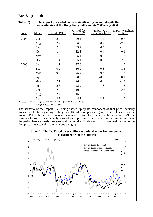### **Box 6.1 (cont'd)**

#### **Table (2): The import prices did not ease significantly enough despite the strengthening of the Hong Kong dollar in late 2005/early 2006**

| Year     | Month      | Import UVI <sup>(a)</sup>                              | UVI of fuel<br>$\frac{1}{2}$ imports $\frac{1}{2}$ | Import UVI<br>excluding fuel (a) | Import-weighted<br>EERI <sup>(a)</sup> |
|----------|------------|--------------------------------------------------------|----------------------------------------------------|----------------------------------|----------------------------------------|
| 2005     | Jul        | 2.7                                                    | 40.1                                               | 1.4                              | $-0.6$                                 |
|          | Aug        | 2.2                                                    | 36.0                                               | 0.7                              | $-2.0$                                 |
|          | Sep        | 2.0                                                    | 39.2                                               | 0.5                              | $-1.6$                                 |
|          | Oct        | 1.4                                                    | 32.8                                               | $-0.4$                           | $-0.1$                                 |
|          | <b>Nov</b> | 1.9                                                    | 25.1                                               | 0.9                              | 1.7                                    |
|          | Dec        | 1.4                                                    | 25.1                                               | 0.5                              | 2.3                                    |
| 2006     | Jan        | 1.1                                                    | 37.6                                               | $\ast$                           | 1.0                                    |
|          | Feb        | 0.9                                                    | 36.0                                               | $-0.8$                           | 1.4                                    |
|          | Mar        | 0.9                                                    | 25.2                                               | $-0.6$                           | 1.6                                    |
|          | Apr        | 1.0                                                    | 20.9                                               | $-0.3$                           | 0.1                                    |
|          | May        | 2.1                                                    | 26.8                                               | 0.6                              | $-1.3$                                 |
|          | Jun        | 2.6                                                    | 22.9                                               | 1.8                              | $-1.6$                                 |
|          | Jul        | 2.6                                                    | 19.9                                               | 1.0                              | $-2.3$                                 |
|          | Aug        | 2.7                                                    | 16.3                                               | 1.6                              | $-1.3$                                 |
| $N$ otec | Sep<br>(a) | 2.7<br>All figures are year on year percentage changes | 4.7                                                | 2.1                              | $-1.6$                                 |

All figures are year-on-year percentage changes.

Change of less than 0.05%

The scenario of the import UVI being shored up by its component of fuel prices actually traces back to the beginning of the year 2004, when oil prices began to soar. Thus, when the import UVI with the fuel component excluded is used to compare with the export UVI, the resultant terms of trade actually showed an improvement not shown in the original series in the period between early last year and the middle of this year. This was mainly due to the fuel price effect stated in the previous paragraph.

**Chart 1 : The TOT trod a very different path when the fuel component is excluded from the imports**

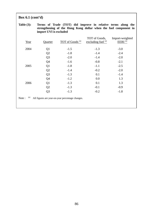# **Box 6.1 (cont'd)**

### **Table (3): Terms of Trade (TOT) did improve in relative terms along the strengthening of the Hong Kong dollar when the fuel component in import UVI is excluded**

| Year         | Quarter        | TOT of Goods <sup>(a)</sup>                      | TOT of Goods,<br>excluding fuel $(a)$ | Import-weighted<br>EERI <sup>(a)</sup> |
|--------------|----------------|--------------------------------------------------|---------------------------------------|----------------------------------------|
| 2004         | Q <sub>1</sub> | $-1.5$                                           | $-1.3$                                | $-3.0$                                 |
|              | Q2             | $-1.8$                                           | $-1.4$                                | $-2.4$                                 |
|              | Q <sub>3</sub> | $-2.0$                                           | $-1.4$                                | $-2.0$                                 |
|              | Q4             | $-1.6$                                           | $-0.8$                                | $-2.1$                                 |
| 2005         | Q1             | $-1.8$                                           | $-1.1$                                | $-2.5$                                 |
|              | Q2             | $-1.4$                                           | $-0.2$                                | $-2.0$                                 |
|              | Q <sub>3</sub> | $-1.3$                                           | 0.1                                   | $-1.4$                                 |
|              | Q4             | $-1.2$                                           | 0.0                                   | 1.3                                    |
| 2006         | Q1             | $-1.3$                                           | 0.1                                   | 1.3                                    |
|              | Q2             | $-1.3$                                           | $-0.1$                                | $-0.9$                                 |
|              | Q <sub>3</sub> | $-1.3$                                           | $-0.2$                                | $-1.8$                                 |
| (a)<br>Note: |                | All figures are year-on-year percentage changes. |                                       |                                        |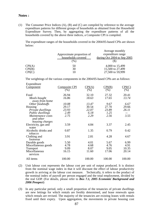### **Notes :**

(1) The Consumer Price Indices (A), (B) and (C) are compiled by reference to the average expenditure patterns for different groups of households as obtained from the Household Expenditure Survey. Then, by aggregating the expenditure patterns of all the households covered by the above three indices, a Composite CPI is compiled.

 The expenditure ranges of the households covered in the 2004/05-based CPIs are shown below:

|        |                           | Average monthly               |
|--------|---------------------------|-------------------------------|
|        | Approximate proportion of | expenditure range             |
|        | households covered        | during Oct $2004$ to Sep 2005 |
|        | $(\%)$                    | (S)                           |
| CPI(A) | 50                        | 4,000 to 15,499               |
| CPI(B) | 30                        | 15,500 to 27,499              |
| CPI(C) | 10                        | 27,500 to 59,999              |

The weightings of the various components in the 2004/05-based CPIs are as follows:

| Expenditure          |                      |                        |        |        |
|----------------------|----------------------|------------------------|--------|--------|
| <b>Component</b>     | <b>Composite CPI</b> | $\text{CPI}(\text{A})$ | CPI(B) | CPI(C) |
|                      | $(\%)$               | (% )                   | (% )   | (% )   |
| Food                 | 26.94                | 32.10                  | 27.32  | 20.41  |
| Meals bought         | 16.86                | 18.63                  | 17.65  | 13.74  |
| away from home       |                      |                        |        |        |
| Other foodstuffs     | 10.08                | 13.47                  | 9.67   | 6.67   |
| Housing              | 29.17                | 30.54                  | 27.70  | 29.66  |
| Private dwellings    | 23.93                | 22.07                  | 23.89  | 26.11  |
| Public dwellings     | 2.49                 | 6.18                   | 1.25   |        |
| Maintenance costs    | 2.75                 | 2.29                   | 2.56   | 3.55   |
| and other            |                      |                        |        |        |
| housing charges      |                      |                        |        |        |
| Electricity, gas and | 3.59                 | 4.84                   | 3.37   | 2.45   |
| water                |                      |                        |        |        |
| Alcoholic drinks and | 0.87                 | 1.35                   | 0.79   | 0.42   |
| tobacco              |                      |                        |        |        |
| Clothing and         | 3.91                 | 2.81                   | 4.28   | 4.67   |
| footwear             |                      |                        |        |        |
| Durable goods        | 5.50                 | 4.01                   | 5.67   | 6.99   |
| Miscellaneous goods  | 4.78                 | 4.68                   | 4.76   | 4.91   |
| <b>Transport</b>     | 9.09                 | 8.07                   | 9.05   | 10.35  |
| Miscellaneous        | 16.15                | 11.60                  | 17.06  | 20.14  |
| services             |                      |                        |        |        |
| All items            | 100.00               | 100.00                 | 100.00 | 100.00 |
|                      |                      |                        |        |        |

<sup>(2)</sup> Unit labour cost represents the labour cost per unit of output produced. It is distinct from the nominal wage index in that it will discount the effect of labour productivity growth in arriving at the labour cost measure. Technically, it refers to the product of the nominal index of payroll per person engaged and the total employment, divided by the real GDP. (For details, please refer to *Box 7.1, 2005 Economic Background and 2006 Prospect*)

(3) In any particular period, only a small proportion of the tenancies of private dwellings are new lettings for which rentals are freshly determined, and lease renewals upon which rentals are revised. The majority of the tenancies are existing leases with rentals fixed until their expiry. Upon aggregation, the movements in private housing cost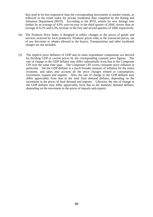thus tend to be less responsive than the corresponding movements in market rentals, as reflected in the rental index for private residential flats compiled by the Rating and Valuation Department (RVD). According to the RVD, rentals for new lettings rose further by an average of 4.0% year-on-year in the third quarter of 2006, slower than an average of 8.2% and 6.3% increase in the first and second quarters of 2006 respectively.

- (4) The Producer Price Index is designed to reflect changes in the prices of goods and services received by local producers. Producer prices refer to the transacted prices, net of any discounts or rebates allowed to the buyers. Transportation and other incidental charges are not included.
- (5) The implicit price deflators of GDP and its main expenditure components are derived by dividing GDP at current prices by the corresponding constant price figures. The rate of change in the GDP deflator may differ substantially from that in the Composite CPI over the same time span. The Composite CPI covers consumer price inflation in particular. Yet the GDP deflator is a much broader measure of inflation for the entire economy, and takes into account all the price changes related to consumption, investment, exports and imports. Also, the rate of change in the GDP deflator may differ appreciably from that in the total final demand deflator, depending on the movement in the prices of final demand and imports. Likewise, the rate of change in the GDP deflator may differ appreciably from that in the domestic demand deflator, depending on the movement in the prices of imports and exports.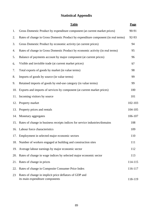# **Statistical Appendix**

|     | <b>Table</b>                                                                              | Page    |
|-----|-------------------------------------------------------------------------------------------|---------|
| 1.  | Gross Domestic Product by expenditure component (at current market prices)                | 90-91   |
| 2.  | Rates of change in Gross Domestic Product by expenditure component (in real terms)        | 92-93   |
| 3.  | Gross Domestic Product by economic activity (at current prices)                           | 94      |
| 4.  | Rates of change in Gross Domestic Product by economic activity (in real terms)            | 95      |
| 5.  | Balance of payments account by major component (at current prices)                        | 96      |
| 6.  | Visible and invisible trade (at current market prices)                                    | 97      |
| 7.  | Total exports of goods by market (in value terms)                                         | 98      |
| 8.  | Imports of goods by source (in value terms)                                               | 99      |
| 9.  | Retained imports of goods by end-use category (in value terms)                            | 99      |
| 10. | Exports and imports of services by component (at current market prices)                   | 100     |
| 11. | Incoming visitors by source                                                               | 101     |
| 12. | Property market                                                                           | 102-103 |
| 13. | Property prices and rentals                                                               | 104-105 |
| 14. | Monetary aggregates                                                                       | 106-107 |
| 15. | Rates of change in business receipts indices for service industries/domains               | 108     |
|     | 16. Labour force characteristics                                                          | 109     |
|     | 17. Employment in selected major economic sectors                                         | 110     |
|     | 18. Number of workers engaged at building and construction sites                          | 111     |
| 19. | Average labour earnings by major economic sector                                          | 112     |
| 20. | Rates of change in wage indices by selected major economic sector                         | 113     |
| 21. | Rates of change in prices                                                                 | 114-115 |
| 22. | Rates of change in Composite Consumer Price Index                                         | 116-117 |
| 23  | Rates of change in implicit price deflators of GDP and<br>its main expenditure components | 118-119 |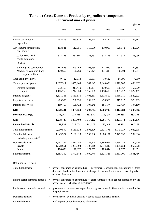|                                                                            |                                   |                                   |                                   |                                   |                                   | \$Mn)                             |
|----------------------------------------------------------------------------|-----------------------------------|-----------------------------------|-----------------------------------|-----------------------------------|-----------------------------------|-----------------------------------|
|                                                                            | 1996                              | 1997                              | 1998                              | 1999                              | 2000                              | 2001                              |
| Private consumption<br>expenditure                                         | 755,508                           | 833,825                           | 795,948                           | 765,282                           | 774,280                           | 782,587                           |
| Government consumption<br>expenditure                                      | 103,541                           | 112,751                           | 116,550                           | 119,993                           | 120,172                           | 128,866                           |
| Gross domestic fixed<br>capital formation                                  | 378,486                           | 451,891                           | 388,731                           | 325,328                           | 347,375                           | 333,036                           |
| of which:                                                                  |                                   |                                   |                                   |                                   |                                   |                                   |
| Building and construction<br>Machinery, equipment and<br>computer software | 185,648<br>170,652                | 223,264<br>190,760                | 208,235<br>165,177                | 171,930<br>141,349                | 155,441<br>180,204                | 142,651<br>180,011                |
| Changes in inventories                                                     | 9,762                             | 12,313                            | $-15,651$                         | $-10,612$                         | 14,399                            | $-4,060$                          |
| Total exports of goods                                                     | 1,397,917                         | 1,455,949                         | 1,347,649                         | 1,349,000                         | 1,572,689                         | 1,480,987                         |
| Domestic exports<br>Re-exports                                             | 212,160<br>1,185,758              | 211,410<br>1,244,539              | 188,454<br>1,159,195              | 170,600<br>1,178,400              | 180,967<br>1,391,722              | 153,520<br>1,327,467              |
| Imports of goods                                                           | 1,511,365                         | 1,589,876                         | 1,408,317                         | 1,373,500                         | 1,636,711                         | 1,549,222                         |
| Exports of services                                                        | 285,385                           | 286,595                           | 262,099                           | 276,385                           | 315,012                           | 320,799                           |
| Imports of services                                                        | 189,753                           | 198,424                           | 194,245                           | 185,174                           | 192,427                           | 194,180                           |
| <b>GDP</b>                                                                 | 1,229,481                         | 1,365,024                         | 1,292,764                         | 1,266,702                         | 1,314,789                         | 1,298,813                         |
| Per capita GDP $(\$)$                                                      | 191,047                           | 210,350                           | 197,559                           | 191,736                           | 197,268                           | 193,135                           |
| <b>GNP</b>                                                                 | 1,218,405                         | 1,363,409                         | 1,317,362                         | 1,291,470                         | 1,323,543                         | 1,327,356                         |
| Per capita GNP (\$)                                                        | 189,326                           | 210,101                           | 201,318                           | 195,485                           | 198,581                           | 197,379                           |
| Total final demand                                                         | 2,930,599                         | 3,153,324                         | 2,895,326                         | 2,825,376                         | 3,143,927                         | 3,042,215                         |
| Total final demand<br>excluding re-exports <sup>(a)</sup>                  | 1,949,977                         | 2,130,313                         | 1,952,900                         | 1,886,191                         | 2,045,858                         | 1,982,896                         |
| Domestic demand<br>Private<br>Public                                       | 1,247,297<br>1,078,661<br>168,636 | 1,410,780<br>1,233,803<br>176,977 | 1,285,578<br>1,107,816<br>177,762 | 1,199,991<br>1,014,347<br>185,644 | 1,256,226<br>1,075,654<br>180,572 | 1,240,429<br>1,053,568<br>186,861 |
| External demand                                                            | 1,683,302                         | 1,742,544                         | 1,609,748                         | 1,625,385                         | 1,887,701                         | 1,801,786                         |

# **Table 1 : Gross Domestic Product by expenditure component (at current market prices)**

Definitions of Terms :

| Total final demand             |     | $=$ private consumption expenditure + government consumption expenditure + gross<br>domestic fixed capital formation + changes in inventories + total exports of goods +<br>exports of services |
|--------------------------------|-----|-------------------------------------------------------------------------------------------------------------------------------------------------------------------------------------------------|
| Private sector domestic demand |     | $=$ private consumption expenditure $+$ gross domestic fixed capital formation by the<br>private sector $+$ changes in inventories                                                              |
| Public sector domestic demand  |     | $=$ government consumption expenditure $+$ gross domestic fixed capital formation by<br>the public sector                                                                                       |
| Domestic demand                |     | $=$ private sector domestic demand $+$ public sector domestic demand                                                                                                                            |
| External demand                | $=$ | total exports of goods $+$ exports of services                                                                                                                                                  |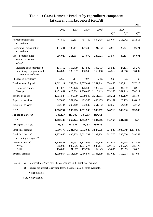|                                                                            |                                 |                                 |                                   |                                   |                              |                                   | \$Mn)                        |
|----------------------------------------------------------------------------|---------------------------------|---------------------------------|-----------------------------------|-----------------------------------|------------------------------|-----------------------------------|------------------------------|
|                                                                            | 2002                            | 2003                            | $2004*$                           | $2005$ <sup>*</sup>               | $Q1^{\text{\#}}$             | 2006<br>$\mathrm{Q2}^{\text{\#}}$ | $Q3^{\text{\#}}$             |
| Private consumption<br>expenditure                                         | 747,850                         | 719,304                         | 767,769                           | 804,708                           | 205,697                      | 213,942                           | 211,518                      |
| Government consumption<br>expenditure                                      | 131,291                         | 130,151                         | 127,309                           | 121,332                           | 33,015                       | 28,461                            | 30,371                       |
| Gross domestic fixed<br>capital formation                                  | 286,020                         | 261,367                         | 274,872                           | 288,821                           | 73,597                       | 80,167                            | 86,071                       |
| of which:                                                                  |                                 |                                 |                                   |                                   |                              |                                   |                              |
| Building and construction<br>Machinery, equipment and<br>computer software | 131,752<br>144,832              | 116,419<br>136,537              | 107,532<br>150,543                | 105,773<br>163,158                | 25,528<br>44,512             | 24,171<br>51,568                  | 25,275<br>56,097             |
| Changes in inventories                                                     | 5,660                           | 9,111                           | 7,076                             | $-5,085$                          | 1,608                        | 375                               | $-4,107$                     |
| Total exports of goods                                                     | 1,562,121                       | 1,749,089                       | 2,027,031                         | 2,251,744                         | 538,460                      | 586,741                           | 667,228                      |
| Domestic exports<br>Re-exports                                             | 131,079<br>1,431,041            | 122,126<br>1,626,964            | 126,386<br>1,900,645              | 136,324<br>2,115,419              | 34,498<br>503,963            | 34,992<br>551,749                 | 38,916<br>628,312            |
| Imports of goods                                                           | 1,601,527                       | 1,794,059                       | 2,099,545                         | 2,311,091                         | 568,261                      | 622,110                           | 685,797                      |
| Exports of services                                                        | 347,836                         | 362,420                         | 429,563                           | 483,455                           | 125,162                      | 126,163                           | 146,819                      |
| Imports of services                                                        | 202,494                         | 203,400                         | 242,507                           | 251,832                           | 62,568                       | 64,409                            | 72,754                       |
| <b>GDP</b>                                                                 | 1,276,757                       | 1,233,983                       | 1,291,568                         | 1,382,052                         | 346,710                      | 349,330                           | 379,349                      |
| Per capita GDP $(\$)$                                                      | 188,118                         | 181,385                         | 187,657                           | 199,261                           |                              |                                   |                              |
| <b>GNP</b>                                                                 | 1,282,409                       | 1,262,474                       | 1,314,978                         | 1,384,515                         | 354,763                      | 341,708                           | N.A.                         |
| Per capita GNP (\$)                                                        | 188,951                         | 185,573                         | 191,058                           | 199,616                           | --                           |                                   |                              |
| Total final demand                                                         | 3,080,778                       | 3,231,442                       | 3,633,620                         | 3,944,975                         | 977,539                      | 1,035,849                         | 1,137,900                    |
| Total final demand<br>excluding re-exports <sup>(a)</sup>                  | 1,923,066                       | 1,895,705                       | 2,061,787                         | 2,199,754                         | 561,770                      | 580,656                           | 619,543                      |
| Domestic demand<br>Private<br>Public                                       | 1,170,821<br>985,985<br>184,836 | 1,199,933<br>938,326<br>181,607 | 1,177,026<br>1,001,274<br>175,752 | 1,209,776<br>1,047,131<br>162,645 | 313,917<br>270,112<br>43,805 | 322,945<br>287,276<br>35,669      | 323,853<br>285,775<br>38,078 |
| External demand                                                            | 1,909,957                       | 2,111,509                       | 2,456,594                         | 2,735,199                         | 663,622                      | 712,904                           | 814,047                      |

## **Table 1 : Gross Domestic Product by expenditure component (at current market prices) (cont'd)**

(a) Re-export margin is nevertheless retained in the total final demand. Notes :

(#) Figures are subject to revision later on as more data become available.

(--) Not applicable.

N.A. Not available.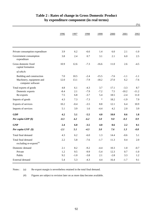|                                                                            |             |              |                  |                    |                |               | (% )             |
|----------------------------------------------------------------------------|-------------|--------------|------------------|--------------------|----------------|---------------|------------------|
|                                                                            | 1996        | 1997         | 1998             | 1999               | 2000           | 2001          | 2002             |
| Private consumption expenditure                                            | 3.9         | 6.2          | $-6.6$           | 1.4                | 6.0            | 2.1           | $-1.0$           |
| Government consumption<br>expenditure                                      | 3.8         | 2.4          | 0.7              | 3.1                | 2.1            | 6.0           | 2.5              |
| Gross domestic fixed<br>capital formation                                  | 10.9        | 12.6         | $-7.3$           | $-16.6$            | 11.0           | 2.6           | $-4.5$           |
| of which:                                                                  |             |              |                  |                    |                |               |                  |
| Building and construction<br>Machinery, equipment and<br>computer software | 7.0<br>12.0 | 10.5<br>13.1 | $-2.4$<br>$-7.9$ | $-15.5$<br>$-18.2$ | $-7.6$<br>27.0 | $-1.1$<br>6.2 | $-1.1$<br>$-7.6$ |
| Total exports of goods                                                     | 4.8         | 6.1          | $-4.3$           | 3.7                | 17.1           | $-3.3$        | 8.7              |
| Domestic exports                                                           | $-8.4$      | 2.1          | $-7.9$           | $-7.2$             | 7.5            | $-10.2$       | $-11.2$          |
| Re-exports                                                                 | 7.5         | 6.8          | $-3.7$           | 5.4                | 18.5           | $-2.4$        | 11.0             |
| Imports of goods                                                           | 4.3         | 7.3          | $-7.3$           | $\ast$             | 18.2           | $-1.9$        | 7.9              |
| Exports of services                                                        | 10.2        | $-0.4$       | $-3.5$           | 8.8                | 12.1           | 6.4           | 10.9             |
| Imports of services                                                        | 5.1         | 3.9          | 1.6              | $-4.4$             | 4.2            | 2.0           | 3.9              |
| <b>GDP</b>                                                                 | 4.2         | 5.1          | $-5.5$           | 4.0                | 10.0           | 0.6           | 1.8              |
| Per capita GDP (\$)                                                        | $-0.3$      | 4.2          | $-6.2$           | 3.0                | 9.0            | $-0.3$        | 0.9              |
| <b>GNP</b>                                                                 | 2.4         | 6.0          | $-3.5$           | 4.0                | 8.6            | 2.2           | 0.1              |
| Per capita GNP (\$)                                                        | $-2.1$      | 5.1          | $-4.3$           | 3.0                | 7.6            | 1.3           | $-0.8$           |
| Total final demand                                                         | 4.3         | 6.2          | $-6.0$           | 1.3                | 14.4           | $-0.6$        | 5.1              |
| Total final demand<br>excluding re-exports <sup>(a)</sup>                  | $2.2\,$     | 5.8          | $-7.6$           | $-1.7$             | 11.3           | 0.4           | 2.0              |
| Domestic demand                                                            | 2.1         | 8.2          | $-9.2$           | $-4.4$             | 10.3           | 1.0           | $-0.7$           |
| Private                                                                    | 1.2         | 9.5          | $-9.9$           | $-5.4$             | 12.3           | $0.7\,$       | $-1.0$           |
| Public                                                                     | 9.2         | $-1.0$       | $-3.8$           | 2.1                | $-2.8$         | 3.3           | 1.2              |
| External demand                                                            | 5.4         | 5.3          | $-4.3$           | 4.4                | 16.4           | $-1.7$        | 9.1              |

## **Table 2 : Rates of change in Gross Domestic Product by expenditure component (in real terms)**

(a) Notes :

Re-export margin is nevertheless retained in the total final demand.

(#) Figures are subject to revision later on as more data become available.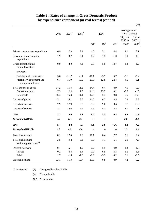|                                                           | 2003   | $2004$ <sup>#</sup> | $2005$ <sup>#</sup> |                    | 2006                      |                    | Average annual<br>rate of change:<br>10 years | 5 years                      |
|-----------------------------------------------------------|--------|---------------------|---------------------|--------------------|---------------------------|--------------------|-----------------------------------------------|------------------------------|
|                                                           |        |                     |                     | $\mathrm{Q1}^{\#}$ | $\mathrm{Q2}^{\text{\#}}$ | $\mathrm{Q3}^{\#}$ | 1995 to<br>$2005^{\text{*}}$                  | 2000 to<br>$2005^{\text{*}}$ |
| Private consumption expenditure                           | $-0.9$ | 7.3                 | 3.4                 | 4.5                | 5.1                       | 4.4                | 2.1                                           | 2.1                          |
| Government consumption<br>expenditure                     | 1.9    | 0.7                 | $-3.1$              | 1.2                | $-1.5$                    | $-1.0$             | 2.0                                           | 1.6                          |
| Gross domestic fixed<br>capital formation                 | 0.9    | 3.0                 | 4.1                 | 7.6                | 5.0                       | 12.7               | 1.3                                           | 1.2                          |
| of which:                                                 |        |                     |                     |                    |                           |                    |                                               |                              |
| Building and construction                                 | $-5.6$ | $-11.7$             | $-6.1$              | $-11.1$            | $-3.7$                    | $-5.7$             | $-3.6$                                        | $-5.2$                       |
| Machinery, equipment and<br>computer software             | 6.7    | 11.0                | 10.6                | 23.3               | 12.8                      | 22.4               | 4.5                                           | 5.1                          |
| Total exports of goods                                    | 14.2   | 15.3                | 11.2                | 14.4               | 6.4                       | 8.9                | 7.1                                           | 9.0                          |
| Domestic exports                                          | $-7.3$ | 2.4                 | 7.6                 | 44.4               | 25.7                      | $-3.2$             | $-3.5$                                        | $-4.0$                       |
| Re-exports                                                | 16.3   | 16.3                | 11.4                | 12.8               | 5.3                       | 9.8                | 8.5                                           | 10.3                         |
| Imports of goods                                          | 13.1   | 14.1                | 8.6                 | 14.0               | 6.7                       | 8.5                | 6.2                                           | 8.2                          |
| Exports of services                                       | 7.9    | 17.9                | 8.7                 | 8.9                | 9.0                       | 8.6                | 7.7                                           | 10.3                         |
| Imports of services                                       | $-2.1$ | 14.6                | 2.9                 | 4.9                | 8.3                       | 5.5                | 3.1                                           | 4.1                          |
| <b>GDP</b>                                                | 3.2    | 8.6                 | 7.3                 | 8.0                | 5.5                       | 6.8                | 3.9                                           | 4.3                          |
| Per capita GDP (\$)                                       | 3.0    | 7.3                 | 6.4                 | --                 | --                        | --                 | 2.6                                           | 3.4                          |
| <b>GNP</b>                                                | 5.1    | 8.0                 | 5.6                 | 8.1                | 2.0                       | N.A.               | 3.8                                           | 4.2                          |
| Per capita GNP (\$)                                       | 4.8    | 6.8                 | 4.8                 | --                 | $\overline{\phantom{a}}$  | --                 | 2.5                                           | 3.3                          |
| Total final demand                                        | 8.1    | 12.0                | 7.8                 | 11.1               | 6.4                       | 7.7                | 5.1                                           | 6.4                          |
| Total final demand<br>excluding re-exports <sup>(a)</sup> | 3.5    | 9.2                 | 5.3                 | 9.9                | 7.1                       | 6.1                | 2.9                                           | 4.0                          |
| Domestic demand                                           | 0.1    | 5.1                 | 1.9                 | 6.7                | 5.5                       | 4.9                | 1.3                                           | 1.5                          |
| Private                                                   | $-0.2$ | 6.4                 | $3.4\,$             | 9.0                | 6.9                       | 6.3                | 1.5                                           | $1.8\,$                      |
| Public                                                    | 1.7    | $-1.6$              | $-7.0$              | $-6.0$             | $-5.3$                    | $-5.2$             | 0.1                                           | $-0.5$                       |
| External demand                                           | 13.1   | 15.8                | 10.7                | 13.3               | 6.8                       | 8.9                | $7.2\,$                                       | 9.2                          |

## **Table 2 : Rates of change in Gross Domestic Product by expenditure component (in real terms) (cont'd)**

 $(%)$ 

(\*) Change of less than 0.05%. Notes (cont'd) :

(--) Not applicable.

N.A. Not available.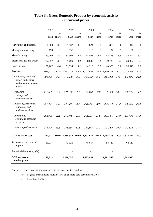|                                                                                 | 2001      |               | 2002      |            | 2003            |                        | $2004$ <sup>#</sup><br>% |        | $2005^*$  |               |
|---------------------------------------------------------------------------------|-----------|---------------|-----------|------------|-----------------|------------------------|--------------------------|--------|-----------|---------------|
|                                                                                 | \$Mn      | $\%$<br>share | \$Mn      | %<br>share | \$Mn            | $\frac{0}{0}$<br>share | \$Mn                     | share  | \$Mn      | $\%$<br>share |
| Agriculture and fishing                                                         | 1,003     | 0.1           | 1,002     | 0.1        | 824             | 0.1                    | 886                      | 0.1    | 847       | 0.1           |
| Mining and quarrying                                                            | 174       | $\ast$        | 136       | $\ast$     | 116             | $\ast$                 | 72                       | $\ast$ | 100       | $\ast$        |
| Manufacturing                                                                   | 59,760    | 4.8           | 51,396    | 4.2        | 44,403          | 3.7                    | 44,455                   | 3.5    | 45,841    | 3.4           |
| Electricity, gas and water                                                      | 37,957    | 3.1           | 39,609    | 3.2        | 38,839          | 3.2                    | 39,726                   | 3.2    | 39,852    | 3.0           |
| Construction                                                                    | 57,167    | 4.6           | 51,534    | 4.2        | 44,910          | 3.7                    | 40,376                   | 3.2    | 38,612    | 2.9           |
| Services                                                                        | 1,088,211 | 87.5          | 1,091,272 | 88.4       | 1,073,941       | 89.3                   | 1,130,301                | 90.0   | 1,210,568 | 90.6          |
| Wholesale, retail and<br>import and export<br>trades, restaurants and<br>hotels | 309,926   | 24.9          | 310,500   | 25.1       | 308,872         | 25.7                   | 345,092                  | 27.5   | 377,800   | 28.3          |
| Transport,<br>storage and<br>communications                                     | 117,526   | 9.4           | 121,766   | 9.9        | 117,420         | 9.8                    | 126,820                  | 10.1   | 136,576   | 10.2          |
| Financing, insurance,<br>real estate and<br>business services                   | 251,495   | 20.2          | 247,045   | 20.0       | 251,085         | 20.9                   | 266,834                  | 21.2   | 296,168   | 22.2          |
| Community,<br>social and personal<br>services                                   | 262,960   | 21.1          | 265,746   | 21.5       | 261,917         | 21.8                   | 263,756                  | 21.0   | 257,488   | 19.3          |
| Ownership of premises                                                           | 146,304   | 11.8          | 146,214   | 11.8       | 134,648         | 11.2                   | 127,799                  | 10.2   | 142,536   | 10.7          |
| <b>GDP</b> at factor cost                                                       | 1,244,271 | <b>100.0</b>  | 1,234,949 | 100.0      | 1,203,034 100.0 |                        | 1,255,816                | 100.0  | 1,335,821 | <b>100.0</b>  |
| Taxes on production and<br>imports                                              | 53,917    |               | 43,325    |            | 48,057          |                        | 58,729                   |        | 63,111    |               |
| Statistical discrepancy (%)                                                     | $\ast$    |               | $-0.1$    |            | $-1.4$          |                        | $-1.8$                   |        | $-1.2$    |               |
| <b>GDP</b> at current<br>market prices                                          | 1,298,813 |               | 1,276,757 |            | 1,233,983       |                        | 1,291,568                |        | 1,382,052 |               |

## **Table 3 : Gross Domestic Product by economic activity (at current prices)**

Notes : Figures may not add up exactly to the total due to rounding.

(#) Figures are subject to revision later on as more data become available.

(\*) Less than 0.05%.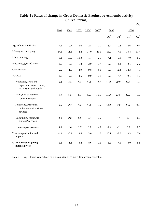|                                                                              |         |         |         |                     |                     |                    |                 |                    | $(\%)$ |
|------------------------------------------------------------------------------|---------|---------|---------|---------------------|---------------------|--------------------|-----------------|--------------------|--------|
|                                                                              | 2001    | 2002    | 2003    | $2004$ <sup>#</sup> | $2005$ <sup>#</sup> | 2005               |                 | 2006               |        |
|                                                                              |         |         |         |                     |                     | $\mathrm{Q3}^{\#}$ | ${\bf Q4}^{\#}$ | $\mathrm{Q1}^{\#}$ | $Q2^*$ |
| Agriculture and fishing                                                      | 4.1     | $-0.7$  | $-5.6$  | 2.8                 | 2.1                 | 5.4                | $-0.8$          | 2.6                | $-0.4$ |
| Mining and quarrying                                                         | $-14.1$ | $-11.1$ | 2.2     | $-17.0$             | 10.3                | 18.9               | 7.0             | 18.4               | 11.4   |
| Manufacturing                                                                | $-9.1$  | $-10.0$ | $-10.3$ | 1.7                 | 2.1                 | 4.1                | 5.9             | 7.0                | 5.3    |
| Electricity, gas and water                                                   | 1.7     | 3.8     | 1.8     | 2.0                 | 3.4                 | 0.5                | 4.3             | $-0.1$             | 2.2    |
| Construction                                                                 | $-2.2$  | $-1.5$  | $-4.9$  | $-9.8$              | $-6.6$              | $-5.5$             | $-12.4$         | $-12.3$            | $-4.1$ |
| <b>Services</b>                                                              | 1.8     | 2.8     | 4.5     | 9.9                 | 7.9                 | 8.5                | 7.7             | 9.1                | 7.3    |
| Wholesale, retail and<br>import and export trades,<br>restaurants and hotels | 0.3     | 4.5     | 9.1     | 15.1                | 11.1                | 11.0               | 10.9            | 12.4               | 6.8    |
| Transport, storage and<br>communications                                     | 1.9     | 6.5     | 0.7     | 13.9                | 13.5                | 15.3               | 13.5            | 11.2               | 6.8    |
| Financing, insurance,<br>real estate and business<br>services                | 0.5     | 2.7     | 5.7     | 13.1                | 8.9                 | 10.0               | 7.6             | 13.1               | 14.6   |
| Community, social and<br>personal services                                   | 4.0     | $-0.6$  | 0.6     | 2.6                 | 0.9                 | 1.1                | 1.5             | 1.3                | 1.2    |
| Ownership of premises                                                        | 3.4     | 2.0     | 2.7     | 0.9                 | 4.2                 | 4.3                | 4.1             | 2.7                | 2.0    |
| Taxes on production and<br>imports                                           | $-1.1$  | $-0.1$  | 3.4     | 13.0                | 1.0                 | 10.1               | $-5.0$          | 3.3                | 7.6    |
| GDP at constant (2000)<br>market prices                                      | 0.6     | 1.8     | 3.2     | 8.6                 | 7.3                 | 8.2                | 7.5             | 8.0                | 5.5    |

## **Table 4 : Rates of change in Gross Domestic Product by economic activity (in real terms)**

(#) Figures are subject to revision later on as more data become available. Note :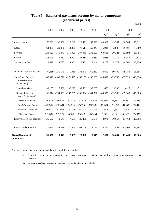|                                                             |            |            |                                  |                                             |                     |                           |                 |                    | \$Mn)     |
|-------------------------------------------------------------|------------|------------|----------------------------------|---------------------------------------------|---------------------|---------------------------|-----------------|--------------------|-----------|
|                                                             | 2001       | 2002       | 2003                             | $2004$ <sup>#</sup>                         | $2005$ <sup>#</sup> | 2005                      |                 | 2006               |           |
|                                                             |            |            |                                  |                                             |                     | $\mathrm{Q3}^{\text{\#}}$ | ${\bf Q4}^{\#}$ | $\mathrm{Q1}^{\#}$ | $Q2^{\#}$ |
| Current account                                             | 76,315     | 96,800     | 128,240                          | 122,491                                     | 157,692             | 43,367                    | 49,547          | 36,584             | 15,012    |
| Goods                                                       | $-64,970$  | $-39,406$  | $-44,970$                        | $-72,514$                                   | $-59,347$           | $-6,941$                  | $-13,083$       | $-29,801$          | $-35,369$ |
| Services                                                    | 126,620    | 145,341    | 159,020                          | 187,056                                     | 231,623             | 60,661                    | 70,221          | 62,594             | 61,754    |
| Income                                                      | 28,543     | 5,652      | 28,491                           | 23,410                                      | 2,463               | $-6,085$                  | $-3,214$        | 8,053              | $-7,622$  |
| Current transfers                                           | $-13,878$  | $-14,787$  | $-14,301$                        | $-15,461$                                   | $-17,046$           | $-4,268$                  | $-4,377$        | $-4,262$           | $-3,750$  |
| Capital and financial account                               | $-97,359$  |            | $-151,179$ $-179,086$ $-184,640$ |                                             | $-160.882$          | $-48,610$                 | $-50,400$       | $-49,186$          | $-26,394$ |
| Capital and financial<br>non-reserve assets<br>(net change) | $-60,829$  |            |                                  | $-169,720$ $-171,497$ $-159,155$ $-150,202$ |                     | $-45,639$                 | $-39,746$       | $-37,723$          | $-16,330$ |
| Capital transfers                                           | $-9,155$   | $-15,686$  | $-8,292$                         | $-2,561$                                    | $-5,237$            | $-683$                    | $-390$          | $-415$             | 472       |
| Financial non-reserve<br>assets (net change)                | -51,674    |            | $-154,033$ $-163,205$            | $-156,594$                                  | $-144,966$          | $-44,956$                 | $-39,356$       | $-37,308$          | $-16,803$ |
| Direct investment                                           | 96,948     | $-60,685$  | 63,372                           | $-91,038$                                   | 25,845              | $-30,607$                 | 51,554          | 27,362             | $-29,913$ |
| Portfolio investment                                        | $-322,045$ | $-302,484$ | $-264,619$                       | $-306,368$                                  | $-168,100$          | $-19,263$                 | 13,063          | 34,018             | $-78,343$ |
| Financial derivatives                                       | 39,640     | 51,563     | 78,288                           | 44,319                                      | 13,754              | 952                       | 2,847           | 2,275              | 14,544    |
| Other investment                                            | 133,783    | 157,573    | $-40,247$                        | 196,492                                     | $-16,464$           | 3,961                     | $-106,821$      | $-100,963$         | 76,910    |
| Reserve assets (net change) <sup>(a)</sup>                  | $-36,530$  | 18,541     | $-7,589$                         | $-25,486$                                   | $-10,679$           | $-2,971$                  | $-10,654$       | $-11,463$          | $-10,063$ |
| Net errors and omissions                                    | 21,044     | 54,379     | 50,846                           | 62,149                                      | 3,190               | 5,244                     | 853             | 12,602             | 11,381    |
| <b>Overall balance of</b><br>payments                       | 36,530     | $-18,541$  | 7,589                            | 25,486                                      | 10,679              | 2,971                     | 10,654          | 11,463             | 10,063    |

## **Table 5 : Balance of payments account by major component (at current prices)**

Notes : Figures may not add up exactly to the total due to rounding.

(a) A negative value for net change in reserve assets represents a net increase, and a positive value represents a net decrease.

(#) Figures are subject to revision later on as more data become available.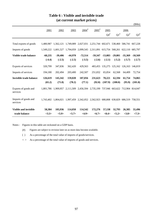|                                  |           |                     |                                                                                   |                                                               |                     |                 |                     |                                 | \$Mn)     |
|----------------------------------|-----------|---------------------|-----------------------------------------------------------------------------------|---------------------------------------------------------------|---------------------|-----------------|---------------------|---------------------------------|-----------|
|                                  | 2001      | 2002                | 2003                                                                              | $2004$ <sup>#</sup>                                           | $2005$ <sup>#</sup> | 2005            |                     | 2006                            |           |
|                                  |           |                     |                                                                                   |                                                               |                     | $Q4^{\#}$       | $Q1^*$              | $Q2^*$                          | $Q3^*$    |
| Total exports of goods           | 1.480.987 | 1,562,121           | 1,749,089 2,027,031 2,251,744 602,671 538,460 586,741 667,228                     |                                                               |                     |                 |                     |                                 |           |
| Imports of goods                 |           |                     | 1,549,222 1,601,527 1,794,059 2,099,545 2,311,091 615,754 568,261 622,110 685,797 |                                                               |                     |                 |                     |                                 |           |
| Visible trade balance            | $-68,235$ | $-39,406$           | $-44,970$                                                                         | $-72,514$                                                     | $-59,347$           |                 | $-13,083$ $-29,801$ | $-35,369$                       | $-18,569$ |
|                                  | $(-4.4)$  | $(-2.5)$            | $(-2.5)$                                                                          | $(-3.5)$                                                      | $(-2.6)$            | $(-2.1)$        | $(-5.2)$            | $(-5.7)$                        | $(-2.7)$  |
| Exports of services              | 320,799   | 347,836             | 362,420                                                                           | 429,563                                                       | 483,455             |                 |                     | 135,275 125,162 126,163 146,819 |           |
| Imports of services              | 194,180   | 202,494             | 203,400                                                                           | 242,507                                                       | 251,832             | 65,054          | 62,568              | 64,409                          | 72,754    |
| <b>Invisible trade balance</b>   | 126,619   | 145,342             | 159,020                                                                           | 187,056                                                       | 231,623             | 70,221          | 62,594              | 61,754                          | 74,065    |
|                                  | (65.2)    | (71.8)              | (78.2)                                                                            | (77.1)                                                        | (92.0)              | (107.9)         | (100.0)             | (95.9)                          | (101.8)   |
| Exports of goods and<br>services |           | 1,801,786 1,909,957 |                                                                                   | 2,111,509 2,456,594 2,735,199 737,946 663,622 712,904 814,047 |                     |                 |                     |                                 |           |
| Imports of goods and<br>services |           |                     | 1,743,402 1,804,021 1,997,459 2,342,052 2,562,923 680,808 630,829 686,519 758,551 |                                                               |                     |                 |                     |                                 |           |
| <b>Visible and invisible</b>     | 58,384    | 105,936             | 114,050                                                                           | 114,542                                                       | 172,276             | 57,138          | 32,793              | 26,385                          | 55,496    |
| trade balance                    | <3.3>     | <5.9>               | <5.7>                                                                             | <4.9>                                                         | <6.7>               | $<\!\!8.4\!\!>$ | < 5.2>              | <3.8>                           | <7.3>     |

## **Table 6 : Visible and invisible trade (at current market prices)**

Notes : Figures in this table are reckoned on a GDP basis.

(#) Figures are subject to revision later on as more data become available.

( ) As a percentage of the total value of imports of goods/services.

 $\langle \rangle$  As a percentage of the total value of imports of goods and services.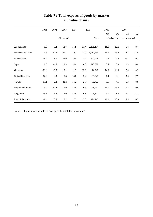|                      | 2001    | 2002   | 2003       | 2004 |      | 2005      | 2005           |        | 2006                           |                |
|----------------------|---------|--------|------------|------|------|-----------|----------------|--------|--------------------------------|----------------|
|                      |         |        |            |      |      |           | Q <sub>4</sub> | Q1     | Q2                             | Q <sub>3</sub> |
|                      |         |        | (% change) |      |      | \$Mn      |                |        | (% change over a year earlier) |                |
| <b>All markets</b>   | $-5.8$  | 5.4    | 11.7       | 15.9 | 11.4 | 2,250,174 | 10.0           | 12.1   | 5.4                            | 8.4            |
| Mainland of China    | 0.6     | 12.3   | 21.1       | 19.7 | 14.0 | 1,012,565 | 14.5           | 18.4   | 8.5                            | 13.5           |
| <b>United States</b> | $-9.8$  | 1.0    | $-2.6$     | 5.4  | 5.6  | 360,639   | 1.7            | 3.8    | $-0.1$                         | 0.7            |
| Japan                | 0.5     | $-4.5$ | 12.3       | 14.4 | 10.3 | 118,578   | 5.7            | 6.9    | 2.3                            | $0.0\,$        |
| Germany              | $-13.9$ | $-5.3$ | 15.1       | 11.9 | 15.6 | 72,720    | 14.7           | 10.5   | 2.5                            | 0.3            |
| United Kingdom       | $-12.2$ | $-2.0$ | 5.8        | 14.8 | 5.2  | 69,247    | 0.1            | 2.1    | 3.6                            | 7.9            |
| Taiwan               | $-11.1$ | $-2.2$ | 22.2       | 16.2 | 2.7  | 50,427    | 3.0            | 4.1    | $-6.3$                         | 8.6            |
| Republic of Korea    | $-9.4$  | 17.2   | 16.9       | 24.0 | 9.5  | 48,241    | 16.4           | 16.3   | 10.5                           | 9.8            |
| Singapore            | $-19.5$ | 6.8    | 13.0       | 22.0 | 6.8  | 46,541    | 3.4            | $-1.0$ | $-3.7$                         | 13.7           |
| Rest of the world    | $-8.4$  | 3.5    | 7.1        | 17.3 | 13.3 | 471,215   | 10.4           | 10.3   | 5.9                            | 6.3            |

# **Table 7 : Total exports of goods by market (in value terms)**

Note : Figures may not add up exactly to the total due to rounding.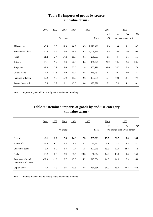|                      | 2001    | 2002    | 2003       | 2004 |      | 2005      | 2005           |                                | 2006   |                |
|----------------------|---------|---------|------------|------|------|-----------|----------------|--------------------------------|--------|----------------|
|                      |         |         |            |      |      |           | Q <sub>4</sub> | Q1                             | Q2     | Q <sub>3</sub> |
|                      |         |         | (% change) |      |      | \$Mn      |                | (% change over a year earlier) |        |                |
| <b>All sources</b>   | $-5.4$  | 3.3     | 11.5       | 16.9 | 10.3 | 2,329,469 | 11.3           | 13.8                           | 8.1    | 10.7           |
| Mainland of China    | $-4.6$  | 5.1     | 9.6        | 16.9 | 14.3 | 1,049,335 | 13.5           | 16.9                           | 11.0   | 10.8           |
| Japan                | $-11.2$ | 3.4     | 17.2       | 19.7 | 0.1  | 256,501   | 1.5            | 4.4                            | $-1.1$ | 5.1            |
| Taiwan               | $-13.1$ | 7.4     | 8.0        | 22.8 | 9.4  | 168,227   | 21.2           | 19.4                           | 18.4   | 20.4           |
| Singapore            | $-2.8$  | 3.9     | 19.6       | 22.5 | 21.8 | 135,190   | 32.6           | 34.3                           | 15.9   | 17.0           |
| <b>United States</b> | $-7.0$  | $-12.8$ | 7.9        | 13.4 | 6.5  | 119,252   | $-2.4$         | 0.1                            | $-5.0$ | 5.1            |
| Republic of Korea    | $-12.2$ | 7.3     | 15.0       | 15.0 | 2.6  | 103,035   | 15.4           | 19.8                           | 13.1   | 7.7            |
| Rest of the world    | 0.5     | 2.2     | 12.1       | 13.6 | 8.4  | 497,928   | 6.2            | 8.0                            | 4.1    | 10.1           |

## **(in value terms) Table 8 : Imports of goods by source**

Note : Figures may not add up exactly to the total due to rounding.

| Table 9 : Retained imports of goods by end-use category |
|---------------------------------------------------------|
| (in value terms)                                        |

|                                        | 2001       | 2002    | 2003   | 2004 | 2005 |                                | 2005           |      | 2006 |                |
|----------------------------------------|------------|---------|--------|------|------|--------------------------------|----------------|------|------|----------------|
|                                        |            |         |        |      |      |                                | Q <sub>4</sub> | Q1   | Q2   | Q <sub>3</sub> |
|                                        | (% change) |         |        |      | \$Mn | (% change over a year earlier) |                |      |      |                |
| Overall                                | $-9.1$     | $-9.0$  | 2.6    | 14.8 | 7.3  | 585,301                        | 19.5           | 22.7 | 18.5 | 14.8           |
| Foodstuffs                             | $-2.6$     | 0.2     | 1.5    | 8.6  | 3.1  | 50,763                         | 5.1            | 4.1  | 8.5  | 4.7            |
| Consumer goods                         | 3.9        | $-5.2$  | $-1.8$ | 7.4  | 5.5  | 127,819                        | 19.5           | 12.9 | 24.8 | $-5.5$         |
| Fuels                                  | $-10.2$    | 3.9     | 12.9   | 37.5 | 23.5 | 56,964                         | 14.9           | 40.0 | 19.4 | 15.2           |
| Raw materials and<br>semi-manufactures | $-22.3$    | $-1.6$  | 10.7   | 17.6 | 4.2  | 215,854                        | 14.0           | 14.3 | 7.9  | 6.8            |
| Capital goods                          | $-2.8$     | $-24.9$ | $-6.6$ | 13.3 | 10.8 | 134,658                        | 36.0           | 38.9 | 27.4 | 46.9           |

Note : Figures may not add up exactly to the total due to rounding.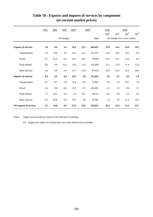|                            | 2001   | 2002   | 2003<br>(% change) | $2004$ <sup>#</sup> | $2005$ <sup>#</sup><br>\$Mn |         | 2005<br>$Q4^{\#}$ | $Q1^*$ | 2006<br>$Q2^{\#}$<br>(% change over a year earlier) | $Q3^{\#}$ |
|----------------------------|--------|--------|--------------------|---------------------|-----------------------------|---------|-------------------|--------|-----------------------------------------------------|-----------|
| <b>Exports of services</b> | 1.8    | 8.4    | 4.2                | 18.5                | 12.5                        | 483,455 | 13.9              | 14.1   | 14.9                                                | 14.1      |
| Transportation             | $-5.9$ | 10.8   | 3.8                | 25.5                | 12.5                        | 152,147 | 11.9              | 10.2   | 10.1                                                | 9.6       |
| Travel                     | 0.7    | 25.4   | $-4.4$             | 26.1                | 14.1                        | 79,994  | 15.3              | 13.7   | 12.9                                                | 9.6       |
| Trade-related              | 9.0    | 9.0    | 12.2               | 12.6                | 11.6                        | 163,498 | 11.1              | 12.9   | 11.4                                                | 12.9      |
| Other services             | 3.4    | $-5.9$ | $-1.4$             | 12.7                | 12.9                        | 87,816  | 22.0              | 23.3   | 31.4                                                | 28.5      |
| <b>Imports of services</b> | 0.9    | 4.3    | 0.4                | 19.2                | 3.8                         | 251,832 | 1.6               | 4.7    | 9.2                                                 | 7.0       |
| Transportation             | 4.7    | $-4.7$ | 7.8                | 29.4                | $8.0\,$                     | 73,067  | 3.8               | 7.0    | 10.1                                                | 7.9       |
| Travel                     | $-1.4$ | 0.8    | $-8.0$             | 15.9                | 0.1                         | 103,492 | $-1.2$            | 1.6    | 8.0                                                 | 3.2       |
| Trade-related              | 5.7    | 24.2   | 9.2                | 3.2                 | 10.3                        | 18,211  | 8.2               | 4.9    | 2.5                                                 | 3.5       |
| Other services             | 0.5    | 20.0   | 8.2                | 19.7                | 3.8                         | 57,062  | 1.5               | 7.6    | 11.8                                                | 14.2      |
| Net exports of services    | 3.3    | 14.8   | 9.4                | 17.6                | 23.8                        | 231,623 | 28.3              | 25.4   | 21.5                                                | 22.1      |

## **Table 10 : Exports and imports of services by component (at current market prices)**

Notes : Figures may not add up exactly to the total due to rounding.

(#) Figures are subject to revision later on as more data become available.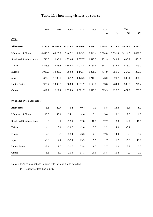|                                | 2001        | 2002        | 2003        | 2004       | 2005       | 2005       |           | 2006           |                |
|--------------------------------|-------------|-------------|-------------|------------|------------|------------|-----------|----------------|----------------|
|                                |             |             |             |            |            | Q4         | Q1        | Q <sub>2</sub> | Q <sub>3</sub> |
| (000)                          |             |             |             |            |            |            |           |                |                |
| <b>All sources</b>             | 13725.3     | 16 566.4    | 15 536.8    | 21 810.6   | 23 359.4   | 6 4 0 5.8  | 6 2 2 6.3 | 5 971.0        | 6 374.7        |
| Mainland of China              | 4 4 4 8 . 6 | 6 8 2 5 . 2 | 8 4 6 7.2   | 12 245.9   | 12 541.4   | 3 3 6 4 .0 | 3 5 9 1.8 | 3 1 1 4 .5     | 3 4 9 2.3      |
| South and Southeast Asia       | 1746.6      | 1905.2      | 1 3 5 9 . 6 | 2077.7     | 2 413.0    | 751.9      | 543.6     | 695.7          | 601.8          |
| Taiwan                         | 2418.8      | 2428.8      | 1 852.4     | 2 0 7 4.8  | 2 1 3 0.6  | 541.3      | 526.8     | 513.0          | 599.0          |
| Europe                         | 1 0 1 9.9   | 1 0 8 3 . 9 | 780.8       | 1 142.7    | 1 3 9 8.0  | 414.9      | 351.6     | 364.5          | 360.0          |
| Japan                          | 1 3 3 6 . 5 | 1 3 9 5 .0  | 867.2       | 1 1 2 6 .3 | 1 210.8    | 326.0      | 320.7     | 305.1          | 336.9          |
| <b>United States</b>           | 935.7       | 1 000.8     | 683.8       | 1 0 5 1 .7 | 1 1 4 3 .1 | 313.8      | 264.0     | 300.2          | 276.4          |
| Others                         | 1819.2      | 1927.4      | 1525.8      | 2 0 9 1.7  | 2 5 2 2.6  | 693.9      | 627.7     | 677.9          | 708.3          |
|                                |             |             |             |            |            |            |           |                |                |
| (% change over a year earlier) |             |             |             |            |            |            |           |                |                |
| <b>All sources</b>             | 5.1         | 20.7        | $-6.2$      | 40.4       | 7.1        | 5.8        | 13.8      | 8.4            | 6.7            |
| Mainland of China              | 17.5        | 53.4        | 24.1        | 44.6       | 2.4        | 3.0        | 18.2      | 9.5            | 6.0            |
| South and Southeast Asia       | *           | 9.1         | $-28.6$     | 52.8       | 16.1       | 12.7       | 8.9       | 12.7           | 10.5           |
| Taiwan                         | 1.4         | 0.4         | $-23.7$     | 12.0       | 2.7        | 2.2        | 4.9       | $-0.1$         | 4.4            |
| Europe                         | $-4.6$      | 6.3         | $-28.0$     | 46.3       | 22.3       | 17.6       | 14.0      | 5.5            | 9.4            |
| Japan                          | $-3.3$      | 4.4         | $-37.8$     | 29.9       | 7.5        | $-1.7$     | 1.2       | 15.3           | 11.0           |
| <b>United States</b>           | $-3.1$      | 7.0         | $-31.7$     | 53.8       | 8.7        | 2.7        | 1.2       | 2.3            | 0.5            |
| Others                         | 5.6         | 5.9         | $-20.8$     | 37.1       | 20.6       | 15.8       | 15.4      | 7.9            | 7.9            |

# **Table 11 : Incoming visitors by source**

Notes : Figures may not add up exactly to the total due to rounding.

(\*) Change of less than 0.05%.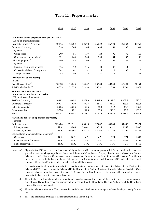|                                                                       | 1996      | 1997    | 1998       | 1999    | 2000       | 2001         | 2002             |
|-----------------------------------------------------------------------|-----------|---------|------------|---------|------------|--------------|------------------|
|                                                                       |           |         |            |         |            |              |                  |
| Completion of new property by the private sector                      |           |         |            |         |            |              |                  |
| $(000 \text{ m}^2 \text{ of internal floor area})$                    |           |         |            |         |            |              |                  |
| Residential property <sup>(a)</sup> (in units)                        | 19875     | 18 20 2 | 22 278     | 35 322  | 25 790     | 26 26 2      | 31 052           |
| Commercial property                                                   | 390       | 705     | 945        | 634     | 160        | 208          | 304              |
| of which:                                                             |           |         |            |         |            |              |                  |
| Office space                                                          | 269       | 456     | 737        | 428     | 96         | 76           | 166              |
| Other commercial premises <sup>(b)</sup>                              | 121       | 249     | 208        | 206     | 64         | 132          | 138              |
| Industrial property <sup>(c)</sup>                                    | 440       | 343     | 300        | 191     | 62         | 45           | 29               |
| of which:                                                             |           |         |            |         |            |              |                  |
| Industrial-cum-office premises                                        | 115       | 72      | 145        | 40      | 37         | 14           | $\boldsymbol{0}$ |
| Conventional flatted factory space                                    | 242       | 181     | 31         | 4       | 19         | 30           | 3                |
| Storage premises <sup>(d)</sup>                                       | 83        | 90      | 124        | 147     | 6          | $\mathbf{0}$ | 27               |
| Production of public housing                                          |           |         |            |         |            |              |                  |
| (in units)                                                            |           |         |            |         |            |              |                  |
| Rental housing flats <sup>(e)</sup>                                   | 18 3 5 8  | 16 04 6 | 14 2 67    | 26 733  | 40 944     | 47 590       | 20 154           |
| Subsidized sales flats <sup>(e)</sup>                                 | 10725     | 21 5 35 | 21 9 93    | 26 5 32 | 22768      | 25 702       | 1072             |
| Building plans with consent to<br>commence work in the private sector |           |         |            |         |            |              |                  |
| $(000 \text{ m}^2 \text{ of usable floor area})$                      |           |         |            |         |            |              |                  |
| Residential property <sup>(f)</sup>                                   | 1 0 5 8.2 | 1 631.4 | 1 472.0    | 1 692.8 | 1 1 4 2 .7 | 1 002.5      | 790.0            |
| Commercial property                                                   | 1 005.7   | 599.0   | 395.7      | 287.5   | 337.5      | 265.0        | 365.3            |
| Industrial property <sup>(g)</sup>                                    | 530.5     | 461.6   | 69.5       | 84.9    | 129.2      | 45.7         | 107.1            |
| Other properties                                                      | 375.8     | 259.2   | 201.5      | 125.8   | 240.2      | 75.0         | 109.3            |
| Total                                                                 | 2970.2    | 2951.2  | 2 1 3 8 .7 | 2 190.9 | 1 849.5    | 1 3 8 8.1    | 1 3 7 1 .8       |
| Agreements for sale and purchase of property                          |           |         |            |         |            |              |                  |
| (Number)                                                              |           |         |            |         |            |              |                  |
| Residential property <sup>(h)</sup>                                   | 129 484   | 172 711 | 85 616     | 77 087  | 65 340     | 69 667       | 72 974           |
| Primary market                                                        | N.A.      | 15 806  | 23 441     | 18 3 25 | 13911      | 18 3 6 6     | 23 088           |
| Secondary market                                                      | N.A.      | 156 905 | 62 175     | 58762   | 51 429     | 51 301       | 49 886           |
| Selected types of non-residential properties <sup>(i)</sup>           |           |         |            |         |            |              |                  |
| Office space                                                          | N.A.      | N.A.    | N.A.       | N.A.    | 1 7 2 4    | 1 7 7 4      | 1639             |
| Other commerical premises                                             | N.A.      | N.A.    | N.A.       | N.A.    | 2411       | 2989         | 3 1 6 7          |
| Flatted factory space                                                 | N.A.      | N.A.    | N.A.       | N.A.    | N.A.       | N.A.         | 3756             |

### **Table 12 : Property market**

Notes : (a) Figures before 2002 cover all completed residential premises to which either temporary or full Occupation Permits have been granted, as well as village type houses issued with Letters of Compliance. Property developments subject to a Consent Scheme need a Certificate of Compliance, Consent to Assign or Consent to Lease in addition to an Occupation Permit before the premises can be individually assigned. Village-type housing units are excluded as from 2002 and units issued with temporary Occupation Permits are also excluded as from 2004 onwards.

Residential premises here pertain to private residential units, excluding units built under the Private Sector Participation Scheme (PSPS), Home Ownership Scheme (HOS), Buy or Rent Option, Mortgage Subsidy Scheme, Sandwich Class Housing Scheme, Urban Improvement Scheme (UIS) and Flat-for-Sale Scheme. Figures from 2004 onwards also cover those private flats converted from subsidised flats.

- (b) These include retail premises and other premises designed or adapted for commercial use, with the exception of purposebuilt offices. Car-parking space and commercial premises built by the Hong Kong Housing Authority and the Hong Kong Housing Society are excluded.
- (c) These include industrial-cum-office premises, but exclude specialised factory buildings which are developed mainly for own use.
- (d) These include storage premises at the container terminals and the airport.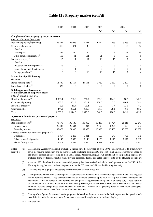|                                                                       | 2003           | 2004         | 2005         | 2005         |                  | 2006             |                  |
|-----------------------------------------------------------------------|----------------|--------------|--------------|--------------|------------------|------------------|------------------|
|                                                                       |                |              |              | Q4           | Q1               | Q <sub>2</sub>   | Q <sub>3</sub>   |
| Completion of new property by the private sector                      |                |              |              |              |                  |                  |                  |
| ('000 m <sup>2</sup> of internal floor area)                          |                |              |              |              |                  |                  |                  |
| Residential property $^{(a)}$ (in units)                              | 26 397         | 26 036       | 17 321       | 1522         | 2785             | 5 7 6 5          | 3 5 5 5          |
| Commercial property                                                   | 417            | 371          | 145          | 83           | 8                | 65               | 42               |
| of which:                                                             |                |              |              |              |                  |                  |                  |
| Office space                                                          | 299            | 280          | 34           | $\mathbf{2}$ | $\mathbf{1}$     | 28               | 36               |
| Other commercial premises <sup>(b)</sup>                              | 118            | 91           | 111          | 81           | 8                | 37               | 6                |
| Industrial property <sup>(c)</sup>                                    | 15             | 1            | 17           | 13           | 15               | 7                | $\overline{4}$   |
| of which:                                                             |                |              |              |              |                  |                  |                  |
| Industrial-cum-office premises                                        | 15             | $\mathbf{0}$ | 4            | $\theta$     | $\boldsymbol{0}$ | $\boldsymbol{0}$ | $\boldsymbol{0}$ |
| Conventional flatted factory space                                    | $\overline{0}$ | $\mathbf{1}$ | $\mathbf{0}$ | $\theta$     | $\theta$         | $\mathbf{0}$     | $\boldsymbol{0}$ |
| Storage premises <sup>(d)</sup>                                       | $\overline{0}$ | $\mathbf{0}$ | 13           | 13           | 15               | 7                | $\overline{4}$   |
| Production of public housing                                          |                |              |              |              |                  |                  |                  |
| (in units)                                                            |                |              |              |              |                  |                  |                  |
| Rental housing flats <sup>(e)</sup>                                   | 13 705         | 20 614       | 24 691       | 3722         | 2033             | 2 3 9 7          | $\boldsymbol{0}$ |
| Subsidized sales flats <sup>(e)</sup>                                 | 320            | $\Omega$     | $\mathbf{0}$ | $\Omega$     | $\Omega$         | $\mathbf{0}$     | $\theta$         |
| Building plans with consent to<br>commence work in the private sector |                |              |              |              |                  |                  |                  |
| $(000 \text{ m}^2 \text{ of usable floor area})$                      |                |              |              |              |                  |                  |                  |
| Residential property <sup>(f)</sup>                                   | 1 0 38.4       | 530.0        | 550.7        | 253.8        | 174.9            | 88.5             | 343.9            |
| Commercial property                                                   | 200.0          | 161.3        | 481.9        | 228.0        | 15.5             | 100.9            | 38.4             |
| Industrial property <sup>(g)</sup>                                    | 0.8            | 16.4         | 35.1         | 2.9          | 1.4              | 13.1             | 8.2              |
| Other properties                                                      | 444.2          | 407.1        | 408.0        | 61.8         | 28.1             | 46.6             | 98.7             |
| Total                                                                 | 1 683.3        | 1 1 1 4.8    | 1475.8       | 546.5        | 220.0            | 249.1            | 489.2            |
| Agreements for sale and purchase of property                          |                |              |              |              |                  |                  |                  |
| (Number)                                                              |                |              |              |              |                  |                  |                  |
| Residential property <sup>(h)</sup>                                   | 71 576         | 100 630      | 103 362      | 19 28 8      | 17 724           | 21811            | 22 24 1          |
| Primary market                                                        | 26 4 98        | 25 694       | 15 9 94      | 4 1 9 3      | 1 2 9 4          | 3 0 23           | 5 9 0 2          |
| Secondary market                                                      | 45 078         | 74 936       | 87 368       | 15 0 95      | 16 430           | 18788            | 16 339           |
| Selected types of non-residential properties <sup>(i)</sup>           |                |              |              |              |                  |                  |                  |
| Office space                                                          | 1817           | 3 2 1 3      | 3 4 3 1      | 595          | 649              | 798              | 678              |
| Other commerical premises                                             | 4 1 4 2        | 7833         | 7 1 4 3      | 1 1 3 6      | 1 1 1 5          | 1 1 7 1          | 1 0 3 6          |
| Flatted factory space                                                 | 3813           | 5889         | 6 5 6 0      | 1471         | 1690             | 2040             | 1872             |

### **Table 12 : Property market (cont'd)**

Notes (cont'd) : (e)

The Housing Authority's housing production figures have been revised as from 1998. The revision is to exhaustively cover all housing production and to count projects (including surplus HOS projects) which undergo transfer of usage at the time of disposal and according to their actual usage. Moreover, surplus HOS courts and blocks pending disposal are excluded from production statistics until they are disposed. Rental and sales flats projects of the Housing Society are

(f) As from 1995, the classification of residential property has been revised to include developments under the UIS of the Housing Society, but to exclude developments under the HOS and the PSPS of the Housing Authority.

(g) These include multi-purpose industrial premises designed also for office use.

(h) The figures are derived from sale and purchase agreements of domestic units received for registration in the Land Registry for the relevant periods. They generally relate to transactions executed up to four weeks prior to their submission for registration. Sales of domestic units refer to sale and purchase agreements with payment of stamp duty. These statistics do not include sales of units under the Home Ownership Scheme, the Private Sector Participation Scheme and the Tenants Purchase Scheme except those after payment of premium. Primary sales generally refer to sales from developers. Secondary sales refer to sales from parties other than developers.

(i) Timing of the figures for non-residential properties is based on the date on which the S&P Agreement is signed, which may differ from the date on which the Agreement is received for registration in the Land Registry.

N.A. Not available.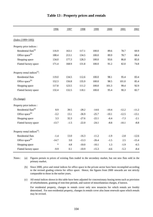|                                          | 1996    | 1997   | 1998    | 1999    | 2000    | 2001    | 2002    |
|------------------------------------------|---------|--------|---------|---------|---------|---------|---------|
| $(Index (1999=100))$                     |         |        |         |         |         |         |         |
| Property price indices :                 |         |        |         |         |         |         |         |
| Residential flats <sup>(a)</sup>         | 116.9   | 163.1  | 117.1   | 100.0   | 89.6    | 78.7    | 69.9    |
| Office space <sup>(b)</sup>              | 188.4   | 213.1  | 134.5   | 100.0   | 89.9    | 78.7    | 68.4    |
| Shopping space                           | 134.0   | 177.3  | 128.3   | 100.0   | 93.6    | 86.8    | 85.0    |
| Flatted factory space                    | 171.4   | 168.9  | 131.8   | 100.0   | 91.2    | 82.0    | 74.8    |
| Property rental indices <sup>(c)</sup> : |         |        |         |         |         |         |         |
| Residential flats                        | 119.0   | 134.5  | 112.6   | 100.0   | 98.1    | 95.4    | 83.4    |
| Office space <sup>(b)</sup>              | 152.3   | 156.8  | 135.9   | 100.0   | 98.5    | 101.0   | 85.4    |
| Shopping space                           | 117.8   | 123.5  | 111.2   | 100.0   | 101.3   | 99.4    | 92.9    |
| Flatted factory space                    | 132.4   | 132.5  | 118.1   | 100.0   | 95.4    | 90.3    | 82.7    |
| (% change)                               |         |        |         |         |         |         |         |
| Property price indices :                 |         |        |         |         |         |         |         |
| Residential flats <sup>(a)</sup>         | 8.9     | 39.5   | $-28.2$ | $-14.6$ | $-10.4$ | $-12.2$ | $-11.2$ |
| Office space <sup>(b)</sup>              | $-3.2$  | 13.1   | $-36.9$ | $-25.7$ | $-10.1$ | $-12.5$ | $-13.1$ |
| Shopping space                           | 3.3     | 32.3   | $-27.6$ | $-22.1$ | $-6.4$  | $-7.3$  | $-2.1$  |
| Flatted factory space                    | $-13.7$ | $-1.5$ | $-22.0$ | $-24.1$ | $-8.8$  | $-10.1$ | $-8.8$  |
| Property rental indices <sup>(c)</sup> : |         |        |         |         |         |         |         |
| Residential flats                        | $-1.4$  | 13.0   | $-16.3$ | $-11.2$ | $-1.9$  | $-2.8$  | $-12.6$ |
| Office space <sup>(b)</sup>              | $-14.7$ | 3.0    | $-13.3$ | $-26.4$ | $-1.5$  | 2.5     | $-15.4$ |
| Shopping space                           | $\ast$  | 4.8    | $-10.0$ | $-10.1$ | 1.3     | $-1.9$  | $-6.5$  |
| Flatted factory space                    | $-9.9$  | 0.1    | $-10.9$ | $-15.3$ | $-4.6$  | $-5.3$  | $-8.4$  |

#### **Table 13 : Property prices and rentals**

(a) Notes : (a) Figures pertain to prices of existing flats traded in the secondary market, but not new flats sold in the primary market.

(b) Since 2000, price and rental indices for office space in the private sector have been recompiled according to the revised grading criteria for office space. Hence, the figures from 2000 onwards are not strictly comparable to those in the earlier years.

(c) All rental indices shown in this table have been adjusted for concessionary leasing terms such as provision of refurbishment, granting of rent-free periods, and waiver of miscellaneous charges, if known.

For residential property, changes in rentals cover only new tenancies for which rentals are freshly determined. For non-residential property, changes in rentals cover also lease renewals upon which rentals may be revised.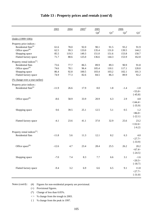|                                          | 2003    | 2004    | $2005$ <sup>#</sup> | 2005<br>$Q4^{\#}$ | $Q1^*$ | 2006<br>$Q2^{\#}$ | $Q3^+$       |
|------------------------------------------|---------|---------|---------------------|-------------------|--------|-------------------|--------------|
|                                          |         |         |                     |                   |        |                   |              |
| $(Index (1999=100))$                     |         |         |                     |                   |        |                   |              |
| Property price indices :                 |         |         |                     |                   |        |                   |              |
| Residential flats <sup>(a)</sup>         | 61.6    | 78.0    | 92.0                | 90.1              | 91.5   | 93.2              | 91.9         |
| Office space <sup>(b)</sup>              | 62.5    | 99.3    | 133.0               | 135.4             | 131.0  | 139.5             | 144.2        |
| Shopping space                           | 85.5    | 119.3   | 149.3               | 151.0             | 151.6  | 153.8             | 150.7        |
| Flatted factory space                    | 71.7    | 88.6    | 125.0               | 136.6             | 144.3  | 153.9             | 162.8        |
| Property rental indices <sup>(c)</sup> : |         |         |                     |                   |        |                   |              |
| Residential flats                        | 73.6    | 77.7    | 86.5                | 89.9              | 89.3   | 90.9              | 91.8         |
| Office space <sup>(b)</sup>              | 74.6    | 78.1    | 96.4                | 105.4             | 110.1  | 117.1             | 120.0        |
| Shopping space                           | 86.4    | 92.8    | 100.5               | 103.4             | 103.2  | 102.1             | 101.3        |
| Flatted factory space                    | 74.9    | 77.3    | 82.6                | 84.5              | 86.3   | 89.9              | 92.2         |
| (% change over a year earlier)           |         |         |                     |                   |        |                   |              |
| Property price indices :                 |         |         |                     |                   |        |                   |              |
| Residential flats <sup>(a)</sup>         | $-11.9$ | 26.6    | 17.9                | 8.0               | 1.8    | $-1.4$            | $-1.8$       |
|                                          |         |         |                     |                   |        |                   | $<$ 55.0>    |
|                                          |         |         |                     |                   |        |                   | $\{-45.8\}$  |
| Office space <sup>(b)</sup>              | $-8.6$  | 58.9    | 33.9                | 20.9              | 6.3    | 2.9               | 4.8          |
|                                          |         |         |                     |                   |        |                   | <144.4>      |
|                                          |         |         |                     |                   |        |                   | $\{-35.9\}$  |
| Shopping space                           | 0.6     | 39.5    | 25.1                | 12.5              | 5.1    | 0.5               | 1.2          |
|                                          |         |         |                     |                   |        |                   | <86.0>       |
|                                          |         |         |                     |                   |        |                   | $\{-22.1\}$  |
|                                          |         |         |                     |                   |        |                   |              |
| Flatted factory space                    | $-4.1$  | 23.6    | 41.1                | 37.0              | 32.9   | 25.6              | 23.2         |
|                                          |         |         |                     |                   |        |                   | <132.6>      |
|                                          |         |         |                     |                   |        |                   | $\{-6.2\}$   |
| Property rental indices <sup>(c)</sup> : |         |         |                     |                   |        |                   |              |
| Residential flats                        | $-11.8$ | 5.6     | 11.3                | 12.1              | 8.2    | 6.3               | 4.0          |
|                                          |         |         |                     |                   |        |                   | <27.7>       |
|                                          |         |         |                     |                   |        |                   | $\{-33.9\}$  |
| Office space <sup>(b)</sup>              | $-12.6$ | 4.7     | 23.4                | 28.4              | 25.5   | 26.2              | 20.2         |
|                                          |         |         |                     |                   |        |                   | $<$ 67.4 $>$ |
|                                          |         |         |                     |                   |        |                   | $\{-24.5\}$  |
| Shopping space                           | $-7.0$  | $7.4\,$ | 8.3                 | $7.7\,$           | 6.6    | 3.1               | $-1.6$       |
|                                          |         |         |                     |                   |        |                   | <20.5>       |
|                                          |         |         |                     |                   |        |                   | ${-18.7}$    |
| Flatted factory space                    | $-9.4$  | $3.2\,$ | 6.9                 | 6.6               | 6.5    | 9.1               | 11.8         |
|                                          |         |         |                     |                   |        |                   | <27.7>       |
|                                          |         |         |                     |                   |        |                   | $\{-31.0\}$  |
|                                          |         |         |                     |                   |        |                   |              |

### **Table 13 : Property prices and rentals (cont'd)**

Notes (cont'd) : (#) Figures for non-residential property are provisional.

(+) Provisional figures.

(\*) Change of less than 0.05%.

 $\langle \rangle$  % change from the trough in 2003.

{ } % change from the peak in 1997.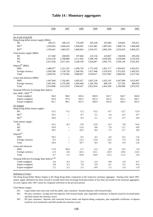|                                                              | 1996      | 1997                     | 1998      | 1999            | 2000      | 2001      | 2002      |
|--------------------------------------------------------------|-----------|--------------------------|-----------|-----------------|-----------|-----------|-----------|
| (as at end of period)                                        |           |                          |           |                 |           |           |           |
| Hong Kong dollar money supply (\$Mn):                        |           |                          |           |                 |           |           |           |
| M1                                                           | 198,311   | 188,135                  | 178,260   | 205,339         | 203,966   | 229,841   | 259,411   |
| $M2^{(a)}$                                                   | 1,503,603 | 1,666,419                | 1,828,691 | 1,923,481       | 1,987,963 | 1,998,774 | 1,984,049 |
| $M3^{(a)}$                                                   | 1,520,461 | 1,684,325                | 1,840,824 | 1,935,471       | 2,002,358 | 2,016,635 | 2,004,225 |
| Total money supply (\$Mn)                                    |           |                          |           |                 |           |           |           |
| M1                                                           | 217,460   | 208,093                  | 197,666   | 225,156         | 243,847   | 258,056   | 295,650   |
| M <sub>2</sub>                                               | 2,532,236 | 2,788,808                | 3,111,942 | 3,386,196       | 3,649,492 | 3,550,060 | 3,518,326 |
| M <sub>3</sub>                                               | 2,611,636 | 2,871,425                | 3,168,199 | 3,434,467       | 3,692,753 | 3,594,130 | 3,561,852 |
| Deposit <sup>(b)</sup> (\$Mn)                                |           |                          |           |                 |           |           |           |
| HK\$                                                         | 1,400,077 | 1,551,555                | 1,699,726 | 1,773,169       | 1,851,177 | 1,854,651 | 1,824,911 |
| Foreign currency                                             | 1,058,180 | 1,158,728                | 1,300,302 | 1,477,448       | 1,676,670 | 1,551,852 | 1,492,631 |
| Total                                                        | 2,458,256 | 2,710,282                | 3,000,027 | 3,250,617       | 3,527,847 | 3,406,502 | 3,317,542 |
| Loans and advances (\$Mn)                                    |           |                          |           |                 |           |           |           |
| HK\$                                                         | 1,447,844 | 1,742,481                | 1,695,027 | 1,607,126       | 1,652,191 | 1,647,684 | 1,615,667 |
| Foreign currency                                             | 2,467,045 | 2,379,189                | 1,609,400 | 1,205,784       | 809,259   | 537,301   | 460,659   |
| Total                                                        | 3,914,890 | 4,121,670                | 3,304,427 | 2,812,910       | 2,461,450 | 2,184,986 | 2,076,325 |
| Nominal Effective Exchange Rate Indices                      |           |                          |           |                 |           |           |           |
| $\left(\text{Jan } 2000 = 100\right)^{(c)(d)}$               |           |                          |           |                 |           |           |           |
| Trade-weighted                                               | 94.0      | 98.0                     | 103.4     | 100.9           | 101.7     | 104.7     | 104.0     |
| Import-weighted                                              | 93.0      | 97.9                     | 105.5     | 101.4           | 101.5     | 105.1     | 104.7     |
| Export-weighted                                              | 95.1      | 98.1                     | 101.3     | 100.4           | 101.9     | 104.3     | 103.3     |
| (% change)                                                   |           |                          |           |                 |           |           |           |
| Hong Kong dollar money supply:                               |           |                          |           |                 |           |           |           |
| M1                                                           | 15.5      | $-5.1$                   | $-5.2$    | 15.2            | $-0.7$    | 12.7      | 12.9      |
| $M2^{(a)}$                                                   | 19.3      | $\overline{\phantom{a}}$ | 9.7       | 5.2             | 3.4       | 0.5       | $-0.7$    |
| $M3^{(a)}$                                                   | 18.9      | $\overline{a}$           | 9.3       | 5.1             | 3.5       | 0.7       | $-0.6$    |
| Total money supply:                                          |           |                          |           |                 |           |           |           |
| M1                                                           | 14.2      | $-4.3$                   | $-5.0$    | 13.9            | 8.3       | 5.8       | 14.6      |
| M2                                                           | 10.9      | $\overline{\phantom{a}}$ | 11.6      | $\!\!\!\!\!8.8$ | 7.8       | $-2.7$    | $-0.9$    |
| M <sub>3</sub>                                               | 10.5      | $\overline{\phantom{a}}$ | 10.3      | 8.4             | $7.5$     | $-2.7$    | $-0.9$    |
| $Deposit^{(b)}$                                              |           |                          |           |                 |           |           |           |
| HK\$                                                         | 19.5      |                          | 9.5       | 4.3             | 4.4       | 0.2       | $-1.6$    |
| Foreign currency                                             | 0.3       | $-$                      | 12.2      | 13.6            | 13.5      | $-7.4$    | $-3.8$    |
| Total                                                        | 10.4      | $-\,-$                   | 10.7      | 8.4             | 8.5       | $-3.4$    | $-2.6$    |
| Loans and advances                                           |           |                          |           |                 |           |           |           |
| HK\$                                                         | 17.0      | 20.4                     | $-2.7$    | $-5.2$          | 2.8       | $-0.3$    | $-1.9$    |
| Foreign currency                                             | $-1.4$    | $-3.6$                   | $-32.4$   | $-25.1$         | $-32.9$   | $-33.6$   | $-14.3$   |
| Total                                                        | 4.7       | 5.3                      | $-19.8$   | $-14.9$         | $-12.5$   | $-11.2$   | $-5.0$    |
| Nominal Effective Exchange Rate Indices ${}^{\text{(c)(d)}}$ |           |                          |           |                 |           |           |           |
| Trade-weighted                                               | 2.6       | 4.3                      | 5.5       | $-2.4$          | $\rm 0.8$ | 2.9       | $-0.7$    |
| Import-weighted                                              | 3.8       | 5.3                      | 7.8       | $-3.9$          | 0.1       | $3.5\,$   | $-0.4$    |
| Export-weighted                                              | 1.5       | $3.2\,$                  | 3.3       | $-0.9$          | 1.5       | $2.4\,$   | $-1.0$    |
|                                                              |           |                          |           |                 |           |           |           |

### **Table 14 : Monetary aggregates**

Definition of Terms :

The Hong Kong Dollar Money Supply is the Hong Kong dollar component of the respective monetary aggregate. Starting from April 1997, money supply definition has been revised to include short-term Exchange Fund placements of less than one month in the monetary aggregates. As such, figures after 1997 cannot be compared with those in the previous period.

Total Money Supply:

M1: Legal tender notes and coins with the public, plus customers' demand deposits with licensed banks.

M2: M1 plus customers' savings and time deposits with licensed banks, plus negotiable certificates of deposit issued by licensed banks and held outside the monetary sector.

M3: M2 plus customers' deposits with restricted licence banks and deposit-taking companies, plus negotiable certificates of deposit issued by such institutions and held outside the monetary sector.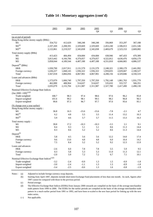|                                                              | 2003      | 2004      | 2005      | 2005      |           | 2006           |                |
|--------------------------------------------------------------|-----------|-----------|-----------|-----------|-----------|----------------|----------------|
|                                                              |           |           |           | Q4        | Q1        | Q <sub>2</sub> | Q <sub>3</sub> |
| (as at end of period)                                        |           |           |           |           |           |                |                |
| Hong Kong dollar money supply (\$Mn):                        |           |           |           |           |           |                |                |
| M1                                                           | 354,752   | 412,629   | 348,248   | 348,248   | 356,869   | 353,297        | 367,188        |
| $M2^{(a)}$                                                   | 2,107,269 | 2,208,591 | 2,329,669 | 2,329,669 | 2,453,240 | 2,506,013      | 2,651,546      |
| $M3^{(a)}$                                                   | 2,122,861 | 2,219,557 | 2,345,838 | 2,345,838 | 2,469,679 | 2,523,153      | 2,669,082      |
| Total money supply (\$Mn)                                    |           |           |           |           |           |                |                |
| M1                                                           | 413,423   | 484,494   | 434,684   | 434,684   | 438,946   | 447,433        | 470,389        |
| M <sub>2</sub>                                               | 3,813,442 | 4,166,706 | 4,379,057 | 4,379,057 | 4,522,812 | 4,636,476      | 4,856,179      |
| M <sub>3</sub>                                               | 3,858,044 | 4,189,544 | 4,407,188 | 4,407,188 | 4,551,810 | 4,666,865      | 4,886,537      |
| Deposit <sup>(b)</sup> (\$Mn)                                |           |           |           |           |           |                |                |
| <b>HKS</b>                                                   | 1,930,790 | 2,017,911 | 2,131,579 | 2,131,579 | 2,248,321 | 2,300,179      | 2,441,992      |
| Foreign currency                                             | 1,636,227 | 1,848,145 | 1,936,322 | 1,936,322 | 1,959,835 | 2,029,667      | 2,108,527      |
| Total                                                        | 3,567,018 | 3,866,056 | 4,067,901 | 4,067,901 | 4,208,156 | 4,329,846      | 4,550,519      |
| Loans and advances (\$Mn)                                    |           |           |           |           |           |                |                |
| <b>HKS</b>                                                   | 1,573,079 | 1,666,740 | 1,797,350 | 1,797,350 | 1,792,148 | 1,861,763      | 1,931,779      |
| Foreign currency                                             | 462,000   | 488,964   | 514,637   | 514,637   | 535,632   | 555,727        | 566,351        |
| Total                                                        | 2,035,079 | 2,155,704 | 2,311,987 | 2,311,987 | 2,327,780 | 2,417,490      | 2,498,130      |
| Nominal Effective Exchange Rate Indices                      |           |           |           |           |           |                |                |
| $\left(\text{Jan } 2000 = 100\right)^{(c)(d)}$               |           |           |           |           |           |                |                |
| Trade-weighted                                               | 100.7     | 98.3      | 97.4      | 98.6      | 97.6      | 96.2           | 95.8           |
| Import-weighted                                              | 101.6     | 99.2      | 98.1      | 99.5      | 98.2      | 96.8           | 96.5           |
| Export-weighted                                              | 99.8      | 97.3      | 96.7      | 97.7      | 97.0      | 95.6           | 95.1           |
| (% change over a year earlier)                               |           |           |           |           |           |                |                |
| Hong Kong dollar money supply:                               |           |           |           |           |           |                |                |
| M1                                                           | 36.8      | 16.3      | $-15.6$   | $-15.6$   | $-7.8$    | $-2.1$         | 4.7            |
| $M2^{(a)}$                                                   | 6.2       | 4.8       | 5.5       | 5.5       | 11.4      | 13.2           | 16.3           |
| $M3^{(a)}$                                                   | 5.9       | 4.6       | 5.7       | 5.7       | 11.5      | 13.3           | 16.3           |
| Total money supply:                                          |           |           |           |           |           |                |                |
| M1                                                           | 39.8      | 17.2      | $-10.3$   | $-10.3$   | $-5.5$    | 2.1            | 9.1            |
| M <sub>2</sub>                                               | 8.4       | 9.3       | 5.1       | 5.1       | 8.6       | 11.3           | 14.4           |
| M <sub>3</sub>                                               | 8.3       | 8.6       | 5.2       | 5.2       | 8.6       | 11.3           | 14.4           |
| Deposit <sup>(b)</sup>                                       |           |           |           |           |           |                |                |
| HK\$                                                         | 5.8       | 4.5       | 5.6       | 5.6       | 12.2      | 14.0           | 17.4           |
| Foreign currency                                             | 9.6       | 13.0      | 4.8       | 4.8       | 6.0       | 10.4           | 14.2           |
| Total                                                        | $7.5\,$   | 8.4       | 5.2       | 5.2       | 9.2       | 12.3           | 15.9           |
| Loans and advances                                           |           |           |           |           |           |                |                |
| HK\$                                                         | $-2.6$    | $6.0\,$   | 7.8       | 7.8       | 5.5       | 5.9            | 9.5            |
| Foreign currency                                             | 0.3       | 5.8       | 5.3       | 5.3       | 11.0      | 11.3           | 12.1           |
| Total                                                        | $-2.0$    | 5.9       | $7.2\,$   | $7.2\,$   | 6.7       | 7.1            | 10.1           |
| Nominal Effective Exchange Rate Indices ${}^{\text{(c)(d)}}$ |           |           |           |           |           |                |                |
| Trade-weighted                                               | $-3.2$    | $-2.4$    | $-0.9$    | 1.3       | 1.5       | $-0.9$         | $-1.8$         |
| Import-weighted                                              | $-3.0$    | $-2.4$    | $-1.1$    | 1.3       | 1.3       | $-0.9$         | $-1.8$         |
| Export-weighted                                              | $-3.4$    | $-2.5$    | $-0.6$    | 1.3       | 1.6       | $-0.8$         | $-1.9$         |
|                                                              |           |           |           |           |           |                |                |

#### **Table 14 : Monetary aggregates (cont'd)**

Notes : (a) Adjusted to include foreign currency swap deposits.

(b) Starting from April 1997, deposits include short-term Exchange Fund placements of less than one month. As such, figures after 1997 cannot be compared with those in the previous period.

(c) Period average.

(d) The Effective Exchange Rate Indices (EERIs) from January 2000 onwards are compiled on the basis of the average merchandise trade pattern from 1999 to 2000. The EERIs for the earlier periods are compiled on the basis of the average merchandise trade pattern in a much earlier period from 1991 to 1993, and have been re-scaled to the new base period for linking up with the new index series.

(--) Not applicable.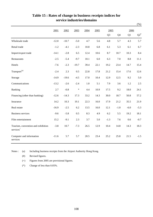|                                                             |         |         |         |         |      |                |         |        | $(\% )$          |
|-------------------------------------------------------------|---------|---------|---------|---------|------|----------------|---------|--------|------------------|
|                                                             | 2001    | 2002    | 2003    | 2004    | 2005 | 2005           |         | 2006   |                  |
|                                                             |         |         |         |         |      | Q <sub>3</sub> | Q4      | Q1     | $Q2^{\text{\#}}$ |
| Wholesale trade                                             | $-12.0$ | $-10.7$ | $-5.0$  | 4.7     | 5.6  | 4.8            | 5.7     | 4.3    | 5.7              |
| Retail trade                                                | $-1.2$  | $-4.1$  | $-2.3$  | 10.8    | 6.8  | 6.1            | 5.3     | 6.1    | 6.7              |
| Import/export trade                                         | $-14.1$ | $-2.8$  | 6.5     | 12.4    | 10.6 | 8.7            | 10.7    | 10.3   | 8.4              |
| Restaurants                                                 | $-2.5$  | $-5.4$  | $-9.7$  | 10.1    | 6.0  | 6.3            | $7.0\,$ | 8.8    | 11.1             |
| Hotels                                                      | $-7.6$  | $-2.3$  | $-19.7$ | 39.4    | 22.1 | 19.2           | 23.4    | 14.7   | 15.4             |
| Transport <sup>(a)</sup>                                    | $-2.4$  | 2.3     | 0.5     | 22.8    | 17.8 | 21.2           | 15.4    | 17.6   | 12.6             |
| Storage                                                     | $-14.9$ | $-19.6$ | $-4.5$  | 17.0    | 10.4 | 12.9           | 12.5    | 9.2    | 5.0              |
| Communications                                              | $-13.2$ | $-2.6$  | $-2.4$  | $1.0\,$ | 5.1  | 7.9            | 3.6     | 1.2    | 2.5              |
| Banking                                                     | 2.7     | $-0.8$  | $\ast$  | 4.4     | 10.9 | 17.5           | 9.2     | 18.0   | 24.1             |
| Financing (other than banking)                              | $-12.6$ | $-14.3$ | 17.3    | 33.2    | 14.3 | 30.0           | 18.7    | 50.8   | 57.2             |
| Insurance                                                   | 14.2    | 10.3    | 19.1    | 22.3    | 16.0 | 17.9           | 21.2    | 35.5   | 21.9             |
| Real estate                                                 | $-16.9$ | $-2.5$  | 6.2     | 13.5    | 16.0 | 12.1           | $-1.0$  | $-6.0$ | $-5.3$           |
| <b>Business services</b>                                    | $-9.6$  | $-5.8$  | 0.5     | 8.3     | 4.9  | 6.2            | 5.5     | 19.2   | 18.1             |
| Film entertainment                                          | 15.2    | $-9.1$  | 2.3     | 3.7     | 5.0  | $-1.3$         | 7.6     | 0.6    | $-0.7$           |
| Tourism, convention and exhibition<br>services <sup>+</sup> | $-3.8$  | 10.7    | $-7.3$  | 26.5    | 12.9 | 10.4           | 14.8    | 14.3   | 18.3             |
| Computer and information<br>services                        | $-11.6$ | 5.7     | 5.7     | 20.5    | 23.4 | 25.2           | 25.8    | 21.5   | $-1.5$           |

## **Table 15 : Rates of change in business receipts indices for service industries/domains**

Notes : (a) Including business receipts from the Airport Authority Hong Kong.

- (#) Revised figures.
- (+) Figures from 2005 are provisional figures.
- (\*) Change of less than 0.05%.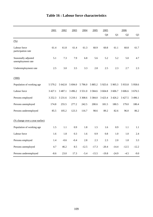|                                          | 2001        | 2002       | 2003        | 2004     | 2005        | 2005        |            | 2006       |                |  |  |
|------------------------------------------|-------------|------------|-------------|----------|-------------|-------------|------------|------------|----------------|--|--|
|                                          |             |            |             |          |             | Q4          | Q1         | Q2         | Q <sub>3</sub> |  |  |
| (% )                                     |             |            |             |          |             |             |            |            |                |  |  |
| Labour force<br>participation rate       | 61.4        | 61.8       | 61.4        | 61.3     | 60.9        | 60.8        | 61.1       | 60.8       | 61.7           |  |  |
| Seasonally adjusted<br>unemployment rate | 5.1         | 7.3        | 7.9         | 6.8      | 5.6         | 5.2         | 5.2        | 5.0        | 4.7            |  |  |
| Underemployment rate                     | 2.5         | 3.0        | 3.5         | 3.3      | 2.8         | 2.5         | 2.3        | 2.7        | 2.3            |  |  |
| (000)                                    |             |            |             |          |             |             |            |            |                |  |  |
| Population of working age                | 5 5 7 9 . 2 | 5 642.8    | 5 694.0     | 5796.0   | 5 8 8 5 . 2 | 5 9 25.6    | 5 905.3    | 5933.8     | 5958.6         |  |  |
| Labour force                             | 3 4 2 7 .1  | 3 4 8 7 .1 | 3 4 9 6.2   | 3551.0   | 3 5 8 4 . 6 | 3 604.8     | 3 606.7    | 3 606.6    | 3 676.5        |  |  |
| Persons employed                         | 3 2 5 2 . 3 | 3 2 3 1.6  | 3 2 1 9 . 1 | 3 3 08.6 | 3 3 8 4 .0  | 3 4 2 3 . 4 | 3 4 2 6 .2 | 3 4 2 7 .5 | 3 4 9 6.1      |  |  |
| Persons unemployed                       | 174.8       | 255.5      | 277.2       | 242.5    | 200.6       | 181.5       | 180.5      | 179.0      | 180.4          |  |  |
| Persons underemployed                    | 85.5        | 105.2      | 123.3       | 116.7    | 98.6        | 89.2        | 82.6       | 96.0       | 86.2           |  |  |
| (% change over a year earlier)           |             |            |             |          |             |             |            |            |                |  |  |
| Population of working age                | 1.5         | 1.1        | 0.9         | 1.8      | 1.5         | 1.6         | 0.9        | 1.1        | 1.1            |  |  |
| Labour force                             | 1.6         | 1.8        | 0.3         | 1.6      | 0.9         | 0.8         | $1.0\,$    | 1.0        | 2.4            |  |  |
| Persons employed                         | 1.4         | $-0.6$     | $-0.4$      | 2.8      | 2.3         | 2.3         | 2.0        | 1.8        | 3.3            |  |  |
| Persons unemployed                       | 4.7         | 46.2       | 8.5         | $-12.5$  | $-17.3$     | $-20.4$     | $-14.4$    | $-12.5$    | $-12.2$        |  |  |
| Persons underemployed                    | $-8.6$      | 23.0       | 17.3        | $-5.4$   | $-15.5$     | $-19.8$     | $-24.9$    | $-4.5$     | $-9.0$         |  |  |

## **Table 16 : Labour force characteristics**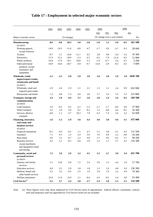|                                                                              | 2001    | 2002    | 2003       | 2004    | 2005   | 2006<br>2005 |        |                                |        |          |
|------------------------------------------------------------------------------|---------|---------|------------|---------|--------|--------------|--------|--------------------------------|--------|----------|
|                                                                              |         |         |            |         |        | <b>Sep</b>   | Dec    | Mar                            |        | Jun      |
| Major economic sector                                                        |         |         | (% change) |         |        |              |        | (% change over a year earlier) |        | No.      |
| <b>Manufacturing</b>                                                         | $-8.6$  | $-9.0$  | $-10.3$    | $-3.0$  | $-2.0$ | $-1.0$       | 1.3    | $-1.0$                         | $-0.5$ | 161 100  |
| of which:                                                                    |         |         |            |         |        |              |        |                                |        |          |
| Wearing apparel,                                                             | $-14.9$ | $-19.3$ | $-11.6$    | $-0.8$  | $-4.7$ | $-1.7$       | $-3.0$ | $-3.7$                         | 0.3    | 20 600   |
| except footwear                                                              |         |         |            |         |        |              |        |                                |        |          |
| Textiles                                                                     | $-8.7$  | $-1.1$  | $-16.8$    | $-11.1$ | 0.5    | 3.8          | 0.8    | $-3.4$                         | $-1.6$ | 19 300   |
| Electronics                                                                  | $-17.4$ | $-13.1$ | $-18.9$    | $-2.3$  | $-4.7$ | $-4.3$       | $-7.9$ | $-11.9$                        | $-9.5$ | 12 900   |
| Plastic products                                                             | $-16.4$ | $-17.0$ | $-19.1$    | $-16.8$ | $-1.3$ | $-1.0$       | 12.7   | 2.6                            | $-4.7$ | 3 200    |
| Fabricated metal                                                             | $-16.9$ | $-14.6$ | $-20.7$    | $-4.9$  | $-9.7$ | $-12.8$      | $-2.9$ | $-8.3$                         | $-4.5$ | 5 600    |
| products, except<br>machinery and<br>equipment                               |         |         |            |         |        |              |        |                                |        |          |
| Wholesale, retail,                                                           | $-1.2$  | $-2.3$  | $-3.0$     | 2.9     | 2.6    | 1.8          | 2.0    | 1.9                            | 1.8    | 1036 700 |
| import/export trades,<br>restaurants and hotels<br>of which:                 |         |         |            |         |        |              |        |                                |        |          |
| Wholesale, retail and                                                        | $-1.9$  | $-1.6$  | $-1.9$     | 2.1     | 2.3    | 1.3          | 1.1    | 1.0                            | 0.9    | 810 900  |
| import/export trades                                                         |         |         |            |         |        |              |        |                                |        |          |
| Restaurants and hotels                                                       | 1.2     | $-4.8$  | $-7.3$     | 6.0     | 3.6    | 3.7          | 5.4    | 5.3                            | 5.3    | 225 800  |
| Transport, storage and                                                       | 2.4     | $-1.8$  | $-4.4$     | 3.7     | 2.6    | 2.8          | 1.4    | 1.6                            | $-0.2$ | 184 500  |
| communications<br>of which:                                                  |         |         |            |         |        |              |        |                                |        |          |
| Land transport                                                               | 2.6     | $-0.3$  | 0.5        | $-2.2$  | $-1.5$ | $-1.1$       | $-1.7$ | $-0.6$                         | 0.6    | 37 900   |
| Water transport                                                              | 3.3     | 1.0     | $-3.6$     | 0.1     | $-0.3$ | 1.2          | $-4.8$ | $-3.6$                         | $-8.1$ | 26 300   |
| Services allied to<br>transport                                              | $-0.8$  | 1.1     | $-3.7$     | 10.3    | 7.9    | 6.3          | 7.4    | 3.6                            | 3.2    | 62 600   |
| Financing, insurance,<br>real estate and<br>business services<br>of which:   | 1.6     | $-1.3$  | $-1.9$     | 3.6     | 4.4    | 4.0          | 3.8    | 4.6                            | 4.1    | 475 900  |
| Financial institutions                                                       | $-0.5$  | $-5.6$  | $-6.5$     | 1.1     | 4.7    | 5.1          | 4.8    | 4.1                            | 4.5    | 131 500  |
| Insurance                                                                    | 7.1     | 0.3     | 1.2        | 2.4     | 5.9    | 7.6          | 0.9    | 2.3                            | $-4.8$ | 29 200   |
| Real estate                                                                  | $-3.0$  | 5.2     | 0.7        | 2.2     | 6.8    | 5.7          | 9.6    | 8.2                            | 5.7    | 98 200   |
| Business services<br>except machinery<br>and equipment rental<br>and leasing | 4.5     | $-1.2$  | $-0.2$     | 6.0     | 2.9    | 2.2          | 1.1    | 3.7                            | 4.5    | 216 300  |
| Community, social and<br>personal services<br>of which:                      | 7.2     | 5.9     | 2.9        | 3.2     | 4.5    | 5.3          | 2.7    | 3.9                            | 3.4    | 451 700  |
| Sanitary and similar<br>services                                             | 5.1     | 13.8    | 6.0        | 1.5     | 2.4    | 5.6          | 1.5    | 4.4                            | 1.6    | 57 700   |
| <b>Education</b> services                                                    | 6.9     | 2.5     | 2.9        | 1.8     | 1.8    | 1.2          | 2.9    | 4.0                            | 3.6    | 136 300  |
| Medical, dental and<br>other health services                                 | 5.5     | 3.2     | $-0.3$     | 2.5     | 1.6    | 2.9          | 1.9    | 2.5                            | 4.4    | 79 300   |
| Welfare institutions                                                         | 25.4    | 11.9    | 13.9       | 2.1     | $-0.4$ | $-3.3$       | $-0.5$ | 2.4                            | 4.0    | 53 400   |
| Civil Service <sup>(a)</sup>                                                 | $-3.5$  | $-3.7$  | $-2.4$     | $-3.8$  | $-2.7$ | $-2.4$       | $-1.8$ | $-1.5$                         | $-1.5$ | 154 500  |

## **Table 17 : Employment in selected major economic sectors**

Note : (a) These figures cover only those employed on Civil Service terms of appointment. Judicial officers, consultants, contract staff and temporary staff not appointed on Civil Service terms are not included.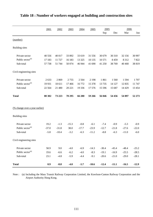|                                       | 2001     | 2002    | 2003    | 2004    | 2005    | 2005    |         | 2006    |          |  |
|---------------------------------------|----------|---------|---------|---------|---------|---------|---------|---------|----------|--|
|                                       |          |         |         |         |         | Sep     | Dec     | Mar     | Jun      |  |
| (number)                              |          |         |         |         |         |         |         |         |          |  |
| <b>Building</b> sites                 |          |         |         |         |         |         |         |         |          |  |
| Private sector                        | 40 556   | 40 017  | 33 892  | 33 619  | 31 556  | 30 679  | 30 310  | 32 156  | 30 997   |  |
| Public sector <sup>(a)</sup>          | 17 183   | 11 727  | 16 183  | 13 3 25 | 10 135  | 10 571  | 8 4 5 9 | 8 3 1 2 | 7822     |  |
| Sub-total                             | 57 738   | 51 744  | 50 074  | 46 944  | 41 690  | 41 250  | 38 769  | 40 4 68 | 38 819   |  |
| Civil engineering sites               |          |         |         |         |         |         |         |         |          |  |
| Private sector                        | 2 6 3 3  | 2869    | 2755    | 2 5 6 4 | 2 1 9 8 | 1861    | 1 5 6 0 | 1594    | 1707     |  |
| Public sector <sup>(a)</sup>          | 19 9 31  | 18 611  | 17 4 66 | 16772   | 15 378  | 13735   | 14 127  | 12835   | 11 747   |  |
| Sub-total                             | 22 5 6 4 | 21 480  | 20 221  | 19 3 36 | 17 576  | 15 5 96 | 15 687  | 14 4 29 | 13 4 5 4 |  |
| <b>Total</b>                          | 80 30 2  | 73 223  | 70 295  | 66 280  | 59 266  | 56 846  | 54 456  | 54 897  | 52 273   |  |
| <u>(% change over a year earlier)</u> |          |         |         |         |         |         |         |         |          |  |
| <b>Building</b> sites                 |          |         |         |         |         |         |         |         |          |  |
| Private sector                        | 19.2     | $-1.3$  | $-15.3$ | $-0.8$  | $-6.1$  | $-7.4$  | $-0.9$  | $-5.3$  | $-0.9$   |  |
| Public sector <sup>(a)</sup>          | $-37.0$  | $-31.8$ | 38.0    | $-17.7$ | $-23.9$ | $-12.7$ | $-21.8$ | $-27.6$ | $-22.0$  |  |
| Sub-total                             | $-5.8$   | $-10.4$ | $-3.2$  | $-6.3$  | $-11.2$ | $-8.8$  | $-6.3$  | $-11.0$ | $-6.0$   |  |
| Civil engineering sites               |          |         |         |         |         |         |         |         |          |  |
| Private sector                        | 58.9     | 9.0     | $-4.0$  | $-6.9$  | $-14.3$ | $-30.4$ | $-45.4$ | $-48.4$ | $-25.2$  |  |
| Public sector <sup>(a)</sup>          | 19.6     | $-6.6$  | $-6.2$  | $-4.0$  | $-8.3$  | $-19.1$ | $-16.9$ | $-25.5$ | $-28.5$  |  |
| Sub-total                             | 23.1     | $-4.8$  | $-5.9$  | $-4.4$  | $-9.1$  | $-20.6$ | $-21.0$ | $-29.0$ | $-28.1$  |  |
| <b>Total</b>                          | 0.9      | $-8.8$  | $-4.0$  | $-5.7$  | $-10.6$ | $-12.4$ | $-11.1$ | $-16.5$ | $-12.9$  |  |

## **Table 18 : Number of workers engaged at building and construction sites**

Note : (a) Including the Mass Transit Railway Corporation Limited, the Kowloon-Canton Railway Corporation and the Airport Authority Hong Kong.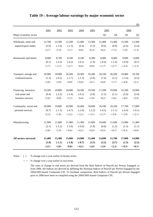|                        |        |           |           |           |                 |                 |           |           | $(\$)$         |
|------------------------|--------|-----------|-----------|-----------|-----------------|-----------------|-----------|-----------|----------------|
|                        | 2001   | 2002      | 2003      | 2004      | 2005            | 2005            |           | 2006      |                |
| Major economic sector  |        |           |           |           |                 | Q <sub>3</sub>  | Q4        | Q1        | Q <sub>2</sub> |
| Wholesale, retail and  | 12,700 | 12,500    | 12,300    | 12,400    | 13,300          | 12,400          | 13,400    | 15,500    | 12,500         |
| import/export trades   | (2.0)  | $(-1.6)$  | $(-1.5)$  | (0.4)     | (7.3)           | (9.6)           | (9.0)     | (2.6)     | (3.4)          |
|                        | <3.7>  | <1.4>     | <1.1>     | <0.9      | $<\!\!6.3\!\!>$ | $<\!\!8.2\!\!>$ | <7.5>     | <1.0>     | <1.3>          |
| Restaurants and hotels | 9,000  | 8,700     | 8,100     | 8,100     | 8,300           | 8,000           | 8,000     | 9,000     | 8,000          |
|                        | (0.1)  | $(-4.2)$  | $(-6.2)$  | $(-0.1)$  | (1.9)           | $(-0.4)$        | $(-1.4)$  | $(-0.9)$  | (0.7)          |
|                        | <1.7>  | $< -1.2>$ | $< -3.7>$ | < 0.4     | <0.9>           | <1.7>           | $< -2.7>$ | $< -2.4>$ | <1.3>          |
| Transport, storage and | 18,900 | 18,900    | 18,500    | 18,300    | 19,200          | 18,100          | 20,200    | 19,800    | 18,700         |
| communications         | (1.3)  | $(-0.2)$  | $(-1.7)$  | $(-1.3)$  | (5.0)           | (7.4)           | (3.1)     | $(-3.4)$  | (4.2)          |
|                        | <3.0>  | <2.9>     | <0.9>     | $<-0.9>$  | <4.1>           | $<\!\!6.0\!\!>$ | <1.7>     | $< -4.9>$ | <2.1>          |
| Financing, insurance,  | 19,200 | 18,800    | 18,600    | 18,500    | 19,100          | 17,200          | 19,900    | 22,200    | 19,000         |
| real estate and        | (0.4)  | $(-2.2)$  | $(-1.4)$  | $(-0.1)$  | (2.8)           | (1.5)           | (5.1)     | (5.6)     | (5.0)          |
| business services      | <2.0>  | <0.8>     | <1.2>     | <0.4>     | <1.8>           | <0.2>           | <3.6>     | <4.0>     | <2.9>          |
| Community, social and  | 20,000 | 19,800    | 18,900    | 18,400    | 18,000          | 18,100          | 18,100    | 17,700    | 17,800         |
| personal services      | (0.7)  | $(-1.3)$  | $(-4.7)$  | $(-2.6)$  | $(-2.2)$        | $(-4.5)$        | $(-1.1)$  | $(-0.4)$  | $(-0.1)$       |
|                        | <2.3>  | <1.8>     | $< -2.2>$ | $< -2.2>$ | $< -3.1>$       | $< -5.7>$       | $< -2.4>$ | $< -1.9>$ | $<-2.1>$       |
| Manufacturing          | 11,900 | 11,800    | 11,400    | 11,300    | 11,600          | 10,600          | 11,600    | 12,900    | 11,400         |
|                        | (2.1)  | $(-1.2)$  | $(-3.0)$  | $(-0.6)$  | (1.8)           | (0.8)           | (1.2)     | (1.3)     | (1.1)          |
|                        | <3.8>  | <1.9>     | $< -0.4>$ | $<-0.2>$  | <0.9>           | $<-0.5>$        | $<-0.1>$  | $<-0.3>$  | $<-0.9>$       |
| All sectors surveyed   | 15,400 | 15,300    | 15,000    | 14,900    | 15,400          | 14,600          | 15,700    | 17,000    | 14,900         |
|                        | (1.8)  | $(-1.1)$  | $(-1.8)$  | $(-0.7)$  | (3.5)           | (3.2)           | (3.7)     | (1.3)     | (2.2)          |
|                        | <3.5>  | <2.0>     | <0.8>     | $<-0.2>$  | <2.6>           | <1.9>           | <2.3>     | $<-0.3>$  | <0.1           |

#### **Table 19 : Average labour earnings by major economic sector**

Notes : ( ) % change over a year earlier in money terms.

< > % change over a year earlier in real terms.

The rates of change in real terms are derived from the Real Indices of Payroll per Person Engaged, as from 2006, the Indices are derived by deflating the Nominal Indices of Payroll per Person Engaged by the 2004/2005-based Composite CPI. To facilitate comparison, Real Indices of Payroll per Person Engaged prior to 2006 have been re-compiled using the 2004/2005-based Composite CPI.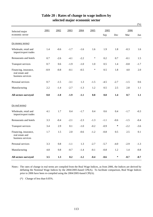|                                                               |        |         |         |        |        |        |        |        | $(\%)$ |
|---------------------------------------------------------------|--------|---------|---------|--------|--------|--------|--------|--------|--------|
| Selected major                                                | 2001   | 2002    | 2003    | 2004   | 2005   | 2005   |        | 2006   |        |
| economic sector                                               |        |         |         |        |        | Sep    | Dec    | Mar    | Jun    |
| (in money terms)                                              |        |         |         |        |        |        |        |        |        |
| Wholesale, retail and<br>import/export trades                 | 1.4    | $-0.6$  | $-1.7$  | $-1.6$ | 1.6    | 1.9    | 1.8    | $-0.3$ | 1.6    |
| Restaurants and hotels                                        | 0.7    | $-2.6$  | $-4.1$  | $-2.2$ | $\ast$ | 0.2    | 0.7    | $-0.1$ | 1.5    |
| Transport services                                            | 0.7    | 0.6     | $-1.9$  | $-1.0$ | 1.0    | 0.5    | 1.4    | $-0.8$ | $-1.7$ |
| Financing, insurance,<br>real estate and<br>business services | $-0.9$ | $-0.8$  | $-0.1$  | $-0.5$ | $\ast$ | 0.5    | 1.8    | 4.0    | 2.0    |
| Personal services                                             | 0.7    | $-1.5$  | $-3.1$  | 1.3    | $-1.5$ | $-4.5$ | $-2.7$ | $-1.5$ | 0.6    |
| Manufacturing                                                 | 2.2    | $-1.4$  | $-2.7$  | $-1.3$ | 1.2    | 0.5    | 2.5    | 2.8    | 1.1    |
| All sectors surveyed                                          | 0.8    | $-1.0$  | $-1.9$  | $-1.1$ | 0.8    | 0.8    | 1.4    | 0.7    | 1.1    |
| (in real terms)                                               |        |         |         |        |        |        |        |        |        |
| Wholesale, retail and<br>import/export trades                 | 4.1    | 1.7     | 0.4     | $-1.7$ | 0.4    | 0.6    | 0.4    | $-1.7$ | $-0.3$ |
| Restaurants and hotels                                        | 3.3    | $-0.4$  | $-2.1$  | $-2.3$ | $-1.3$ | $-1.1$ | $-0.6$ | $-1.5$ | $-0.4$ |
| <b>Transport services</b>                                     | 3.4    | 2.9     | 0.1     | $-1.0$ | $-0.2$ | $-0.9$ | $\ast$ | $-2.2$ | $-3.6$ |
| Financing, insurance,<br>real estate and<br>business services | 1.7    | 1.5     | 2.0     | $-0.6$ | $-1.2$ | $-0.8$ | 0.5    | 2.5    | 0.1    |
| Personal services                                             | 3.3    | $0.8\,$ | $-1.1$  | 1.3    | $-2.7$ | $-5.7$ | $-4.0$ | $-2.9$ | $-1.3$ |
| Manufacturing                                                 | 4.8    | $0.8\,$ | $-0.7$  | $-1.4$ | $-0.1$ | $-0.8$ | 1.2    | 1.4    | $-0.8$ |
| All sectors surveyed                                          | 3.5    | 1.3     | $0.2\,$ | $-1.2$ | $-0.4$ | $-0.6$ | $\ast$ | $-0.7$ | $-0.7$ |

### **Table 20 : Rates of change in wage indices by selected major economic sector**

Notes : The rates of change in real terms are compiled from the Real Wage Indices, as from 2006, the Indices are derived by deflating the Nominal Wage Indices by the 2004/2005-based CPI(A). To facilitate comparison, Real Wage Indices prior to 2006 have been re-compiled using the 2004/2005-based CPI(A).

(\*) Change of less than 0.05%.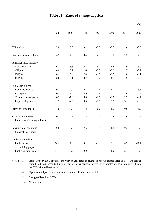|                                                              |        |        |        |        |         |         | $(\% )$ |
|--------------------------------------------------------------|--------|--------|--------|--------|---------|---------|---------|
|                                                              | 1996   | 1997   | 1998   | 1999   | 2000    | 2001    | 2002    |
| GDP deflator                                                 | 5.8    | 5.6    | 0.2    | $-5.8$ | $-5.6$  | $-1.8$  | $-3.5$  |
| Domestic demand deflator                                     | 4.9    | 4.5    | 0.4    | $-2.3$ | $-5.0$  | $-2.3$  | $-4.9$  |
| Consumer Price Indices <sup>(a)</sup> :                      |        |        |        |        |         |         |         |
| Composite CPI                                                | 6.3    | 5.8    | 2.8    | $-4.0$ | $-3.8$  | $-1.6$  | $-3.0$  |
| CPI(A)                                                       | 6.0    | 5.7    | 2.6    | $-3.3$ | $-3.0$  | $-1.7$  | $-3.2$  |
| CPI(B)                                                       | 6.4    | 5.8    | 2.8    | $-4.7$ | $-3.9$  | $-1.6$  | $-3.1$  |
| CPI(C)                                                       | 6.6    | 6.1    | 3.2    | $-3.7$ | $-4.5$  | $-1.5$  | $-2.8$  |
| Unit Value Indices :                                         |        |        |        |        |         |         |         |
| Domestic exports                                             | 0.3    | $-2.4$ | $-2.8$ | $-2.4$ | $-1.0$  | $-4.7$  | $-3.3$  |
| Re-exports                                                   | $-0.5$ | $-1.5$ | $-3.9$ | $-2.8$ | $-0.1$  | $-2.0$  | $-2.7$  |
| Total exports of goods                                       | $-0.3$ | $-1.6$ | $-3.8$ | $-2.7$ | $-0.2$  | $-2.3$  | $-2.7$  |
| Imports of goods                                             | $-1.3$ | $-2.3$ | $-4.9$ | $-2.0$ | 0.8     | $-3.1$  | $-3.9$  |
| Terms of Trade Index                                         | 1.0    | 0.7    | 1.2    | $-0.7$ | $-1.0$  | 0.9     | 1.2     |
| Producer Price Index<br>for all manufacturing industries     | $-0.1$ | $-0.3$ | $-1.8$ | $-1.6$ | 0.2     | $-1.6$  | $-2.7$  |
| <b>Construction Labour and</b><br><b>Material Cost Index</b> | 6.8    | 9.3    | 7.5    | 1.4    | 1.8     | 0.3     | $-0.3$  |
| Tender Price Indices:                                        |        |        |        |        |         |         |         |
| Public sector<br>building projects                           | 14.4   | 17.6   | 9.1    | $-4.4$ | $-13.1$ | $-8.5$  | $-11.7$ |
| Public housing projects                                      | 11.4   | 18.9   | 9.0    | $-3.3$ | $-11.9$ | $-15.1$ | $-9.6$  |

# **Table 21 : Rates of change in prices**

Notes:  $(a)$ From October 2005 onwards, the year-on-year rates of change in the Consumer Price Indices are derived from the 2004/05-based CPI series. For the earlier periods, the year-on-year rates of change are derived from the CPIs with old base period.

(#) Figures are subject to revision later on as more data become available.

(\*) Change of less than 0.05%.

N.A. Not available.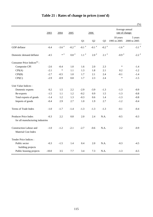|                                                              |         |                     |               |               |               |                     |                                   | $(\%)$                  |
|--------------------------------------------------------------|---------|---------------------|---------------|---------------|---------------|---------------------|-----------------------------------|-------------------------|
|                                                              | 2003    | 2004                | 2005          |               | 2006          |                     | Average annual<br>rate of change: |                         |
|                                                              |         |                     |               | Q1            | Q2            | Q <sub>3</sub>      | 10 years<br>1995 to 2005          | 5 years<br>2000 to 2005 |
| GDP deflator                                                 | $-6.4$  | $-3.6$ <sup>#</sup> | -0.2 $^\#$    | -0.1 $^\#$    | -0.1 $^\#$    | $-0.2$ <sup>#</sup> | -1.6 $^\#$                        | $-3.1$ <sup>#</sup>     |
| Domestic demand deflator                                     | $-4.5$  | $\ast$ #            | $0.8$ $^{\#}$ | $1.1$ $^{\#}$ | $2.0$ $^{\#}$ | $2.1$ $^{\#}$       | $-0.9$ <sup>#</sup>               | -2.2 $^\#$              |
| Consumer Price Indices $(a)$ :                               |         |                     |               |               |               |                     |                                   |                         |
| Composite CPI                                                | $-2.6$  | $-0.4$              | 1.0           | 1.6           | 2.0           | 2.3                 | $\ast$                            | $-1.4$                  |
| CPI(A)                                                       | $-2.1$  | $\ast$              | 1.1           | 1.3           | 1.8           | 2.1                 | 0.2                               | $-1.2$                  |
| CPI(B)                                                       | $-2.7$  | $-0.5$              | 1.0           | 1.7           | 2.1           | 2.4                 | $-0.1$                            | $-1.4$                  |
| CPI(C)                                                       | $-2.9$  | $-0.9$              | 0.8           | 1.7           | 2.3           | 2.4                 | $\ast$                            | $-1.5$                  |
| Unit Value Indices :                                         |         |                     |               |               |               |                     |                                   |                         |
| Domestic exports                                             | 0.2     | 1.5                 | 2.2           | $-2.9$        | $-3.9$        | $-1.3$              | $-1.3$                            | $-0.9$                  |
| Re-exports                                                   | $-1.5$  | 1.1                 | 1.2           | $-0.2$        | 0.9           | 1.5                 | $-1.3$                            | $-0.8$                  |
| Total exports of goods                                       | $-1.4$  | 1.2                 | 1.3           | $-0.3$        | 0.6           | 1.4                 | $-1.3$                            | $-0.8$                  |
| Imports of goods                                             | $-0.4$  | 2.9                 | 2.7           | 1.0           | 1.9           | 2.7                 | $-1.2$                            | $-0.4$                  |
| Terms of Trade Index                                         | $-1.0$  | $-1.7$              | $-1.4$        | $-1.3$        | $-1.3$        | $-1.3$              | $-0.1$                            | $-0.4$                  |
| Producer Price Index<br>for all manufacturing industries     | $-0.3$  | 2.2                 | 0.8           | 2.0           | 2.4           | N.A.                | $-0.5$                            | $-0.3$                  |
| <b>Construction Labour and</b><br><b>Material Cost Index</b> | $-1.0$  | $-1.2$              | $-2.1$        | $-2.7$        | $-0.6$        | N.A.                | 2.2                               | $-0.9$                  |
| Tender Price Indices:                                        |         |                     |               |               |               |                     |                                   |                         |
| Public sector<br>building projects                           | $-0.3$  | $-1.5$              | 1.4           | 0.4           | 2.0           | N.A.                | $-0.3$                            | $-4.5$                  |
| Public housing projects                                      | $-10.0$ | 3.5                 | 7.7           | 3.4           | 7.3           | N.A.                | $-1.3$                            | $-6.5$                  |

# **Table 21 : Rates of change in prices (cont'd)**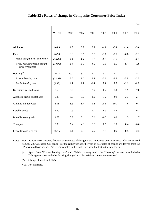|                                                |         |      |      |        |         |         |        | $(\%)$ |
|------------------------------------------------|---------|------|------|--------|---------|---------|--------|--------|
|                                                | Weight  | 1996 | 1997 | 1998   | 1999    | 2000    | 2001   | 2002   |
| All items                                      | 100.0   | 6.3  | 5.8  | 2.8    | $-4.0$  | $-3.8$  | $-1.6$ | $-3.0$ |
| Food                                           | 26.94   | 3.9  | 3.6  | 1.9    | $-1.8$  | $-2.2$  | $-0.8$ | $-2.1$ |
| Meals bought away from home                    | (16.86) | 3.9  | 4.0  | 2.2    | $-1.2$  | $-0.9$  | $-0.3$ | $-1.5$ |
| Food, excluding meals bought<br>away from home | (10.08) | 3.9  | 3.0  | 1.5    | $-2.8$  | $-4.2$  | $-1.7$ | $-3.1$ |
| Housing <sup>(a)</sup>                         | 29.17   | 10.2 | 9.2  | 4.7    | $-5.1$  | $-8.2$  | $-3.1$ | $-5.7$ |
| Private housing rent                           | (23.93) | 10.7 | 9.1  | 5.5    | $-6.1$  | $-9.8$  | $-2.9$ | $-6.5$ |
| Public housing rent                            | (2.49)  | 8.3  | 13.5 | $-3.4$ | 1.4     | 1.1     | $-8.3$ | $-2.7$ |
| Electricity, gas and water                     | 3.59    | 5.0  | 5.0  | 1.4    | $-0.4$  | 3.6     | $-1.9$ | $-7.0$ |
| Alcoholic drinks and tobacco                   | 0.87    | 5.7  | 5.6  | 6.6    | 1.2     | $-0.9$  | 3.3    | 2.4    |
| Clothing and footwear                          | 3.91    | 8.3  | 8.4  | $-0.8$ | $-20.6$ | $-10.1$ | $-4.6$ | 0.7    |
| Durable goods                                  | 5.50    | 1.9  | 2.2  | 0.2    | $-6.3$  | $-4.6$  | $-7.1$ | $-6.3$ |
| Miscellaneous goods                            | 4.78    | 2.7  | 5.4  | 2.6    | $-0.7$  | 0.9     | 1.3    | 1.7    |
| Transport                                      | 9.09    | 6.2  | 4.0  | 3.9    | 0.5     | 1.0     | 0.4    | $-0.6$ |
| Miscellaneous services                         | 16.15   | 6.1  | 4.5  | 2.7    | $-1.3$  | $-0.2$  | 0.5    | $-2.3$ |

#### **Table 22 : Rates of change in Composite Consumer Price Index**

Notes : From October 2005 onwards, the year-on-year rates of change in the Composite Consumer Price Index are derived from the 2004/05-based CPI series. For the earlier periods, the year-on-year rates of change are derived from the CPIs with old base period. The weights quoted in this table correspond to that in the new series.

(a) Apart from "Private housing rent" and "Public housing rent", the "Housing" section also includes "Management fees and other housing charges" and "Materials for house maintenance".

(\*) Change of less than 0.05%.

N.A. Not available.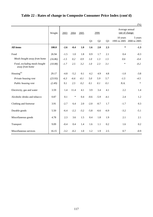|                                                |         |        |        |        |        |                |                |                                   | $(\% )$                 |
|------------------------------------------------|---------|--------|--------|--------|--------|----------------|----------------|-----------------------------------|-------------------------|
|                                                | Weight  | 2003   | 2004   | 2005   |        | 2006           |                | Average annual<br>rate of change: |                         |
|                                                |         |        |        |        | Q1     | Q <sub>2</sub> | Q <sub>3</sub> | 10 years<br>1995 to 2005          | 5 years<br>2000 to 2005 |
| <b>All items</b>                               | 100.0   | $-2.6$ | $-0.4$ | 1.0    | 1.6    | 2.0            | 2.3            | $\ast$                            | $-1.3$                  |
| Food                                           | 26.94   | $-1.5$ | 1.0    | 1.8    | 0.9    | 1.7            | 2.1            | 0.4                               | $-0.3$                  |
| Meals bought away from home                    | (16.86) | $-1.5$ | 0.2    | 0.9    | 1.0    | 1.3            | 1.5            | 0.6                               | $-0.4$                  |
| Food, excluding meals bought<br>away from home | (10.08) | $-1.7$ | 2.5    | 3.2    | 1.0    | 2.3            | 3.1            | $\ast$                            | $-0.2$                  |
| Housing $(a)$                                  | 29.17   | $-4.8$ | $-5.2$ | 0.1    | 4.2    | 4.9            | 4.8            | $-1.0$                            | $-3.8$                  |
| Private housing rent                           | (23.93) | $-6.3$ | $-6.6$ | $-0.1$ | 5.0    | 5.9            | 5.7            | $-1.5$                            | $-4.5$                  |
| Public housing rent                            | (2.49)  | 9.1    | 2.5    | 0.2    | 0.1    | 0.1            | 0.1            | N.A.                              | $\ast$                  |
| Electricity, gas and water                     | 3.59    | 1.4    | 11.4   | 4.1    | 3.9    | 3.4            | 4.1            | 2.2                               | 1.4                     |
| Alcoholic drinks and tobacco                   | 0.87    | 0.1    | $\ast$ | 0.4    | $-0.6$ | $-5.9$         | $-4.1$         | 2.4                               | 1.2                     |
| Clothing and footwear                          | 3.91    | $-2.7$ | 6.4    | 2.0    | $-2.0$ | $-0.7$         | 1.7            | $-1.7$                            | 0.3                     |
| Durable goods                                  | 5.50    | $-6.4$ | $-2.2$ | $-3.2$ | $-5.8$ | $-6.6$         | $-6.9$         | $-3.2$                            | $-5.1$                  |
| Miscellaneous goods                            | 4.78    | 2.3    | 3.6    | 1.5    | 0.4    | 1.8            | 1.9            | 2.1                               | 2.1                     |
| Transport                                      | 9.09    | $-0.4$ | 0.4    | 1.4    | 1.6    | 1.1            | 0.2            | 1.6                               | 0.2                     |
| Miscellaneous services                         | 16.15   | $-3.2$ | $-0.2$ | 1.0    | 1.2    | 1.9            | 2.5            | 0.7                               | $-0.9$                  |

# **Table 22 : Rates of change in Composite Consumer Price Index (cont'd)**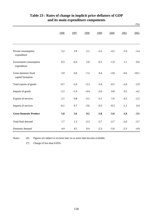|                                           |        |        |        |        |        |        | $(\%)$  |
|-------------------------------------------|--------|--------|--------|--------|--------|--------|---------|
|                                           | 1996   | 1997   | 1998   | 1999   | 2000   | 2001   | 2002    |
| Private consumption<br>expenditure        | 5.2    | 3.9    | 2.1    | $-5.2$ | $-4.5$ | $-1.0$ | $-3.4$  |
| Government consumption<br>expenditure     | 6.5    | 6.4    | 2.6    | $-0.1$ | $-1.9$ | 1.1    | $-0.6$  |
| Gross domestic fixed<br>capital formation | 2.0    | 6.0    | $-7.2$ | 0.4    | $-3.8$ | $-6.6$ | $-10.1$ |
| Total exports of goods                    | $-0.7$ | $-1.9$ | $-3.3$ | $-3.4$ | $-0.5$ | $-2.6$ | $-2.9$  |
| Imports of goods                          | $-1.2$ | $-1.9$ | $-4.4$ | $-2.6$ | 0.8    | $-3.5$ | $-4.2$  |
| Exports of services                       | 2.1    | 0.8    | $-5.1$ | $-3.1$ | 1.6    | $-4.3$ | $-2.2$  |
| Imports of services                       | $-0.1$ | 0.7    | $-3.6$ | $-0.3$ | $-0.3$ | $-1.1$ | 0.4     |
| <b>Gross Domestic Product</b>             | 5.8    | 5.6    | 0.2    | $-5.8$ | $-5.6$ | $-1.8$ | $-3.5$  |
| Total final demand                        | 1.7    | 1.3    | $-2.3$ | $-3.7$ | $-2.7$ | $-2.6$ | $-3.7$  |
| Domestic demand                           | 4.9    | 4.5    | 0.4    | $-2.3$ | $-5.0$ | $-2.3$ | $-4.9$  |

## **and its main expenditure components Table 23 : Rates of change in implicit price deflators of GDP**

Notes :  $(\#)$ Figures are subject to revision later on as more data become available.

(\*) Change of less than 0.05%.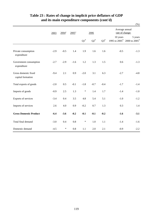|                                           |        |                     |                     |                    |        |           |                                   | $(\% )$                                |  |
|-------------------------------------------|--------|---------------------|---------------------|--------------------|--------|-----------|-----------------------------------|----------------------------------------|--|
|                                           | 2003   | $2004$ <sup>*</sup> | $2005$ <sup>*</sup> | 2006               |        |           | Average annual<br>rate of change: |                                        |  |
|                                           |        |                     |                     | $\mathrm{Q1}^{\#}$ | $Q2^*$ | $Q3^{\#}$ | 10 years                          | 5 years<br>1995 to 2005# 2000 to 2005# |  |
| Private consumption<br>expenditure        | $-2.9$ | $-0.5$              | 1.4                 | 1.9                | 1.6    | 1.6       | $-0.5$                            | $-1.3$                                 |  |
| Government consumption<br>expenditure     | $-2.7$ | $-2.9$              | $-1.6$              | 1.2                | 1.3    | 1.5       | 0.6                               | $-1.3$                                 |  |
| Gross domestic fixed<br>capital formation | $-9.4$ | 2.1                 | 0.9                 | $-2.0$             | 3.1    | 6.3       | $-2.7$                            | $-4.8$                                 |  |
| Total exports of goods                    | $-2.0$ | 0.5                 | $-0.1$              | $-1.8$             | $-0.7$ | $-0.4$    | $-1.7$                            | $-1.4$                                 |  |
| Imports of goods                          | $-0.9$ | 2.5                 | 1.3                 | $\ast$             | 1.4    | 1.7       | $-1.4$                            | $-1.0$                                 |  |
| Exports of services                       | $-3.4$ | 0.4                 | 3.5                 | 4.8                | 5.4    | 5.1       | $-1.0$                            | $-1.2$                                 |  |
| Imports of services                       | 2.6    | 4.0                 | 0.9                 | $-0.2$             | 0.7    | 1.3       | 0.3                               | 1.4                                    |  |
| <b>Gross Domestic Product</b>             | $-6.4$ | $-3.6$              | $-0.2$              | $-0.1$             | $-0.1$ | $-0.2$    | $-1.6$                            | $-3.1$                                 |  |
| Total final demand                        | $-3.0$ | 0.4                 | 0.8                 | $\ast$             | 1.0    | 1.1       | $-1.4$                            | $-1.6$                                 |  |
| Domestic demand                           | $-4.5$ | $\ast$              | 0.8                 | 1.1                | 2.0    | 2.1       | $-0.9$                            | $-2.2$                                 |  |

## **Table 23 : Rates of change in implicit price deflators of GDP and its main expenditure components (cont'd)**